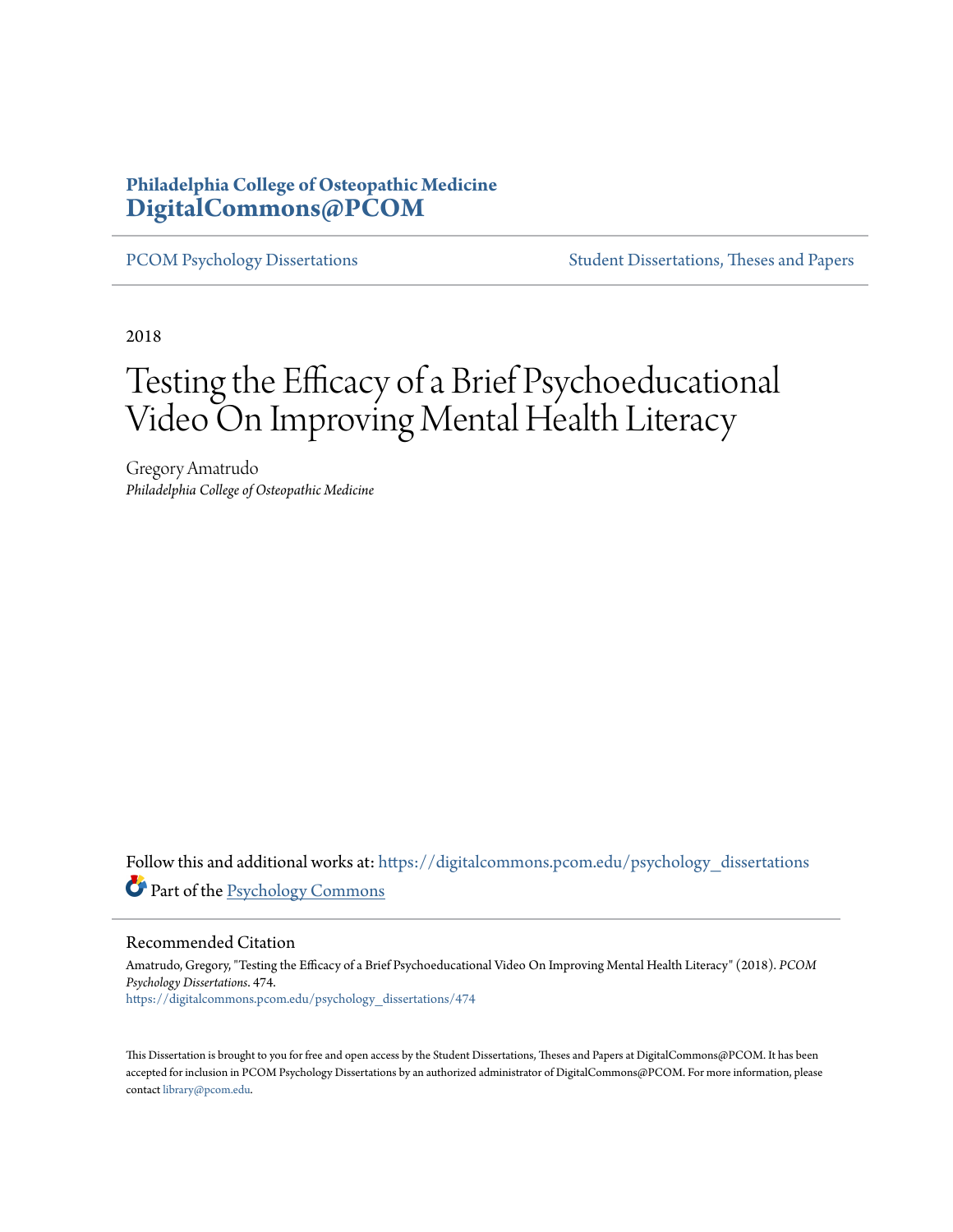# **Philadelphia College of Osteopathic Medicine [DigitalCommons@PCOM](https://digitalcommons.pcom.edu?utm_source=digitalcommons.pcom.edu%2Fpsychology_dissertations%2F474&utm_medium=PDF&utm_campaign=PDFCoverPages)**

[PCOM Psychology Dissertations](https://digitalcommons.pcom.edu/psychology_dissertations?utm_source=digitalcommons.pcom.edu%2Fpsychology_dissertations%2F474&utm_medium=PDF&utm_campaign=PDFCoverPages) [Student Dissertations, Theses and Papers](https://digitalcommons.pcom.edu/etds?utm_source=digitalcommons.pcom.edu%2Fpsychology_dissertations%2F474&utm_medium=PDF&utm_campaign=PDFCoverPages)

2018

# Testing the Efficacy of a Brief Psychoeducational Video On Improving Mental Health Literacy

Gregory Amatrudo *Philadelphia College of Osteopathic Medicine*

Follow this and additional works at: [https://digitalcommons.pcom.edu/psychology\\_dissertations](https://digitalcommons.pcom.edu/psychology_dissertations?utm_source=digitalcommons.pcom.edu%2Fpsychology_dissertations%2F474&utm_medium=PDF&utm_campaign=PDFCoverPages) Part of the [Psychology Commons](http://network.bepress.com/hgg/discipline/404?utm_source=digitalcommons.pcom.edu%2Fpsychology_dissertations%2F474&utm_medium=PDF&utm_campaign=PDFCoverPages)

Recommended Citation

Amatrudo, Gregory, "Testing the Efficacy of a Brief Psychoeducational Video On Improving Mental Health Literacy" (2018). *PCOM Psychology Dissertations*. 474. [https://digitalcommons.pcom.edu/psychology\\_dissertations/474](https://digitalcommons.pcom.edu/psychology_dissertations/474?utm_source=digitalcommons.pcom.edu%2Fpsychology_dissertations%2F474&utm_medium=PDF&utm_campaign=PDFCoverPages)

This Dissertation is brought to you for free and open access by the Student Dissertations, Theses and Papers at DigitalCommons@PCOM. It has been accepted for inclusion in PCOM Psychology Dissertations by an authorized administrator of DigitalCommons@PCOM. For more information, please contact [library@pcom.edu.](mailto:library@pcom.edu)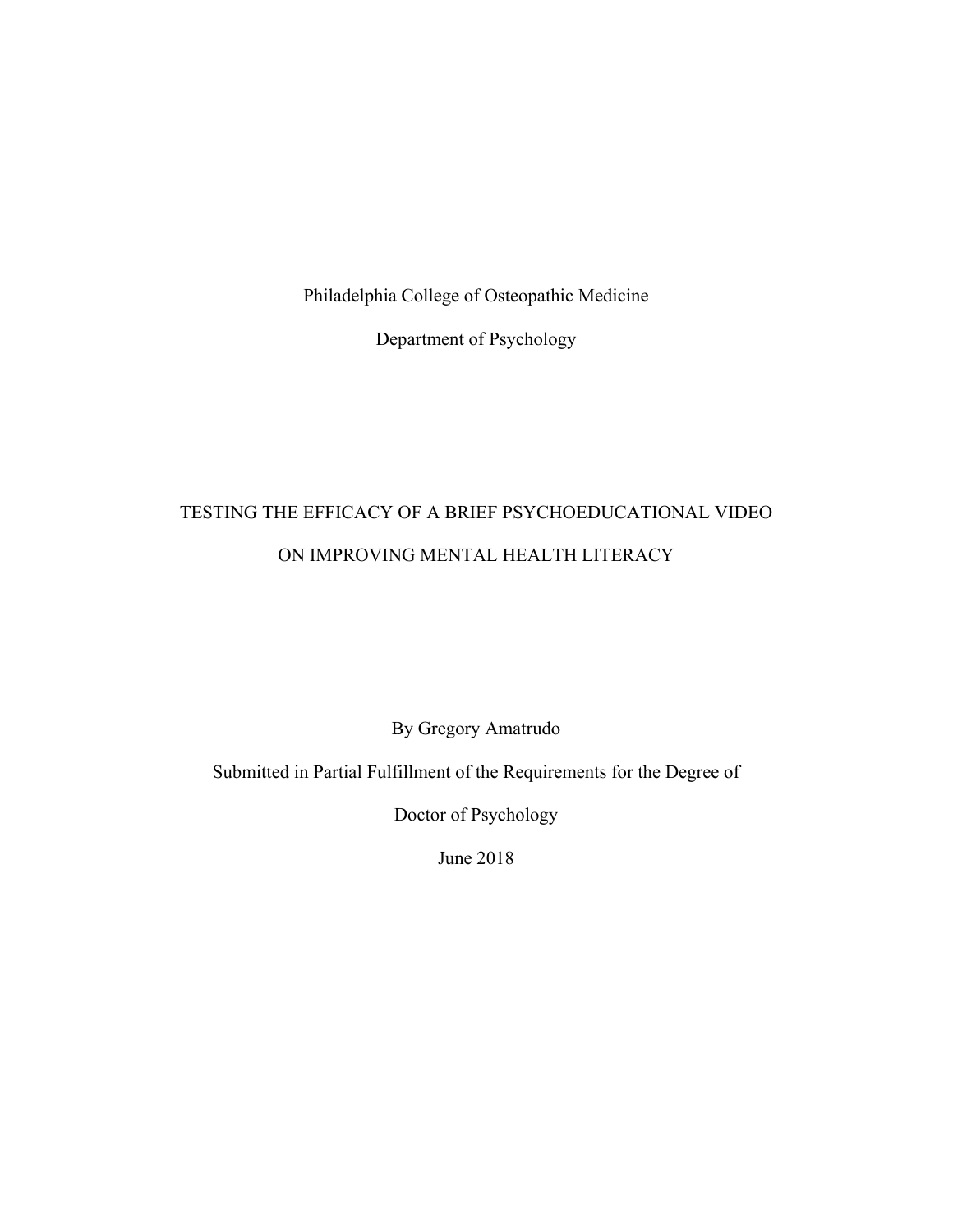Philadelphia College of Osteopathic Medicine

Department of Psychology

# TESTING THE EFFICACY OF A BRIEF PSYCHOEDUCATIONAL VIDEO ON IMPROVING MENTAL HEALTH LITERACY

By Gregory Amatrudo

Submitted in Partial Fulfillment of the Requirements for the Degree of

Doctor of Psychology

June 2018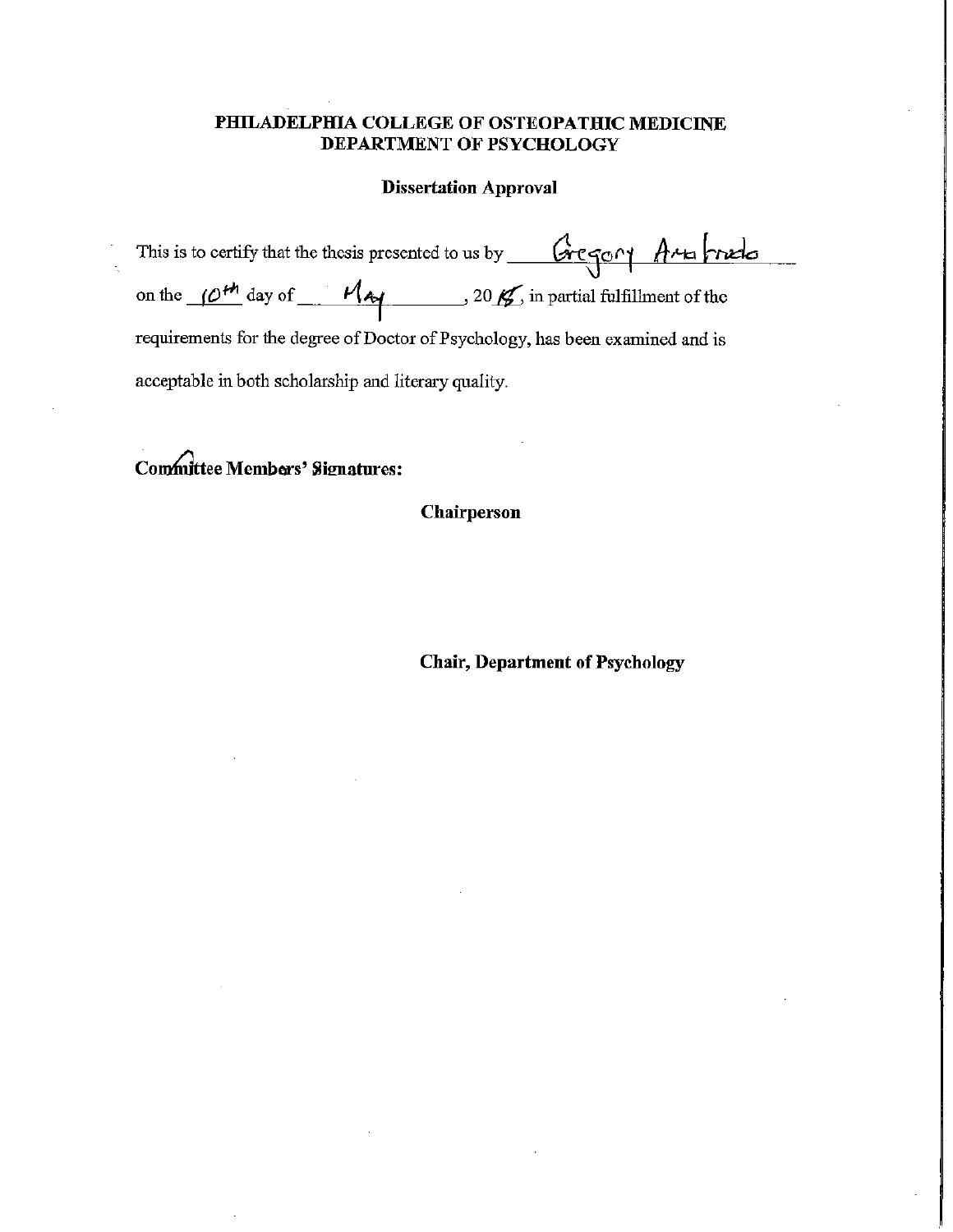## PHILADELPHIA COLLEGE OF OSTEOPATHIC MEDICINE DEPARTMENT OF PSYCHOLOGY

### **Dissertation Approval**

| This is to certify that the thesis presented to us by <u>Gregory</u> Arts trieds                   |
|----------------------------------------------------------------------------------------------------|
| on the $(0^{th})$ day of $\frac{M_{\text{A}}}{2}$ , 20 $\frac{M}{2}$ in partial fulfillment of the |
| requirements for the degree of Doctor of Psychology, has been examined and is                      |
| acceptable in both scholarship and literary quality.                                               |

Committee Members' Signatures:

Chairperson

**Chair, Department of Psychology**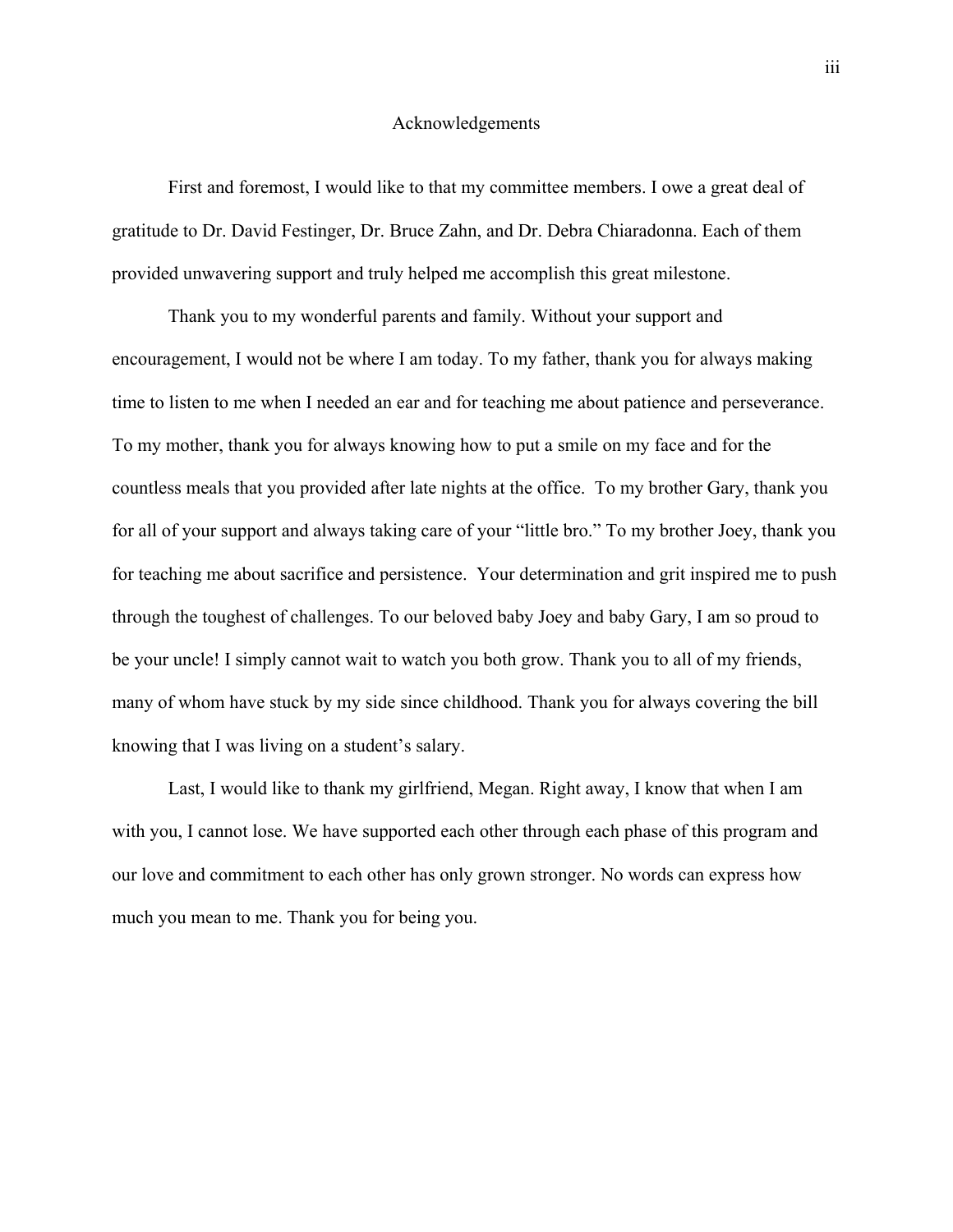#### Acknowledgements

First and foremost, I would like to that my committee members. I owe a great deal of gratitude to Dr. David Festinger, Dr. Bruce Zahn, and Dr. Debra Chiaradonna. Each of them provided unwavering support and truly helped me accomplish this great milestone.

Thank you to my wonderful parents and family. Without your support and encouragement, I would not be where I am today. To my father, thank you for always making time to listen to me when I needed an ear and for teaching me about patience and perseverance. To my mother, thank you for always knowing how to put a smile on my face and for the countless meals that you provided after late nights at the office. To my brother Gary, thank you for all of your support and always taking care of your "little bro." To my brother Joey, thank you for teaching me about sacrifice and persistence. Your determination and grit inspired me to push through the toughest of challenges. To our beloved baby Joey and baby Gary, I am so proud to be your uncle! I simply cannot wait to watch you both grow. Thank you to all of my friends, many of whom have stuck by my side since childhood. Thank you for always covering the bill knowing that I was living on a student's salary.

Last, I would like to thank my girlfriend, Megan. Right away, I know that when I am with you, I cannot lose. We have supported each other through each phase of this program and our love and commitment to each other has only grown stronger. No words can express how much you mean to me. Thank you for being you.

iii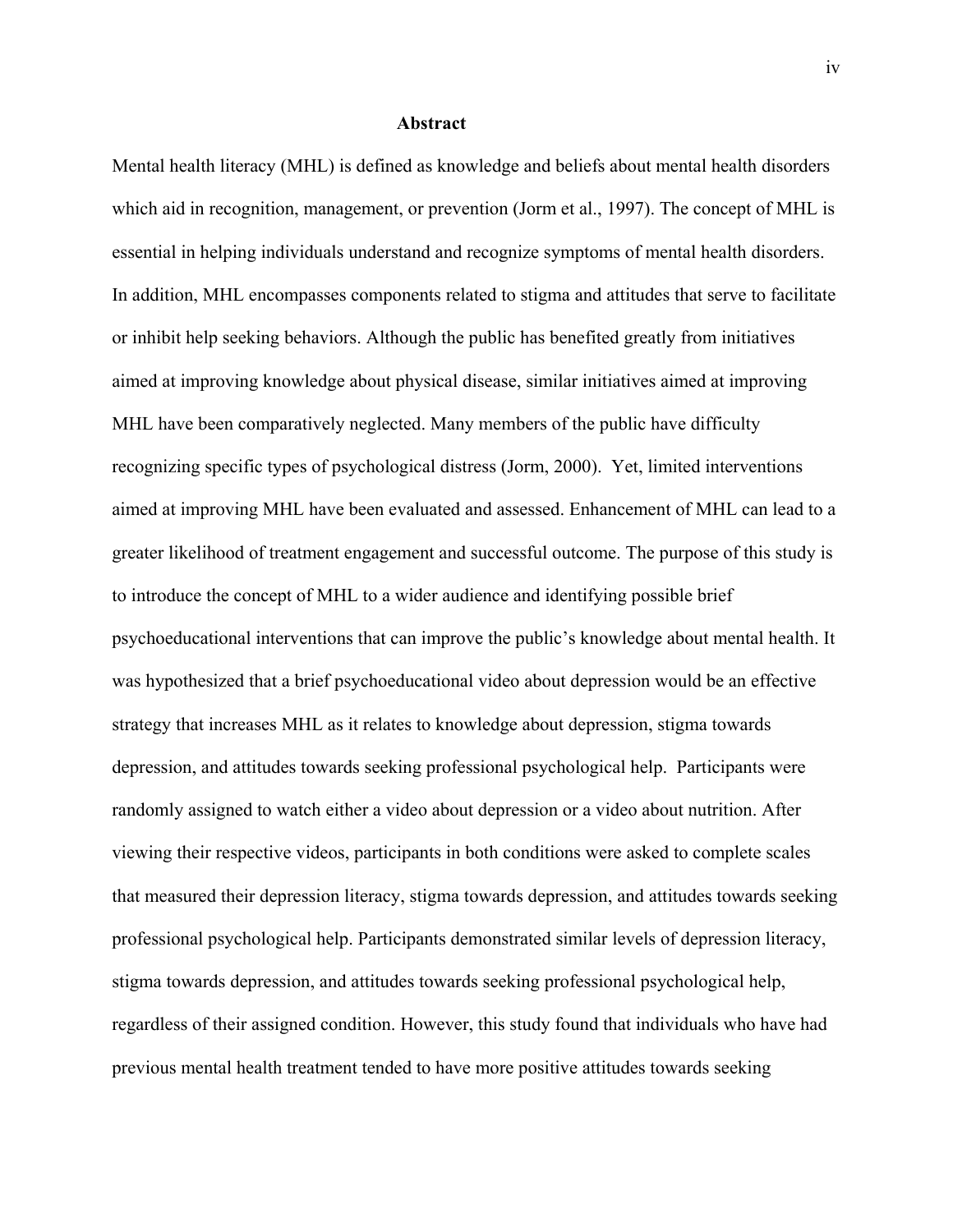#### **Abstract**

Mental health literacy (MHL) is defined as knowledge and beliefs about mental health disorders which aid in recognition, management, or prevention (Jorm et al., 1997). The concept of MHL is essential in helping individuals understand and recognize symptoms of mental health disorders. In addition, MHL encompasses components related to stigma and attitudes that serve to facilitate or inhibit help seeking behaviors. Although the public has benefited greatly from initiatives aimed at improving knowledge about physical disease, similar initiatives aimed at improving MHL have been comparatively neglected. Many members of the public have difficulty recognizing specific types of psychological distress (Jorm, 2000). Yet, limited interventions aimed at improving MHL have been evaluated and assessed. Enhancement of MHL can lead to a greater likelihood of treatment engagement and successful outcome. The purpose of this study is to introduce the concept of MHL to a wider audience and identifying possible brief psychoeducational interventions that can improve the public's knowledge about mental health. It was hypothesized that a brief psychoeducational video about depression would be an effective strategy that increases MHL as it relates to knowledge about depression, stigma towards depression, and attitudes towards seeking professional psychological help. Participants were randomly assigned to watch either a video about depression or a video about nutrition. After viewing their respective videos, participants in both conditions were asked to complete scales that measured their depression literacy, stigma towards depression, and attitudes towards seeking professional psychological help. Participants demonstrated similar levels of depression literacy, stigma towards depression, and attitudes towards seeking professional psychological help, regardless of their assigned condition. However, this study found that individuals who have had previous mental health treatment tended to have more positive attitudes towards seeking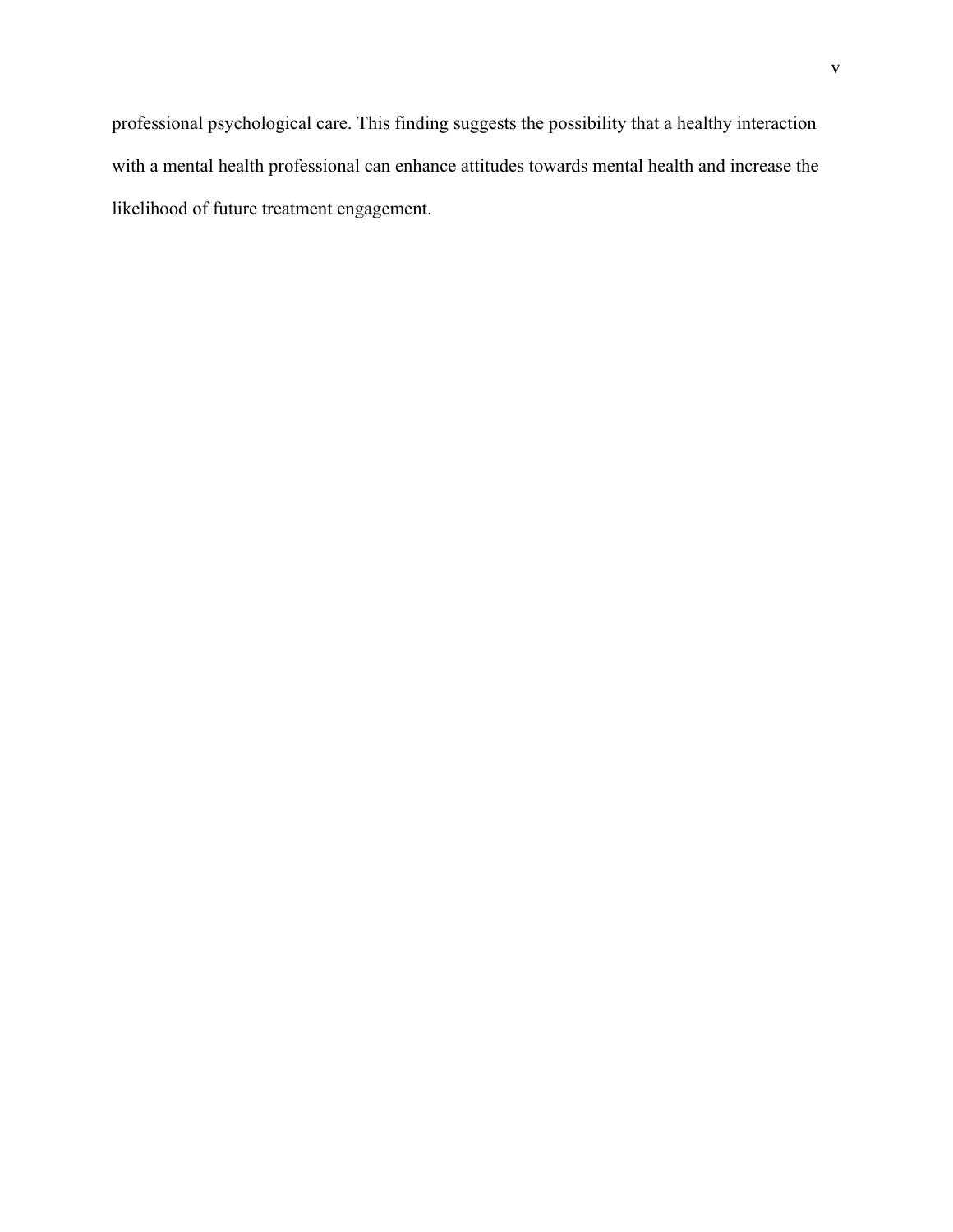professional psychological care. This finding suggests the possibility that a healthy interaction with a mental health professional can enhance attitudes towards mental health and increase the likelihood of future treatment engagement.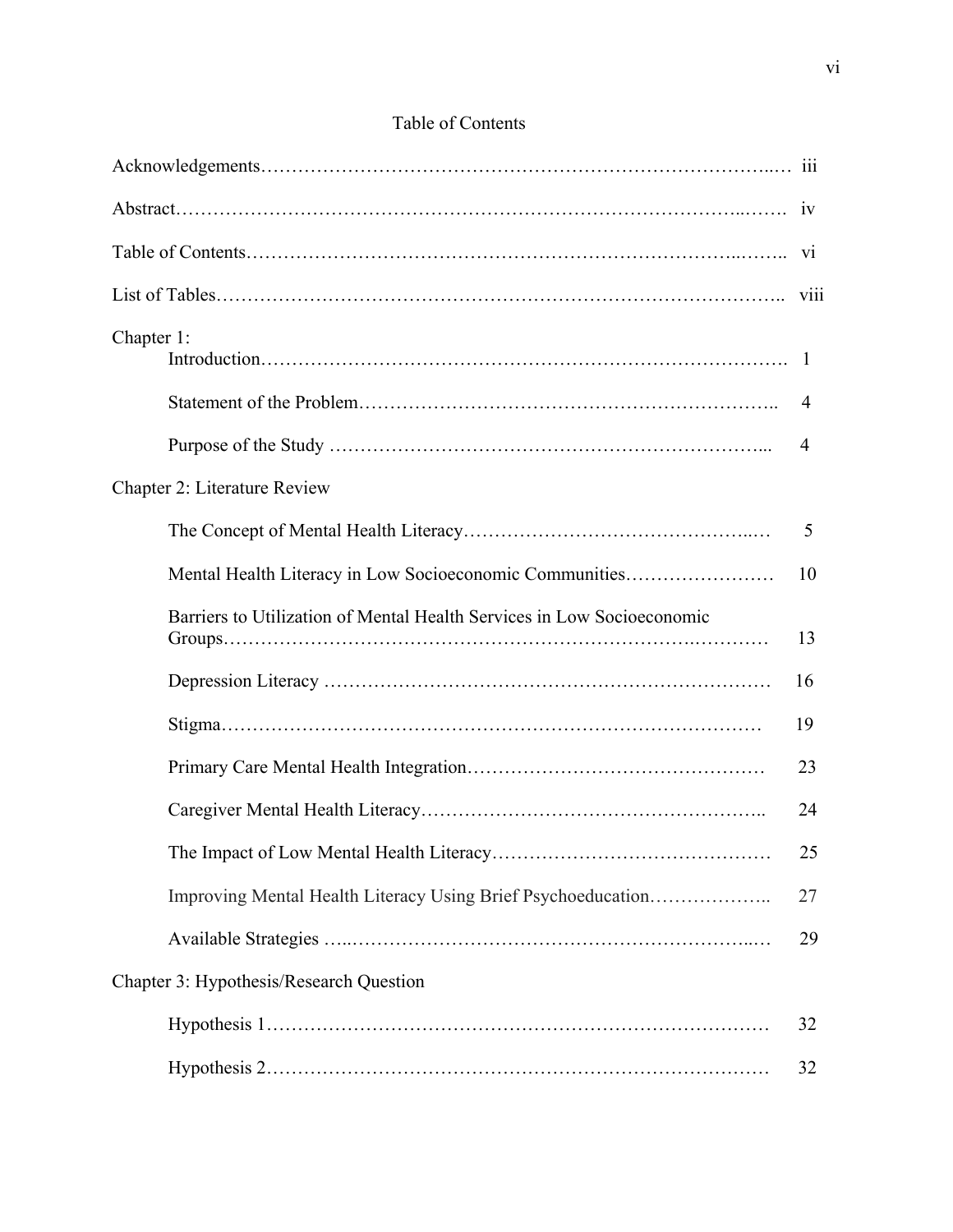| Chapter 1:                                                             |    |  |  |
|------------------------------------------------------------------------|----|--|--|
|                                                                        | 4  |  |  |
|                                                                        | 4  |  |  |
| Chapter 2: Literature Review                                           |    |  |  |
|                                                                        | 5  |  |  |
| Mental Health Literacy in Low Socioeconomic Communities                | 10 |  |  |
| Barriers to Utilization of Mental Health Services in Low Socioeconomic | 13 |  |  |
|                                                                        | 16 |  |  |
|                                                                        | 19 |  |  |
|                                                                        | 23 |  |  |
|                                                                        | 24 |  |  |
|                                                                        | 25 |  |  |
| Improving Mental Health Literacy Using Brief Psychoeducation           | 27 |  |  |
|                                                                        | 29 |  |  |
| Chapter 3: Hypothesis/Research Question                                |    |  |  |
|                                                                        | 32 |  |  |
|                                                                        | 32 |  |  |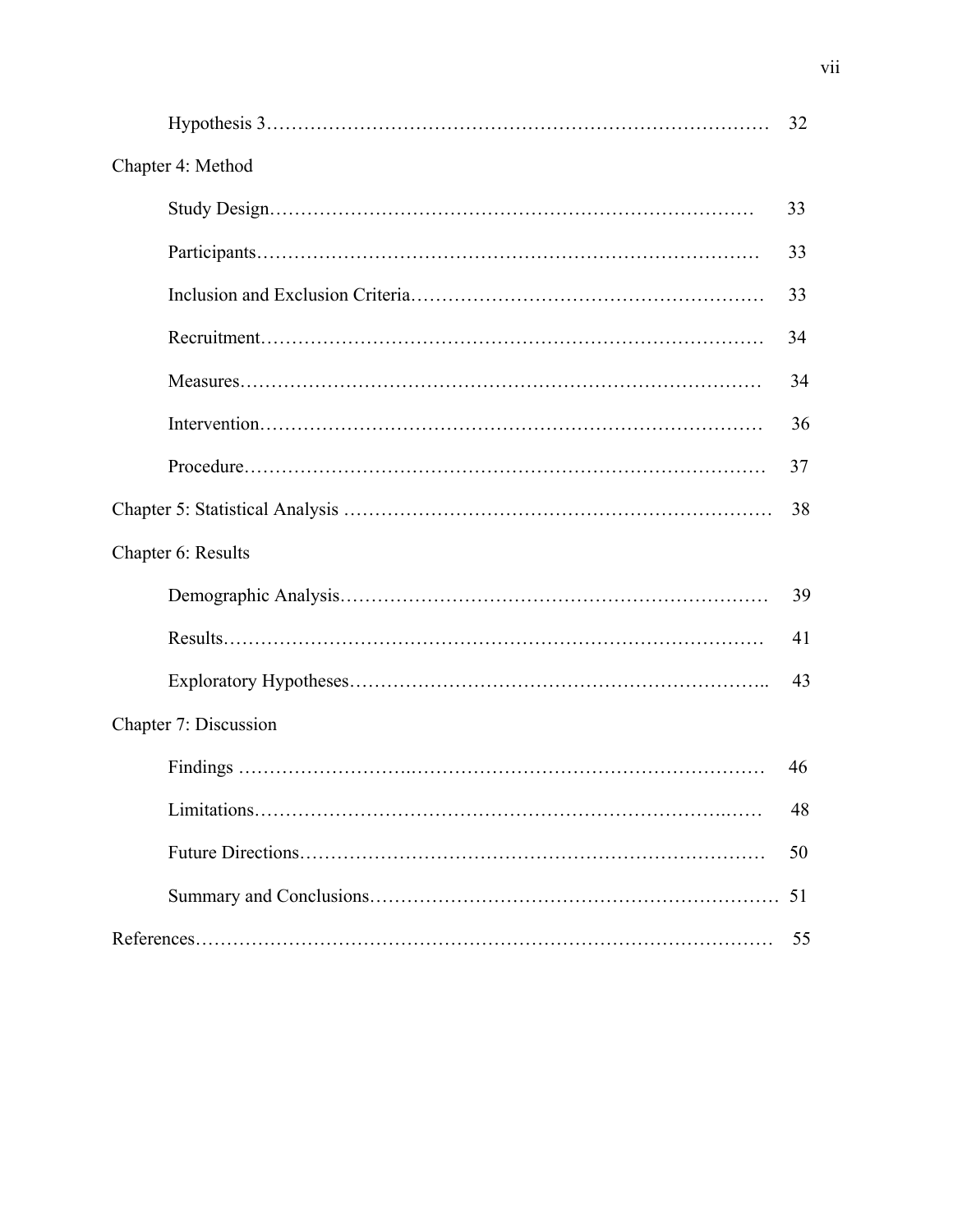|                                          | 32 |
|------------------------------------------|----|
| Chapter 4: Method                        |    |
|                                          | 33 |
|                                          | 33 |
|                                          | 33 |
|                                          | 34 |
|                                          | 34 |
|                                          | 36 |
|                                          | 37 |
|                                          | 38 |
| Chapter 6: Results                       |    |
|                                          | 39 |
|                                          | 41 |
|                                          | 43 |
| Chapter 7: Discussion                    |    |
|                                          | 46 |
| market and the control of the control of | 48 |
|                                          | 50 |
|                                          | 51 |
|                                          | 55 |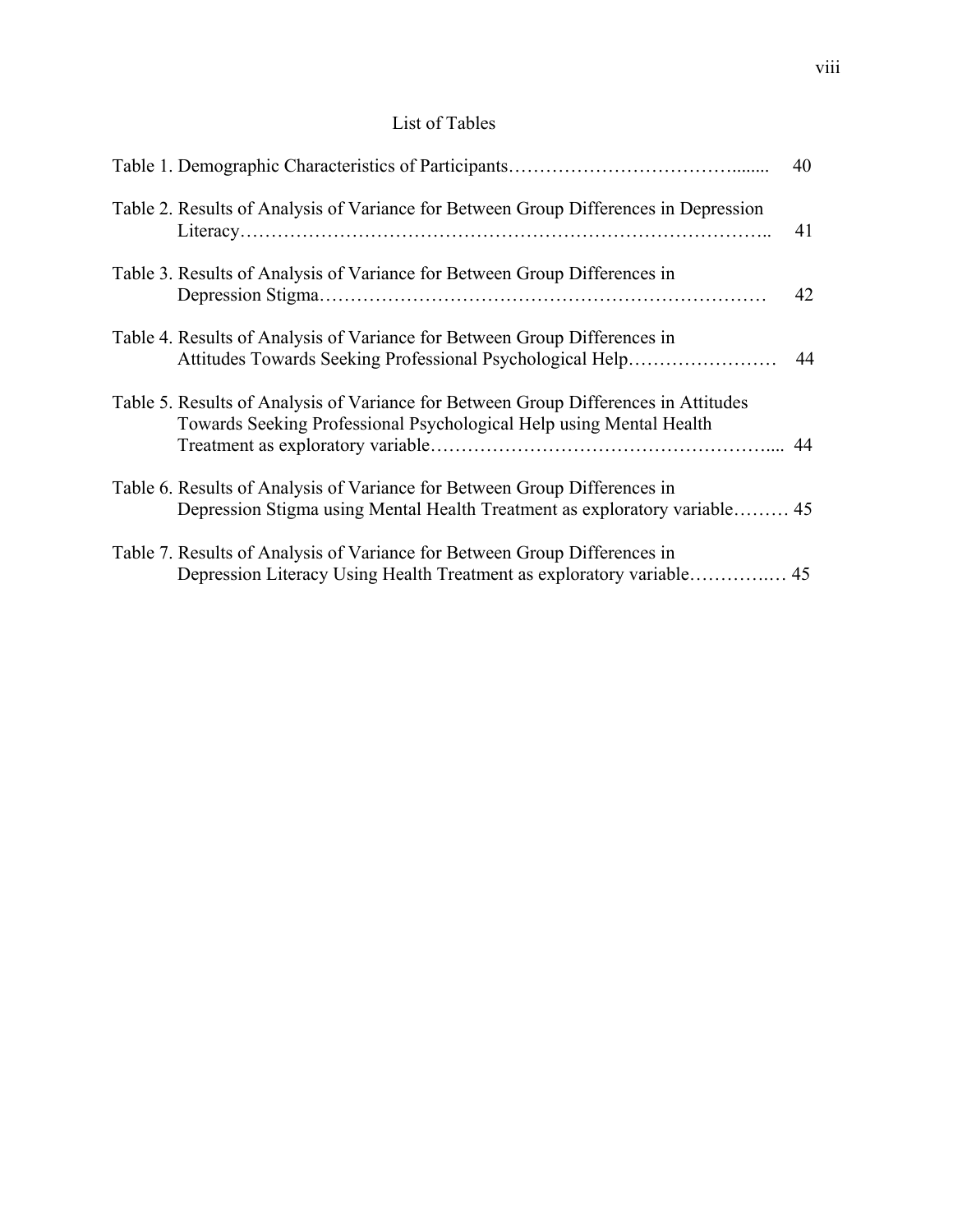|                                                                                                                                                            | 40 |
|------------------------------------------------------------------------------------------------------------------------------------------------------------|----|
| Table 2. Results of Analysis of Variance for Between Group Differences in Depression                                                                       | 41 |
| Table 3. Results of Analysis of Variance for Between Group Differences in                                                                                  | 42 |
| Table 4. Results of Analysis of Variance for Between Group Differences in<br>Attitudes Towards Seeking Professional Psychological Help                     | 44 |
| Table 5. Results of Analysis of Variance for Between Group Differences in Attitudes<br>Towards Seeking Professional Psychological Help using Mental Health |    |
| Table 6. Results of Analysis of Variance for Between Group Differences in<br>Depression Stigma using Mental Health Treatment as exploratory variable 45    |    |
| Table 7. Results of Analysis of Variance for Between Group Differences in                                                                                  |    |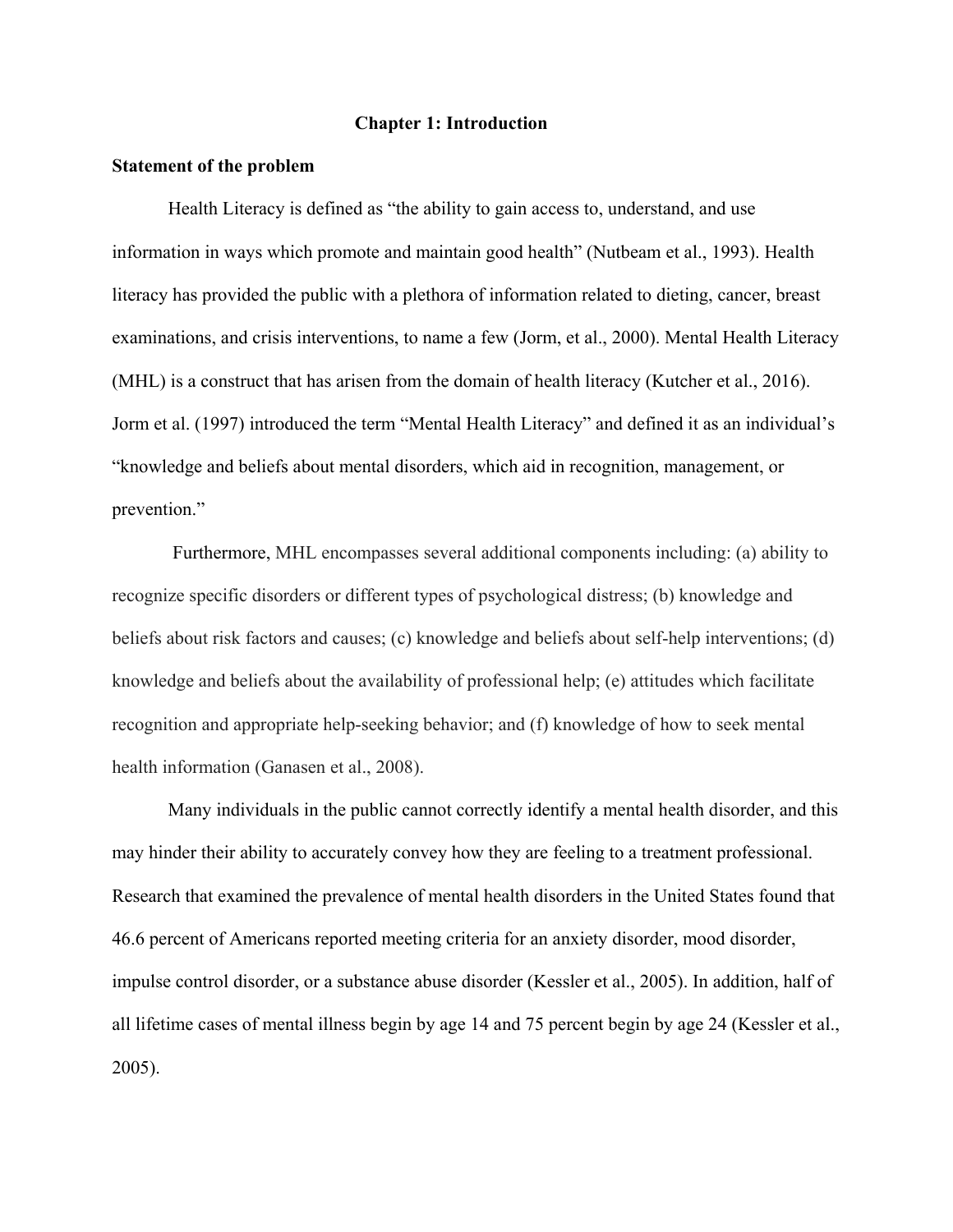#### **Chapter 1: Introduction**

#### **Statement of the problem**

Health Literacy is defined as "the ability to gain access to, understand, and use information in ways which promote and maintain good health" (Nutbeam et al., 1993). Health literacy has provided the public with a plethora of information related to dieting, cancer, breast examinations, and crisis interventions, to name a few (Jorm, et al., 2000). Mental Health Literacy (MHL) is a construct that has arisen from the domain of health literacy (Kutcher et al., 2016). Jorm et al. (1997) introduced the term "Mental Health Literacy" and defined it as an individual's "knowledge and beliefs about mental disorders, which aid in recognition, management, or prevention."

 Furthermore, MHL encompasses several additional components including: (a) ability to recognize specific disorders or different types of psychological distress; (b) knowledge and beliefs about risk factors and causes; (c) knowledge and beliefs about self-help interventions; (d) knowledge and beliefs about the availability of professional help; (e) attitudes which facilitate recognition and appropriate help-seeking behavior; and (f) knowledge of how to seek mental health information (Ganasen et al., 2008).

Many individuals in the public cannot correctly identify a mental health disorder, and this may hinder their ability to accurately convey how they are feeling to a treatment professional. Research that examined the prevalence of mental health disorders in the United States found that 46.6 percent of Americans reported meeting criteria for an anxiety disorder, mood disorder, impulse control disorder, or a substance abuse disorder (Kessler et al., 2005). In addition, half of all lifetime cases of mental illness begin by age 14 and 75 percent begin by age 24 (Kessler et al., 2005).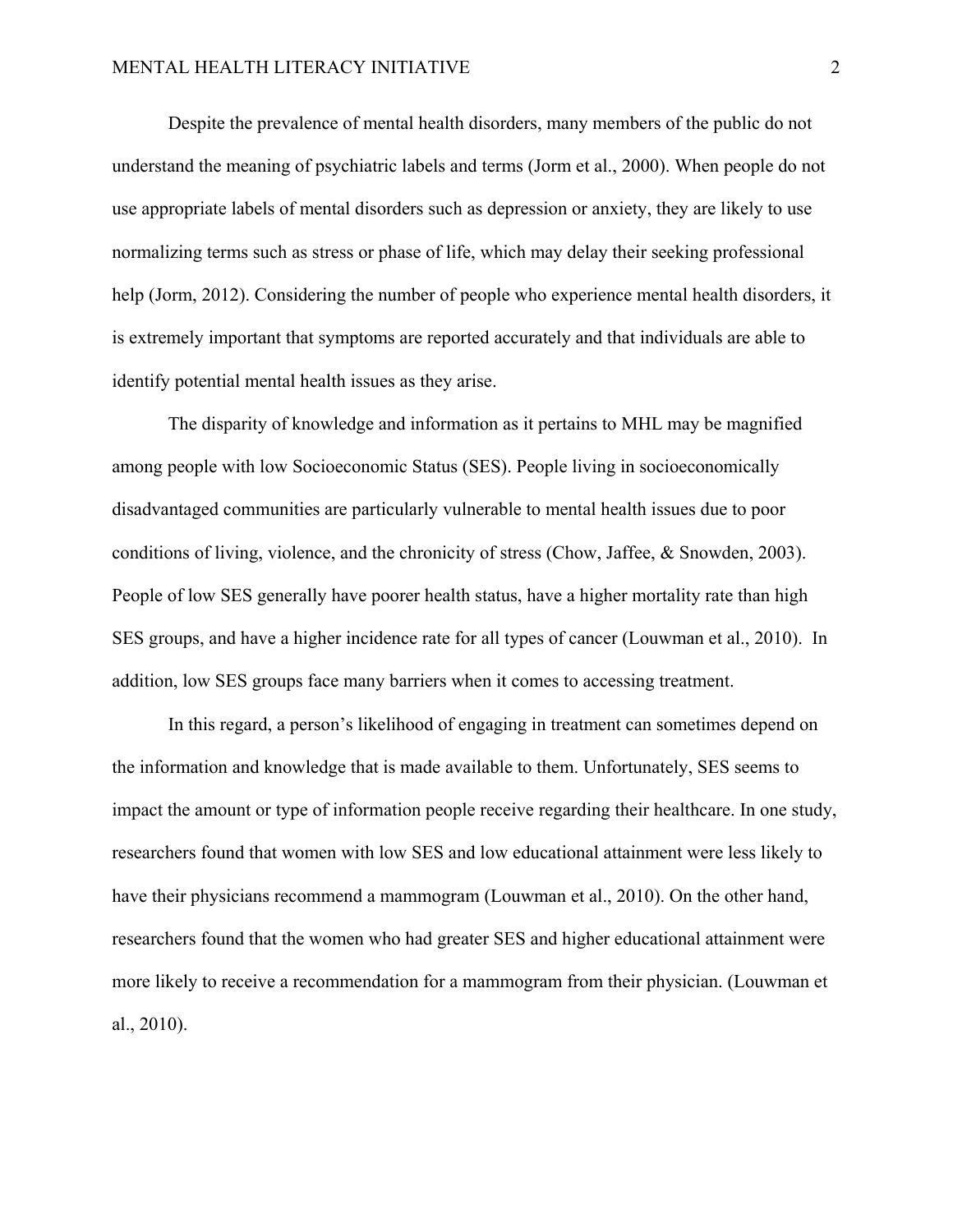Despite the prevalence of mental health disorders, many members of the public do not understand the meaning of psychiatric labels and terms (Jorm et al., 2000). When people do not use appropriate labels of mental disorders such as depression or anxiety, they are likely to use normalizing terms such as stress or phase of life, which may delay their seeking professional help (Jorm, 2012). Considering the number of people who experience mental health disorders, it is extremely important that symptoms are reported accurately and that individuals are able to identify potential mental health issues as they arise.

The disparity of knowledge and information as it pertains to MHL may be magnified among people with low Socioeconomic Status (SES). People living in socioeconomically disadvantaged communities are particularly vulnerable to mental health issues due to poor conditions of living, violence, and the chronicity of stress (Chow, Jaffee, & Snowden, 2003). People of low SES generally have poorer health status, have a higher mortality rate than high SES groups, and have a higher incidence rate for all types of cancer (Louwman et al., 2010). In addition, low SES groups face many barriers when it comes to accessing treatment.

In this regard, a person's likelihood of engaging in treatment can sometimes depend on the information and knowledge that is made available to them. Unfortunately, SES seems to impact the amount or type of information people receive regarding their healthcare. In one study, researchers found that women with low SES and low educational attainment were less likely to have their physicians recommend a mammogram (Louwman et al., 2010). On the other hand, researchers found that the women who had greater SES and higher educational attainment were more likely to receive a recommendation for a mammogram from their physician. (Louwman et al., 2010).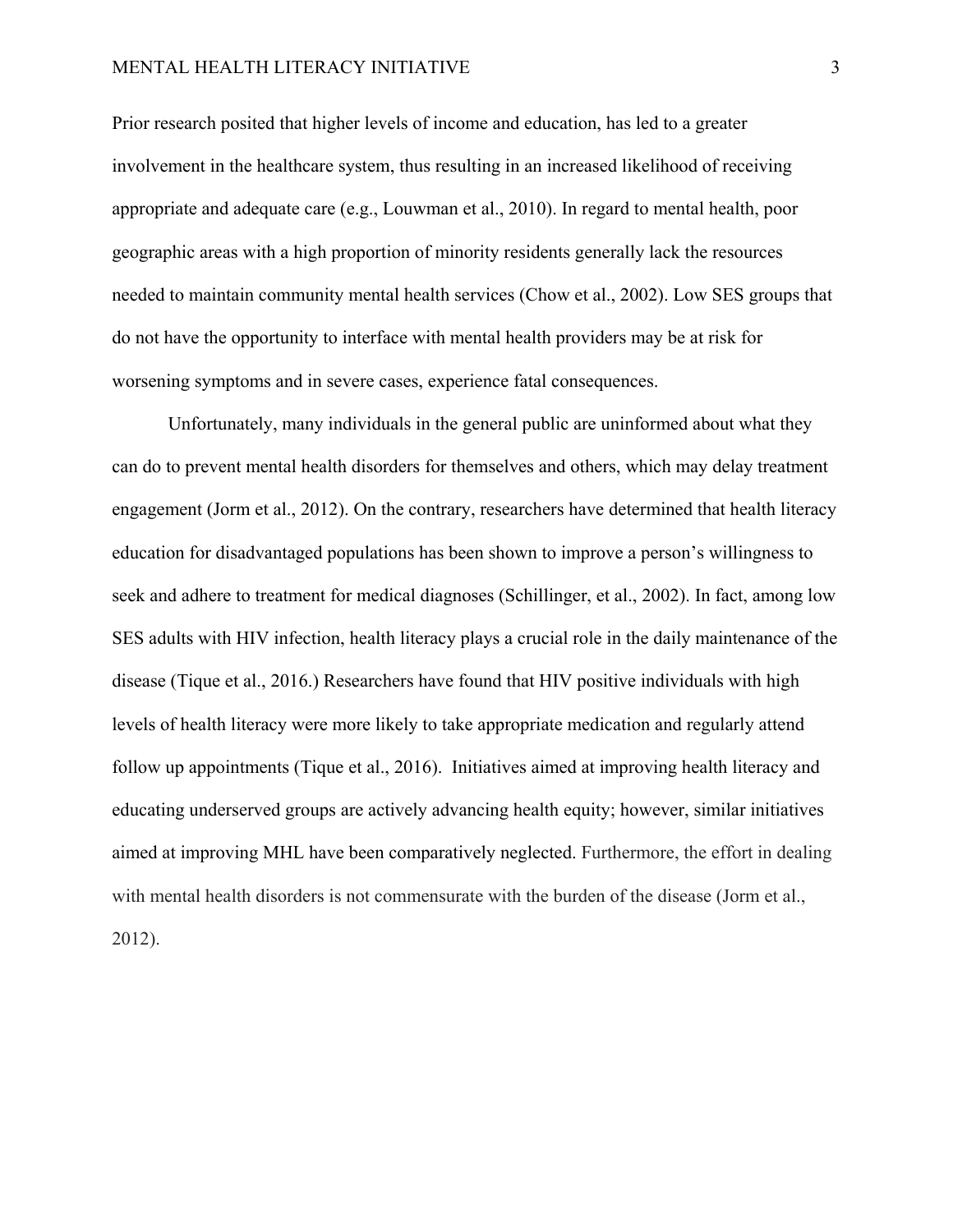Prior research posited that higher levels of income and education, has led to a greater involvement in the healthcare system, thus resulting in an increased likelihood of receiving appropriate and adequate care (e.g., Louwman et al., 2010). In regard to mental health, poor geographic areas with a high proportion of minority residents generally lack the resources needed to maintain community mental health services (Chow et al., 2002). Low SES groups that do not have the opportunity to interface with mental health providers may be at risk for worsening symptoms and in severe cases, experience fatal consequences.

Unfortunately, many individuals in the general public are uninformed about what they can do to prevent mental health disorders for themselves and others, which may delay treatment engagement (Jorm et al., 2012). On the contrary, researchers have determined that health literacy education for disadvantaged populations has been shown to improve a person's willingness to seek and adhere to treatment for medical diagnoses (Schillinger, et al., 2002). In fact, among low SES adults with HIV infection, health literacy plays a crucial role in the daily maintenance of the disease (Tique et al., 2016.) Researchers have found that HIV positive individuals with high levels of health literacy were more likely to take appropriate medication and regularly attend follow up appointments (Tique et al., 2016). Initiatives aimed at improving health literacy and educating underserved groups are actively advancing health equity; however, similar initiatives aimed at improving MHL have been comparatively neglected. Furthermore, the effort in dealing with mental health disorders is not commensurate with the burden of the disease (Jorm et al., 2012).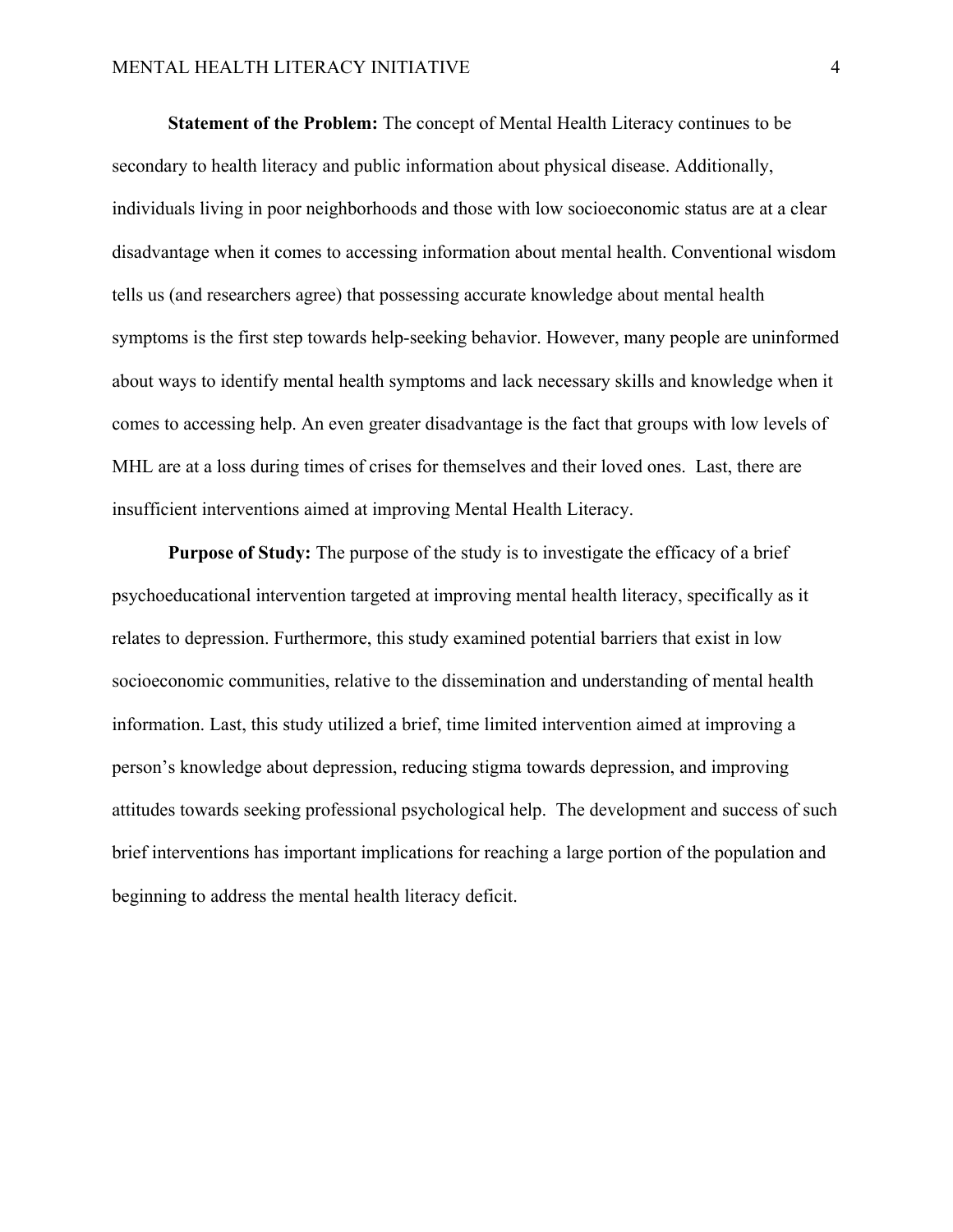**Statement of the Problem:** The concept of Mental Health Literacy continues to be secondary to health literacy and public information about physical disease. Additionally, individuals living in poor neighborhoods and those with low socioeconomic status are at a clear disadvantage when it comes to accessing information about mental health. Conventional wisdom tells us (and researchers agree) that possessing accurate knowledge about mental health symptoms is the first step towards help-seeking behavior. However, many people are uninformed about ways to identify mental health symptoms and lack necessary skills and knowledge when it comes to accessing help. An even greater disadvantage is the fact that groups with low levels of MHL are at a loss during times of crises for themselves and their loved ones. Last, there are insufficient interventions aimed at improving Mental Health Literacy.

**Purpose of Study:** The purpose of the study is to investigate the efficacy of a brief psychoeducational intervention targeted at improving mental health literacy, specifically as it relates to depression. Furthermore, this study examined potential barriers that exist in low socioeconomic communities, relative to the dissemination and understanding of mental health information. Last, this study utilized a brief, time limited intervention aimed at improving a person's knowledge about depression, reducing stigma towards depression, and improving attitudes towards seeking professional psychological help. The development and success of such brief interventions has important implications for reaching a large portion of the population and beginning to address the mental health literacy deficit.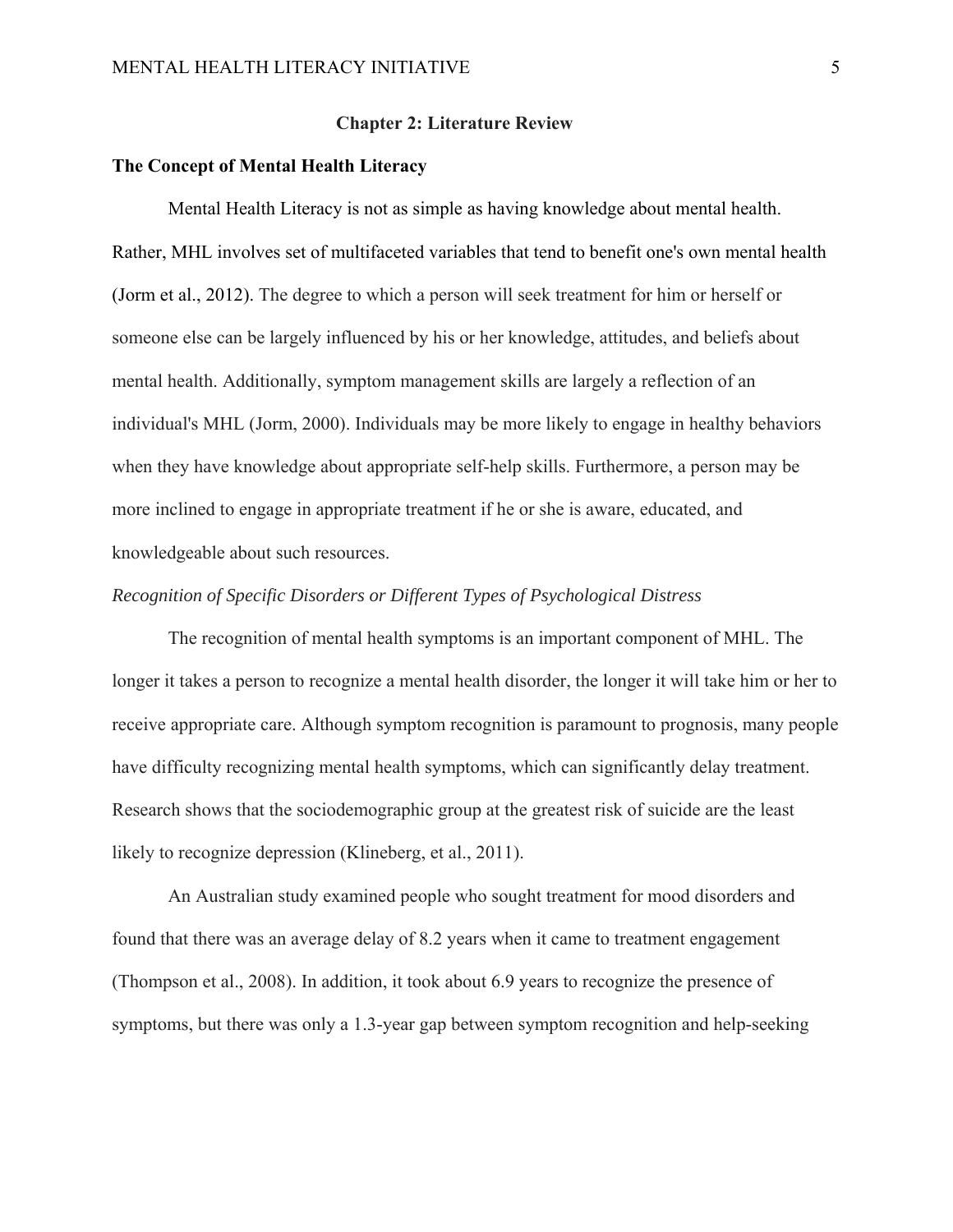#### **Chapter 2: Literature Review**

#### **The Concept of Mental Health Literacy**

Mental Health Literacy is not as simple as having knowledge about mental health. Rather, MHL involves set of multifaceted variables that tend to benefit one's own mental health (Jorm et al., 2012). The degree to which a person will seek treatment for him or herself or someone else can be largely influenced by his or her knowledge, attitudes, and beliefs about mental health. Additionally, symptom management skills are largely a reflection of an individual's MHL (Jorm, 2000). Individuals may be more likely to engage in healthy behaviors when they have knowledge about appropriate self-help skills. Furthermore, a person may be more inclined to engage in appropriate treatment if he or she is aware, educated, and knowledgeable about such resources.

#### *Recognition of Specific Disorders or Different Types of Psychological Distress*

The recognition of mental health symptoms is an important component of MHL. The longer it takes a person to recognize a mental health disorder, the longer it will take him or her to receive appropriate care. Although symptom recognition is paramount to prognosis, many people have difficulty recognizing mental health symptoms, which can significantly delay treatment. Research shows that the sociodemographic group at the greatest risk of suicide are the least likely to recognize depression (Klineberg, et al., 2011).

An Australian study examined people who sought treatment for mood disorders and found that there was an average delay of 8.2 years when it came to treatment engagement (Thompson et al., 2008). In addition, it took about 6.9 years to recognize the presence of symptoms, but there was only a 1.3-year gap between symptom recognition and help-seeking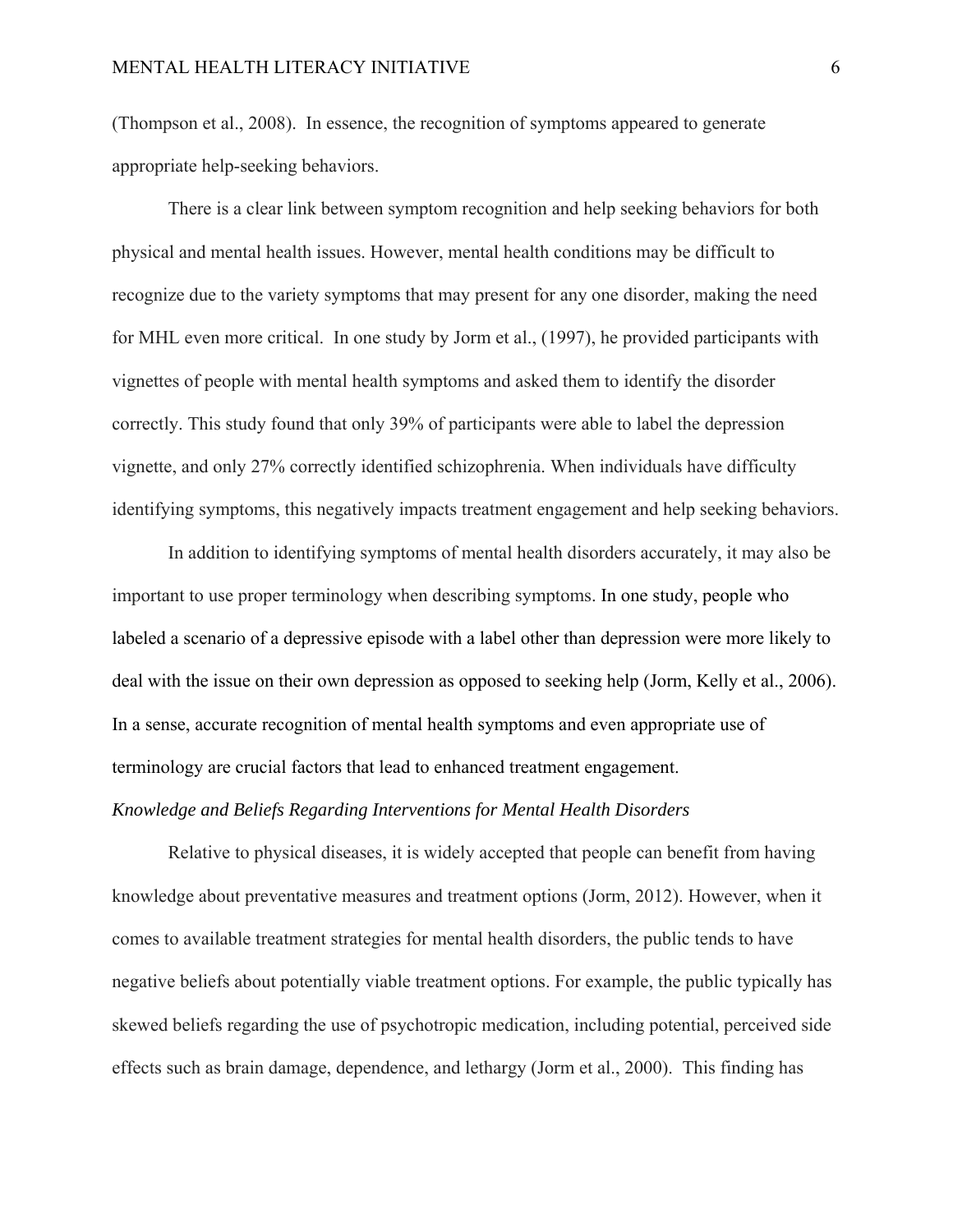(Thompson et al., 2008). In essence, the recognition of symptoms appeared to generate appropriate help-seeking behaviors.

There is a clear link between symptom recognition and help seeking behaviors for both physical and mental health issues. However, mental health conditions may be difficult to recognize due to the variety symptoms that may present for any one disorder, making the need for MHL even more critical. In one study by Jorm et al., (1997), he provided participants with vignettes of people with mental health symptoms and asked them to identify the disorder correctly. This study found that only 39% of participants were able to label the depression vignette, and only 27% correctly identified schizophrenia. When individuals have difficulty identifying symptoms, this negatively impacts treatment engagement and help seeking behaviors.

In addition to identifying symptoms of mental health disorders accurately, it may also be important to use proper terminology when describing symptoms. In one study, people who labeled a scenario of a depressive episode with a label other than depression were more likely to deal with the issue on their own depression as opposed to seeking help (Jorm, Kelly et al., 2006). In a sense, accurate recognition of mental health symptoms and even appropriate use of terminology are crucial factors that lead to enhanced treatment engagement.

#### *Knowledge and Beliefs Regarding Interventions for Mental Health Disorders*

Relative to physical diseases, it is widely accepted that people can benefit from having knowledge about preventative measures and treatment options (Jorm, 2012). However, when it comes to available treatment strategies for mental health disorders, the public tends to have negative beliefs about potentially viable treatment options. For example, the public typically has skewed beliefs regarding the use of psychotropic medication, including potential, perceived side effects such as brain damage, dependence, and lethargy (Jorm et al., 2000). This finding has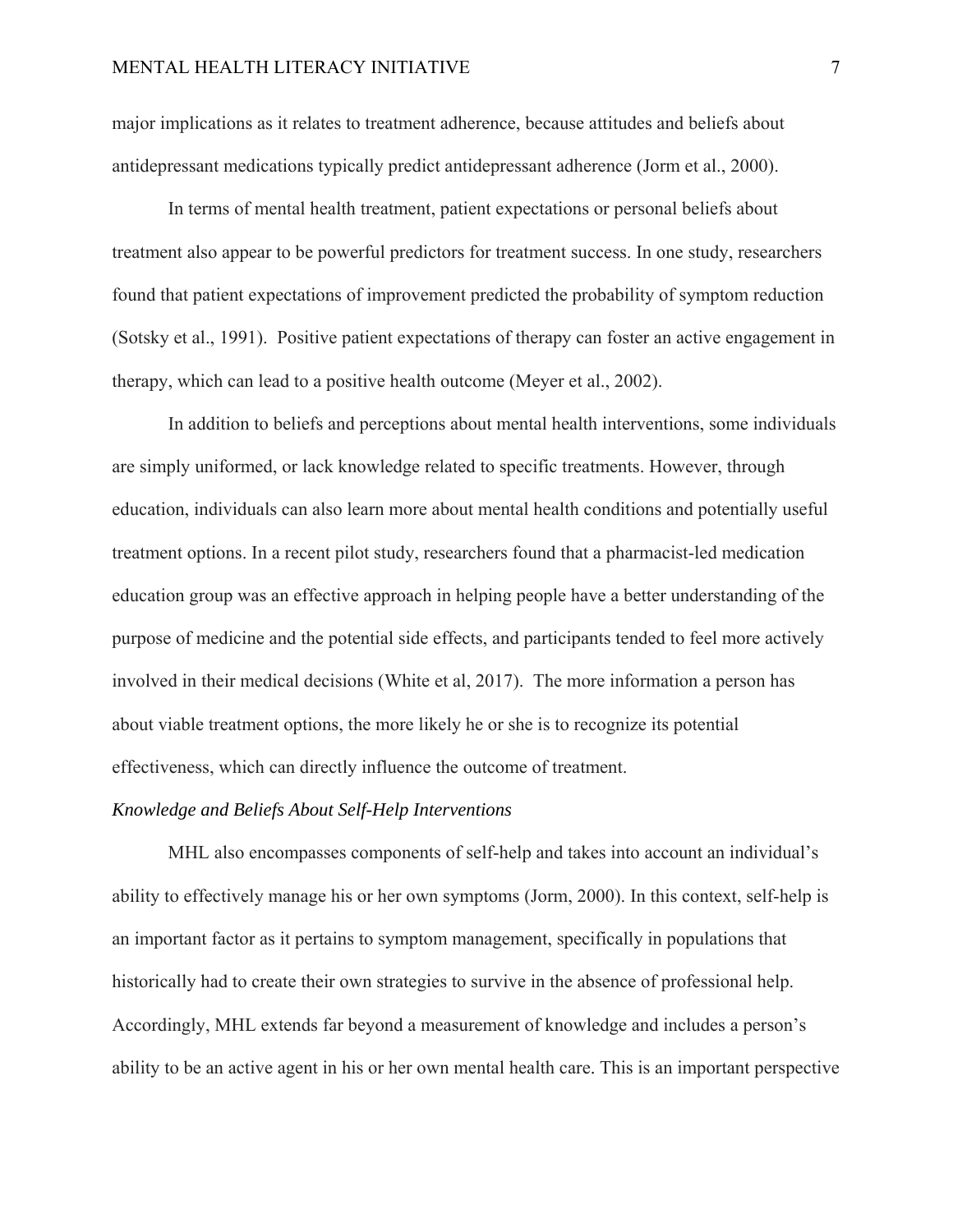major implications as it relates to treatment adherence, because attitudes and beliefs about antidepressant medications typically predict antidepressant adherence (Jorm et al., 2000).

In terms of mental health treatment, patient expectations or personal beliefs about treatment also appear to be powerful predictors for treatment success. In one study, researchers found that patient expectations of improvement predicted the probability of symptom reduction (Sotsky et al., 1991). Positive patient expectations of therapy can foster an active engagement in therapy, which can lead to a positive health outcome (Meyer et al., 2002).

In addition to beliefs and perceptions about mental health interventions, some individuals are simply uniformed, or lack knowledge related to specific treatments. However, through education, individuals can also learn more about mental health conditions and potentially useful treatment options. In a recent pilot study, researchers found that a pharmacist-led medication education group was an effective approach in helping people have a better understanding of the purpose of medicine and the potential side effects, and participants tended to feel more actively involved in their medical decisions (White et al, 2017). The more information a person has about viable treatment options, the more likely he or she is to recognize its potential effectiveness, which can directly influence the outcome of treatment.

#### *Knowledge and Beliefs About Self-Help Interventions*

MHL also encompasses components of self-help and takes into account an individual's ability to effectively manage his or her own symptoms (Jorm, 2000). In this context, self-help is an important factor as it pertains to symptom management, specifically in populations that historically had to create their own strategies to survive in the absence of professional help. Accordingly, MHL extends far beyond a measurement of knowledge and includes a person's ability to be an active agent in his or her own mental health care. This is an important perspective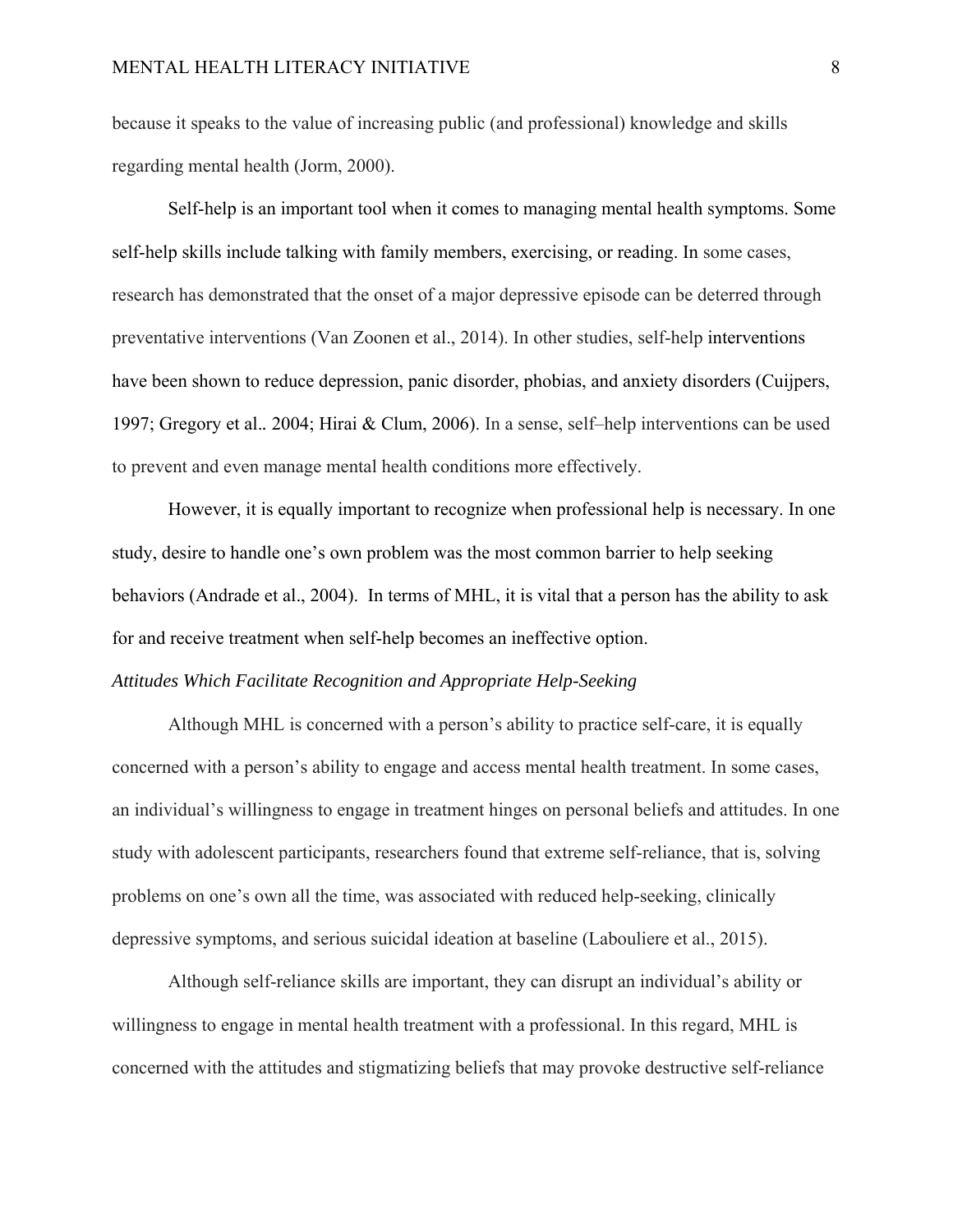because it speaks to the value of increasing public (and professional) knowledge and skills regarding mental health (Jorm, 2000).

Self-help is an important tool when it comes to managing mental health symptoms. Some self-help skills include talking with family members, exercising, or reading. In some cases, research has demonstrated that the onset of a major depressive episode can be deterred through preventative interventions (Van Zoonen et al., 2014). In other studies, self-help interventions have been shown to reduce depression, panic disorder, phobias, and anxiety disorders (Cuijpers, 1997; Gregory et al.*.* 2004; Hirai & Clum, 2006). In a sense, self–help interventions can be used to prevent and even manage mental health conditions more effectively.

However, it is equally important to recognize when professional help is necessary. In one study, desire to handle one's own problem was the most common barrier to help seeking behaviors (Andrade et al., 2004). In terms of MHL, it is vital that a person has the ability to ask for and receive treatment when self-help becomes an ineffective option.

#### *Attitudes Which Facilitate Recognition and Appropriate Help-Seeking*

Although MHL is concerned with a person's ability to practice self-care, it is equally concerned with a person's ability to engage and access mental health treatment. In some cases, an individual's willingness to engage in treatment hinges on personal beliefs and attitudes. In one study with adolescent participants, researchers found that extreme self-reliance, that is, solving problems on one's own all the time, was associated with reduced help-seeking, clinically depressive symptoms, and serious suicidal ideation at baseline (Labouliere et al., 2015).

Although self-reliance skills are important, they can disrupt an individual's ability or willingness to engage in mental health treatment with a professional. In this regard, MHL is concerned with the attitudes and stigmatizing beliefs that may provoke destructive self-reliance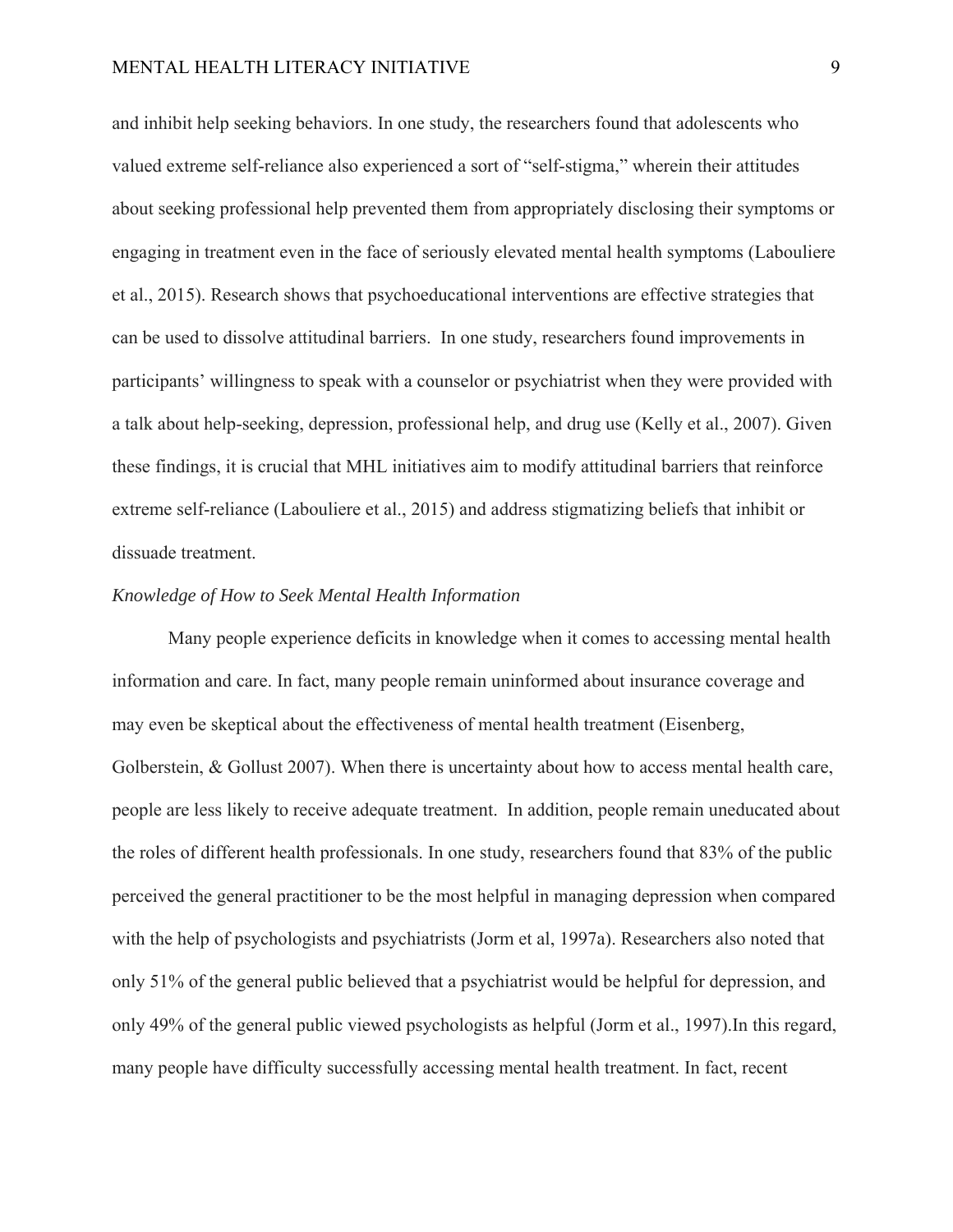and inhibit help seeking behaviors. In one study, the researchers found that adolescents who valued extreme self-reliance also experienced a sort of "self-stigma," wherein their attitudes about seeking professional help prevented them from appropriately disclosing their symptoms or engaging in treatment even in the face of seriously elevated mental health symptoms (Labouliere et al., 2015). Research shows that psychoeducational interventions are effective strategies that can be used to dissolve attitudinal barriers. In one study, researchers found improvements in participants' willingness to speak with a counselor or psychiatrist when they were provided with a talk about help-seeking, depression, professional help, and drug use (Kelly et al., 2007). Given these findings, it is crucial that MHL initiatives aim to modify attitudinal barriers that reinforce extreme self-reliance (Labouliere et al., 2015) and address stigmatizing beliefs that inhibit or dissuade treatment.

#### *Knowledge of How to Seek Mental Health Information*

Many people experience deficits in knowledge when it comes to accessing mental health information and care. In fact, many people remain uninformed about insurance coverage and may even be skeptical about the effectiveness of mental health treatment (Eisenberg, Golberstein, & Gollust 2007). When there is uncertainty about how to access mental health care, people are less likely to receive adequate treatment. In addition, people remain uneducated about the roles of different health professionals. In one study, researchers found that 83% of the public perceived the general practitioner to be the most helpful in managing depression when compared with the help of psychologists and psychiatrists (Jorm et al, 1997a). Researchers also noted that only 51% of the general public believed that a psychiatrist would be helpful for depression, and only 49% of the general public viewed psychologists as helpful (Jorm et al., 1997).In this regard, many people have difficulty successfully accessing mental health treatment. In fact, recent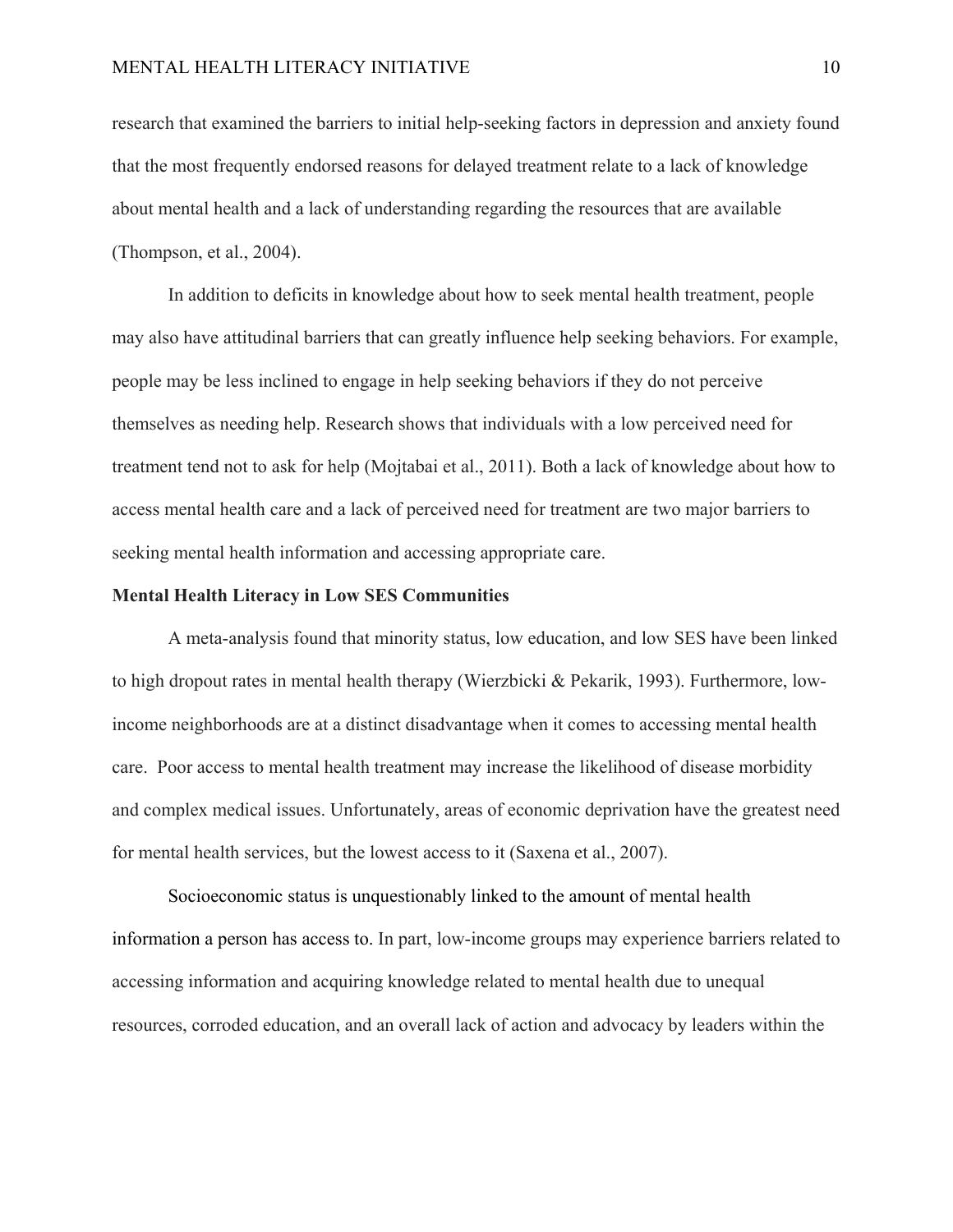research that examined the barriers to initial help-seeking factors in depression and anxiety found that the most frequently endorsed reasons for delayed treatment relate to a lack of knowledge about mental health and a lack of understanding regarding the resources that are available (Thompson, et al., 2004).

In addition to deficits in knowledge about how to seek mental health treatment, people may also have attitudinal barriers that can greatly influence help seeking behaviors. For example, people may be less inclined to engage in help seeking behaviors if they do not perceive themselves as needing help. Research shows that individuals with a low perceived need for treatment tend not to ask for help (Mojtabai et al., 2011). Both a lack of knowledge about how to access mental health care and a lack of perceived need for treatment are two major barriers to seeking mental health information and accessing appropriate care.

#### **Mental Health Literacy in Low SES Communities**

A meta-analysis found that minority status, low education, and low SES have been linked to high dropout rates in mental health therapy (Wierzbicki & Pekarik, 1993). Furthermore, lowincome neighborhoods are at a distinct disadvantage when it comes to accessing mental health care. Poor access to mental health treatment may increase the likelihood of disease morbidity and complex medical issues. Unfortunately, areas of economic deprivation have the greatest need for mental health services, but the lowest access to it (Saxena et al., 2007).

Socioeconomic status is unquestionably linked to the amount of mental health information a person has access to. In part, low-income groups may experience barriers related to accessing information and acquiring knowledge related to mental health due to unequal resources, corroded education, and an overall lack of action and advocacy by leaders within the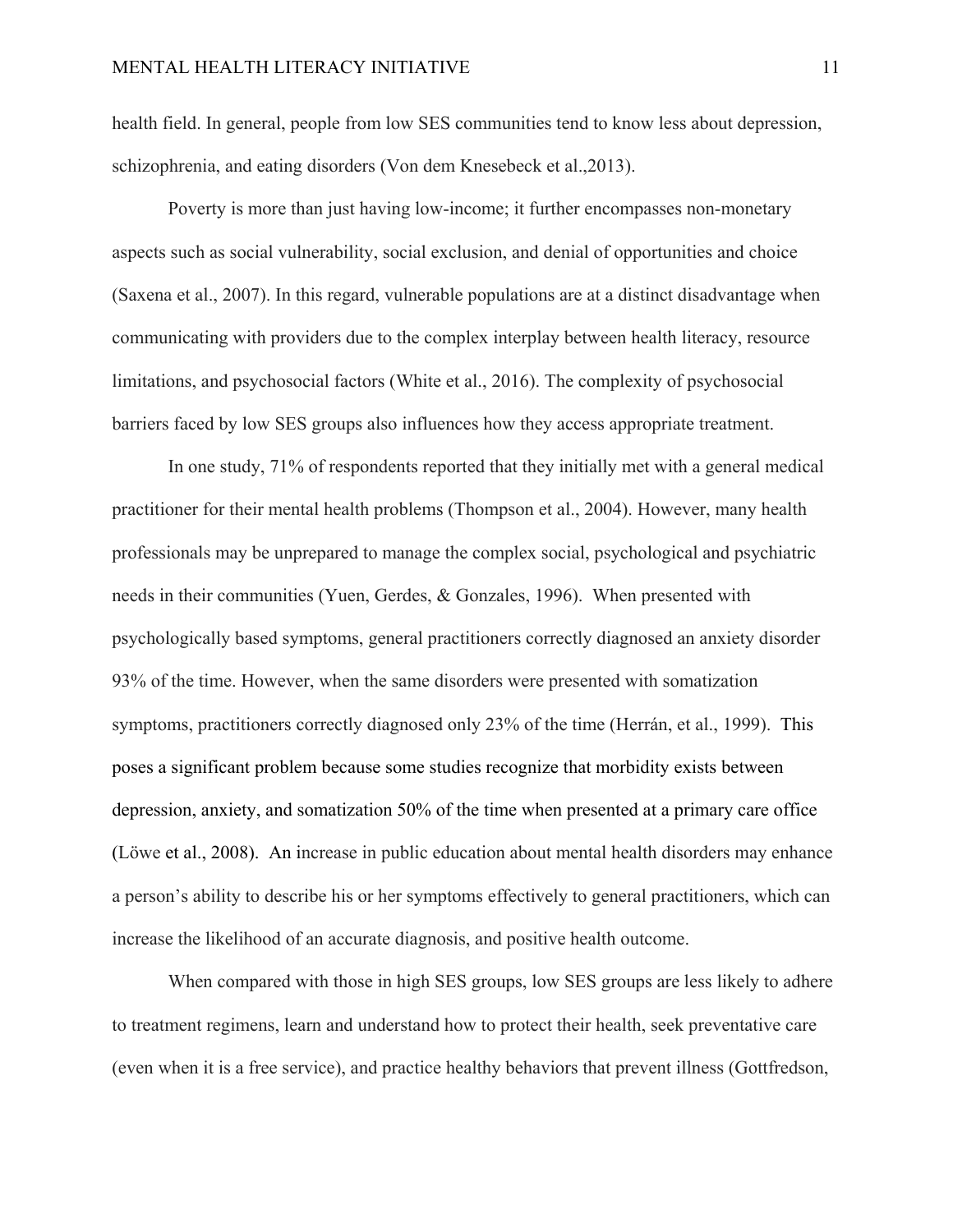health field. In general, people from low SES communities tend to know less about depression, schizophrenia, and eating disorders (Von dem Knesebeck et al.,2013).

Poverty is more than just having low-income; it further encompasses non-monetary aspects such as social vulnerability, social exclusion, and denial of opportunities and choice (Saxena et al., 2007). In this regard, vulnerable populations are at a distinct disadvantage when communicating with providers due to the complex interplay between health literacy, resource limitations, and psychosocial factors (White et al., 2016). The complexity of psychosocial barriers faced by low SES groups also influences how they access appropriate treatment.

In one study, 71% of respondents reported that they initially met with a general medical practitioner for their mental health problems (Thompson et al., 2004). However, many health professionals may be unprepared to manage the complex social, psychological and psychiatric needs in their communities (Yuen, Gerdes, & Gonzales, 1996). When presented with psychologically based symptoms, general practitioners correctly diagnosed an anxiety disorder 93% of the time. However, when the same disorders were presented with somatization symptoms, practitioners correctly diagnosed only 23% of the time (Herrán, et al., 1999). This poses a significant problem because some studies recognize that morbidity exists between depression, anxiety, and somatization 50% of the time when presented at a primary care office (Löwe et al., 2008). An increase in public education about mental health disorders may enhance a person's ability to describe his or her symptoms effectively to general practitioners, which can increase the likelihood of an accurate diagnosis, and positive health outcome.

When compared with those in high SES groups, low SES groups are less likely to adhere to treatment regimens, learn and understand how to protect their health, seek preventative care (even when it is a free service), and practice healthy behaviors that prevent illness (Gottfredson,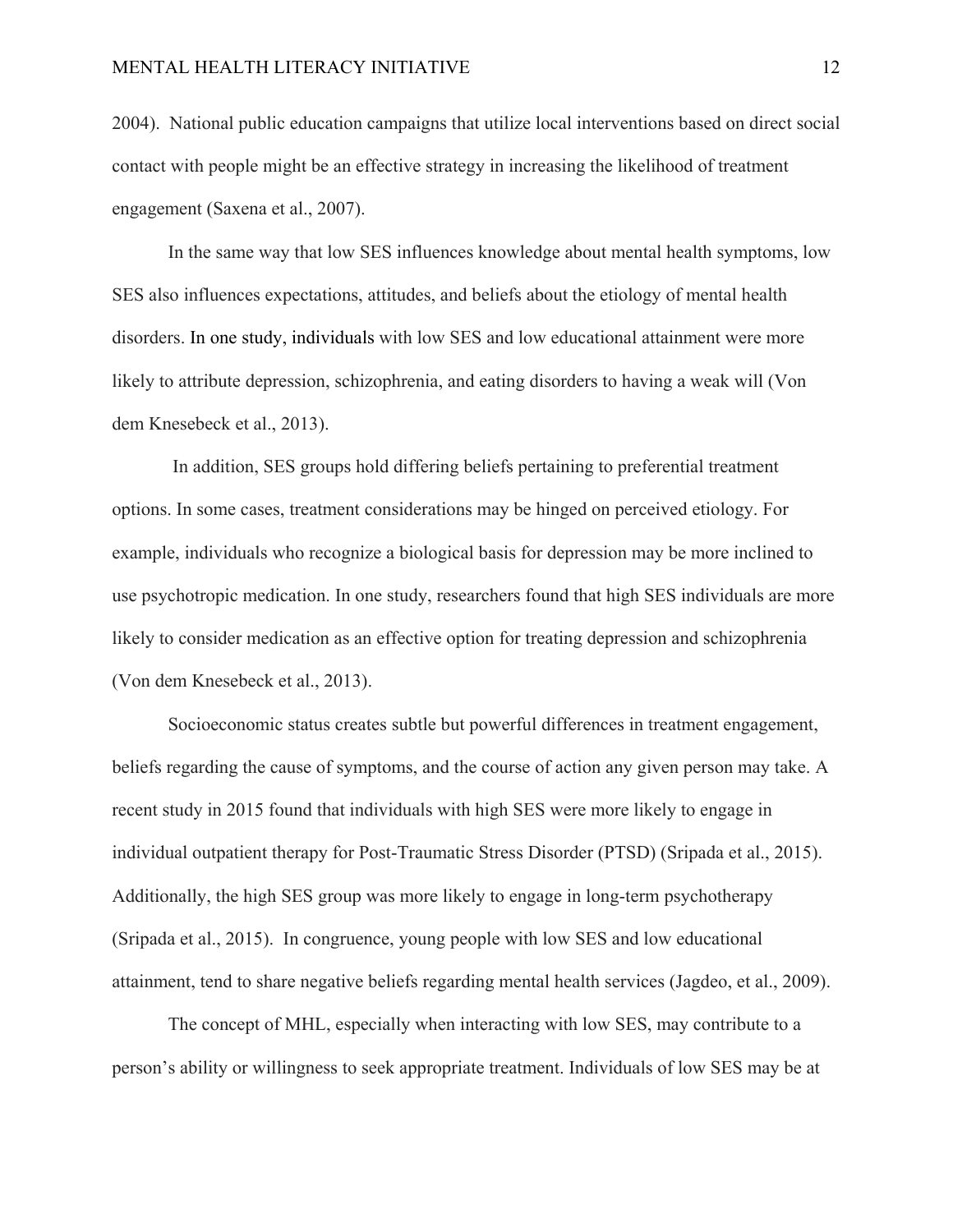2004). National public education campaigns that utilize local interventions based on direct social contact with people might be an effective strategy in increasing the likelihood of treatment engagement (Saxena et al., 2007).

In the same way that low SES influences knowledge about mental health symptoms, low SES also influences expectations, attitudes, and beliefs about the etiology of mental health disorders. In one study, individuals with low SES and low educational attainment were more likely to attribute depression, schizophrenia, and eating disorders to having a weak will (Von dem Knesebeck et al., 2013).

 In addition, SES groups hold differing beliefs pertaining to preferential treatment options. In some cases, treatment considerations may be hinged on perceived etiology. For example, individuals who recognize a biological basis for depression may be more inclined to use psychotropic medication. In one study, researchers found that high SES individuals are more likely to consider medication as an effective option for treating depression and schizophrenia (Von dem Knesebeck et al., 2013).

Socioeconomic status creates subtle but powerful differences in treatment engagement, beliefs regarding the cause of symptoms, and the course of action any given person may take. A recent study in 2015 found that individuals with high SES were more likely to engage in individual outpatient therapy for Post-Traumatic Stress Disorder (PTSD) (Sripada et al., 2015). Additionally, the high SES group was more likely to engage in long-term psychotherapy (Sripada et al., 2015). In congruence, young people with low SES and low educational attainment, tend to share negative beliefs regarding mental health services (Jagdeo, et al., 2009).

The concept of MHL, especially when interacting with low SES, may contribute to a person's ability or willingness to seek appropriate treatment. Individuals of low SES may be at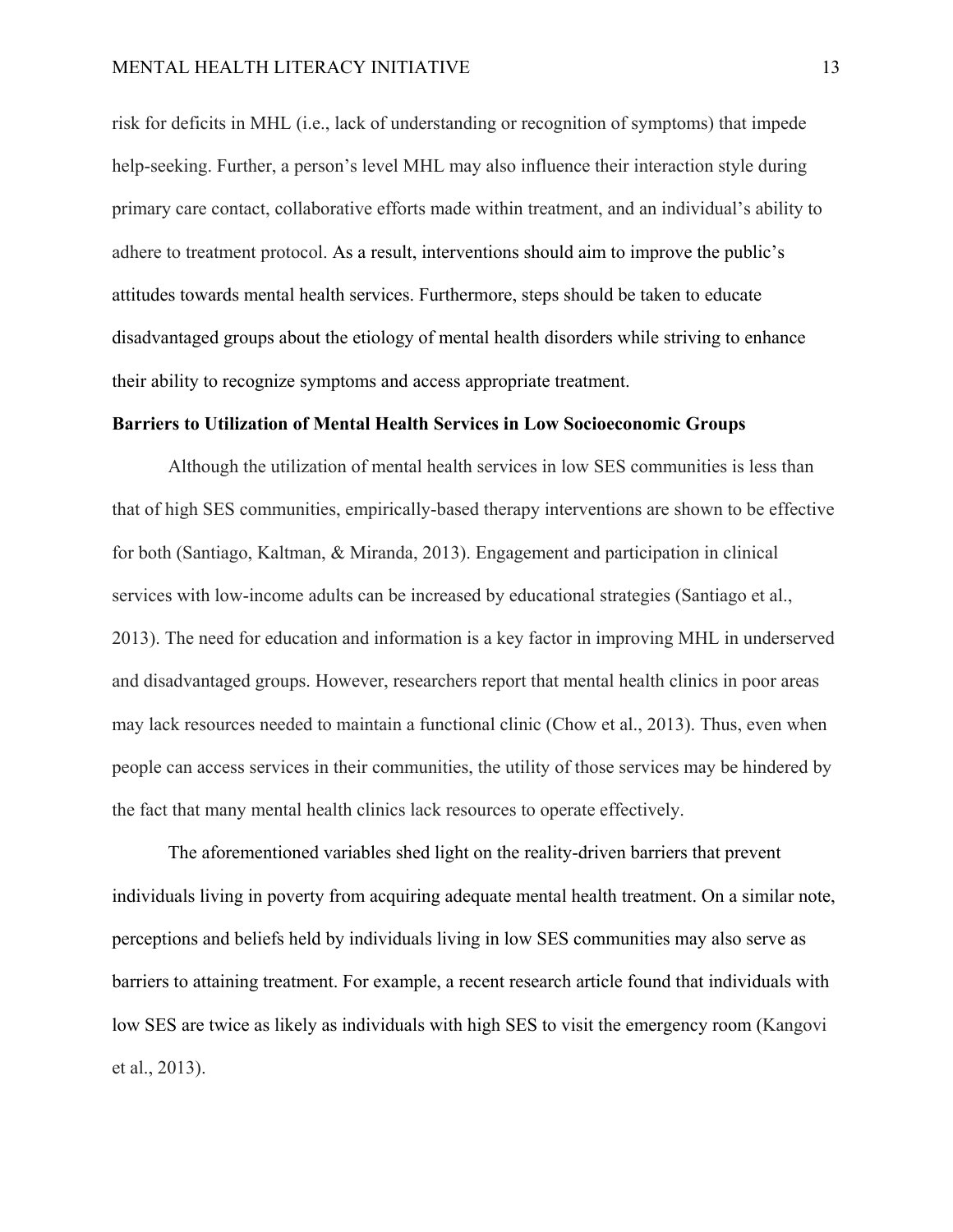risk for deficits in MHL (i.e., lack of understanding or recognition of symptoms) that impede help-seeking. Further, a person's level MHL may also influence their interaction style during primary care contact, collaborative efforts made within treatment, and an individual's ability to adhere to treatment protocol. As a result, interventions should aim to improve the public's attitudes towards mental health services. Furthermore, steps should be taken to educate disadvantaged groups about the etiology of mental health disorders while striving to enhance their ability to recognize symptoms and access appropriate treatment.

#### **Barriers to Utilization of Mental Health Services in Low Socioeconomic Groups**

Although the utilization of mental health services in low SES communities is less than that of high SES communities, empirically-based therapy interventions are shown to be effective for both (Santiago, Kaltman, & Miranda, 2013). Engagement and participation in clinical services with low-income adults can be increased by educational strategies (Santiago et al., 2013). The need for education and information is a key factor in improving MHL in underserved and disadvantaged groups. However, researchers report that mental health clinics in poor areas may lack resources needed to maintain a functional clinic (Chow et al., 2013). Thus, even when people can access services in their communities, the utility of those services may be hindered by the fact that many mental health clinics lack resources to operate effectively.

The aforementioned variables shed light on the reality-driven barriers that prevent individuals living in poverty from acquiring adequate mental health treatment. On a similar note, perceptions and beliefs held by individuals living in low SES communities may also serve as barriers to attaining treatment. For example, a recent research article found that individuals with low SES are twice as likely as individuals with high SES to visit the emergency room (Kangovi et al., 2013).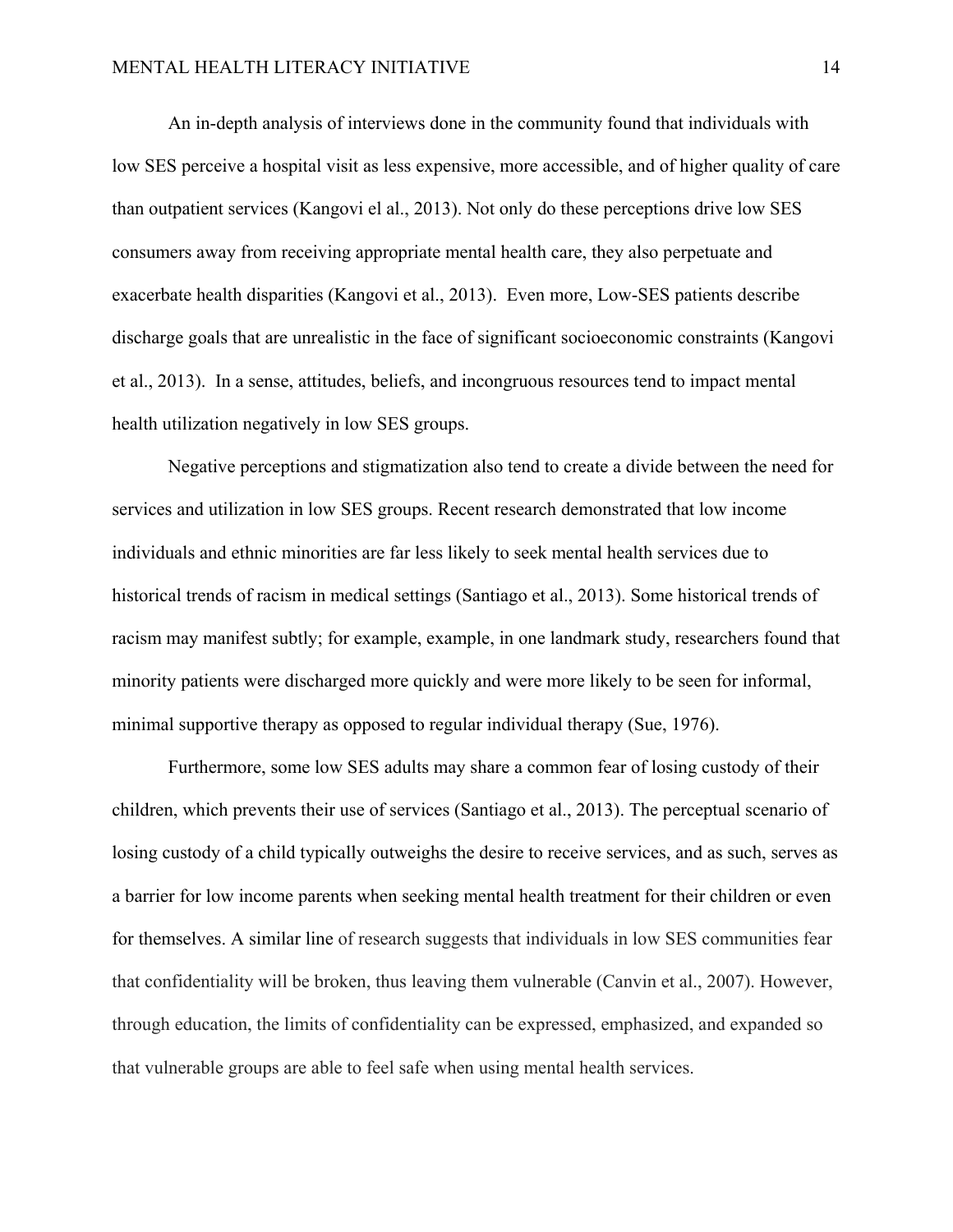An in-depth analysis of interviews done in the community found that individuals with low SES perceive a hospital visit as less expensive, more accessible, and of higher quality of care than outpatient services (Kangovi el al., 2013). Not only do these perceptions drive low SES consumers away from receiving appropriate mental health care, they also perpetuate and exacerbate health disparities (Kangovi et al., 2013). Even more, Low-SES patients describe discharge goals that are unrealistic in the face of significant socioeconomic constraints (Kangovi et al., 2013). In a sense, attitudes, beliefs, and incongruous resources tend to impact mental health utilization negatively in low SES groups.

Negative perceptions and stigmatization also tend to create a divide between the need for services and utilization in low SES groups. Recent research demonstrated that low income individuals and ethnic minorities are far less likely to seek mental health services due to historical trends of racism in medical settings (Santiago et al., 2013). Some historical trends of racism may manifest subtly; for example, example, in one landmark study, researchers found that minority patients were discharged more quickly and were more likely to be seen for informal, minimal supportive therapy as opposed to regular individual therapy (Sue, 1976).

Furthermore, some low SES adults may share a common fear of losing custody of their children, which prevents their use of services (Santiago et al., 2013). The perceptual scenario of losing custody of a child typically outweighs the desire to receive services, and as such, serves as a barrier for low income parents when seeking mental health treatment for their children or even for themselves. A similar line of research suggests that individuals in low SES communities fear that confidentiality will be broken, thus leaving them vulnerable (Canvin et al., 2007). However, through education, the limits of confidentiality can be expressed, emphasized, and expanded so that vulnerable groups are able to feel safe when using mental health services.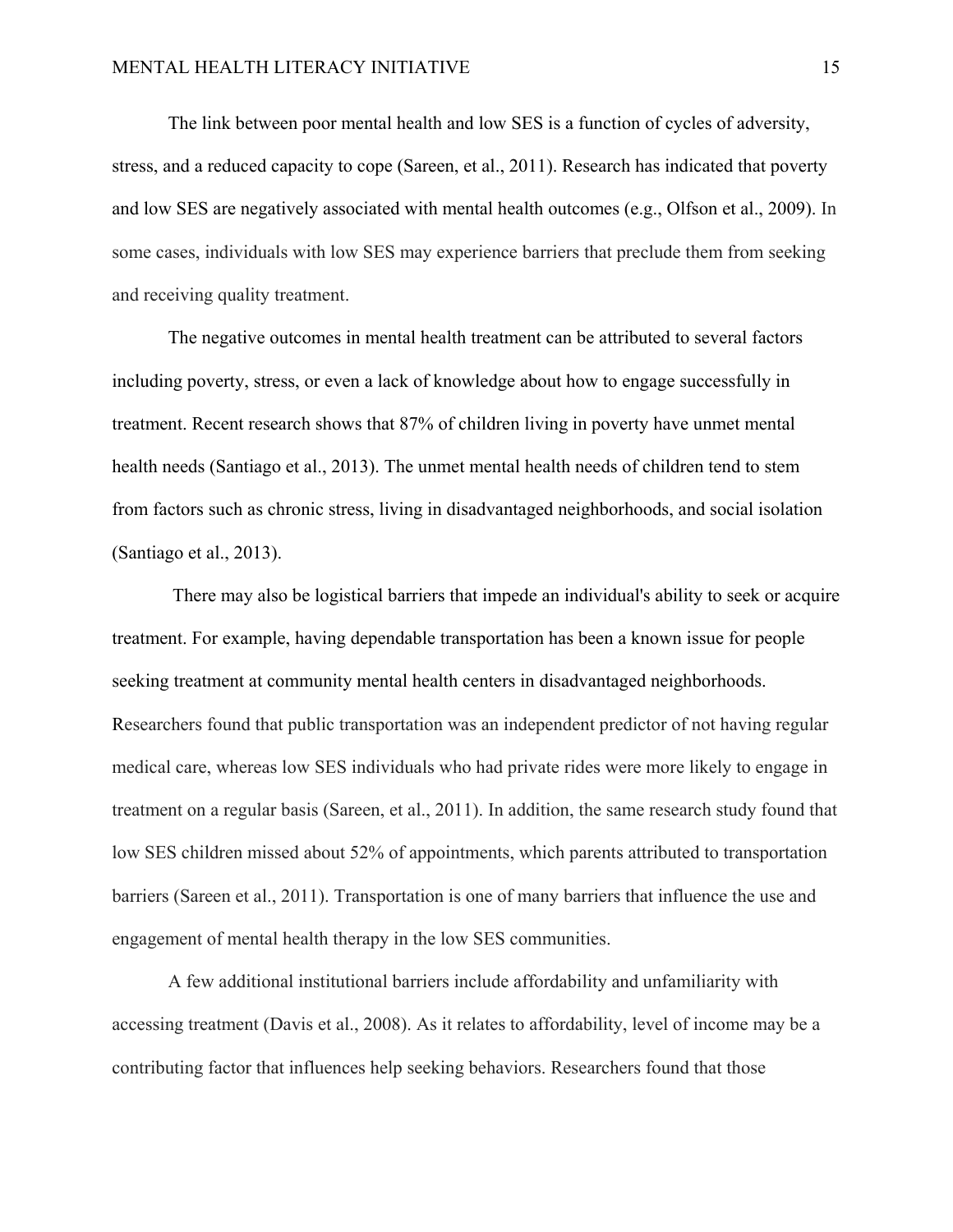The link between poor mental health and low SES is a function of cycles of adversity, stress, and a reduced capacity to cope (Sareen, et al., 2011). Research has indicated that poverty and low SES are negatively associated with mental health outcomes (e.g., Olfson et al., 2009). In some cases, individuals with low SES may experience barriers that preclude them from seeking and receiving quality treatment.

The negative outcomes in mental health treatment can be attributed to several factors including poverty, stress, or even a lack of knowledge about how to engage successfully in treatment. Recent research shows that 87% of children living in poverty have unmet mental health needs (Santiago et al., 2013). The unmet mental health needs of children tend to stem from factors such as chronic stress, living in disadvantaged neighborhoods, and social isolation (Santiago et al., 2013).

 There may also be logistical barriers that impede an individual's ability to seek or acquire treatment. For example, having dependable transportation has been a known issue for people seeking treatment at community mental health centers in disadvantaged neighborhoods. Researchers found that public transportation was an independent predictor of not having regular medical care, whereas low SES individuals who had private rides were more likely to engage in treatment on a regular basis (Sareen, et al., 2011). In addition, the same research study found that low SES children missed about 52% of appointments, which parents attributed to transportation barriers (Sareen et al., 2011). Transportation is one of many barriers that influence the use and engagement of mental health therapy in the low SES communities.

A few additional institutional barriers include affordability and unfamiliarity with accessing treatment (Davis et al., 2008). As it relates to affordability, level of income may be a contributing factor that influences help seeking behaviors. Researchers found that those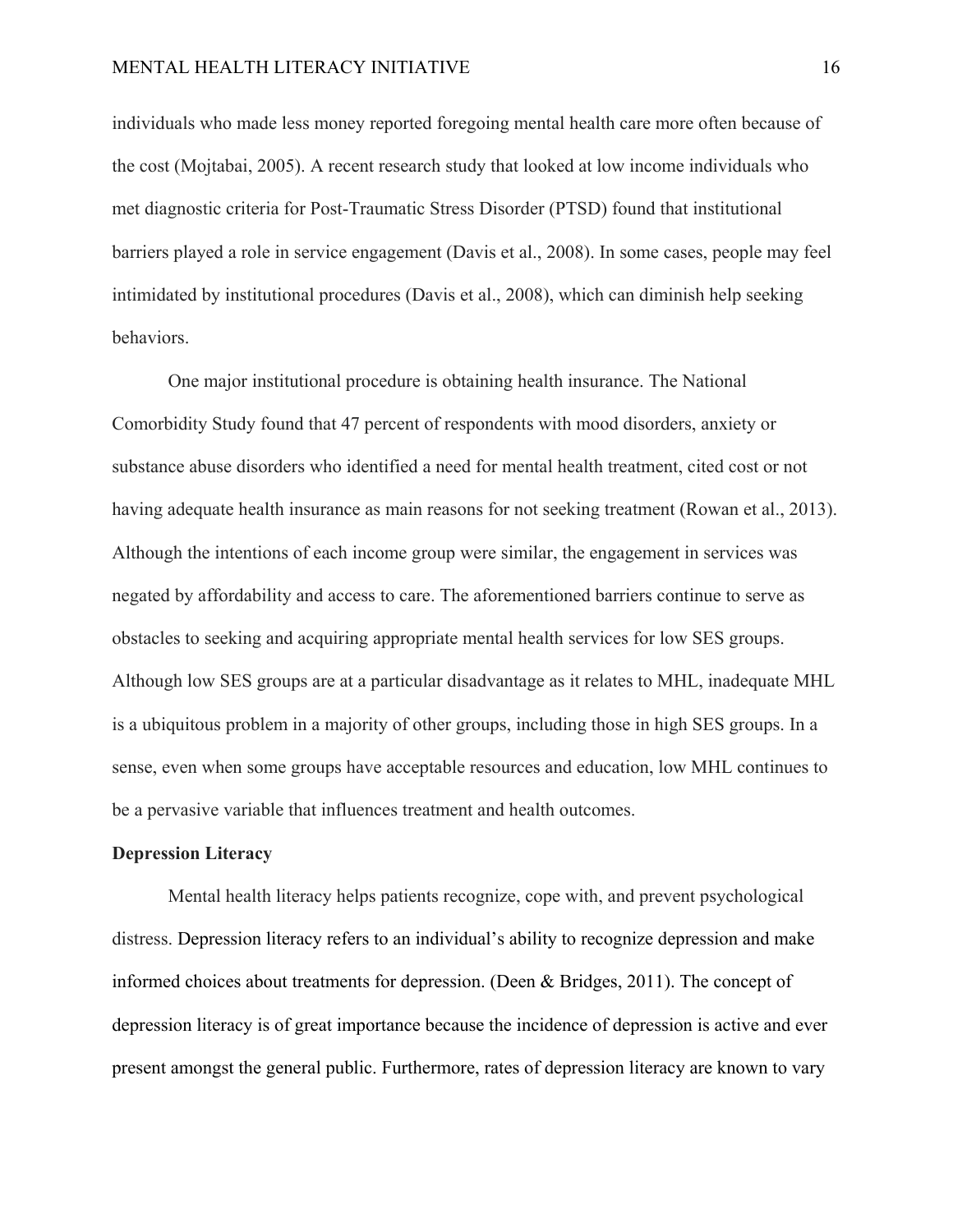individuals who made less money reported foregoing mental health care more often because of the cost (Mojtabai, 2005). A recent research study that looked at low income individuals who met diagnostic criteria for Post-Traumatic Stress Disorder (PTSD) found that institutional barriers played a role in service engagement (Davis et al., 2008). In some cases, people may feel intimidated by institutional procedures (Davis et al., 2008), which can diminish help seeking behaviors.

One major institutional procedure is obtaining health insurance. The National Comorbidity Study found that 47 percent of respondents with mood disorders, anxiety or substance abuse disorders who identified a need for mental health treatment, cited cost or not having adequate health insurance as main reasons for not seeking treatment (Rowan et al., 2013). Although the intentions of each income group were similar, the engagement in services was negated by affordability and access to care. The aforementioned barriers continue to serve as obstacles to seeking and acquiring appropriate mental health services for low SES groups. Although low SES groups are at a particular disadvantage as it relates to MHL, inadequate MHL is a ubiquitous problem in a majority of other groups, including those in high SES groups. In a sense, even when some groups have acceptable resources and education, low MHL continues to be a pervasive variable that influences treatment and health outcomes.

#### **Depression Literacy**

Mental health literacy helps patients recognize, cope with, and prevent psychological distress. Depression literacy refers to an individual's ability to recognize depression and make informed choices about treatments for depression. (Deen & Bridges, 2011). The concept of depression literacy is of great importance because the incidence of depression is active and ever present amongst the general public. Furthermore, rates of depression literacy are known to vary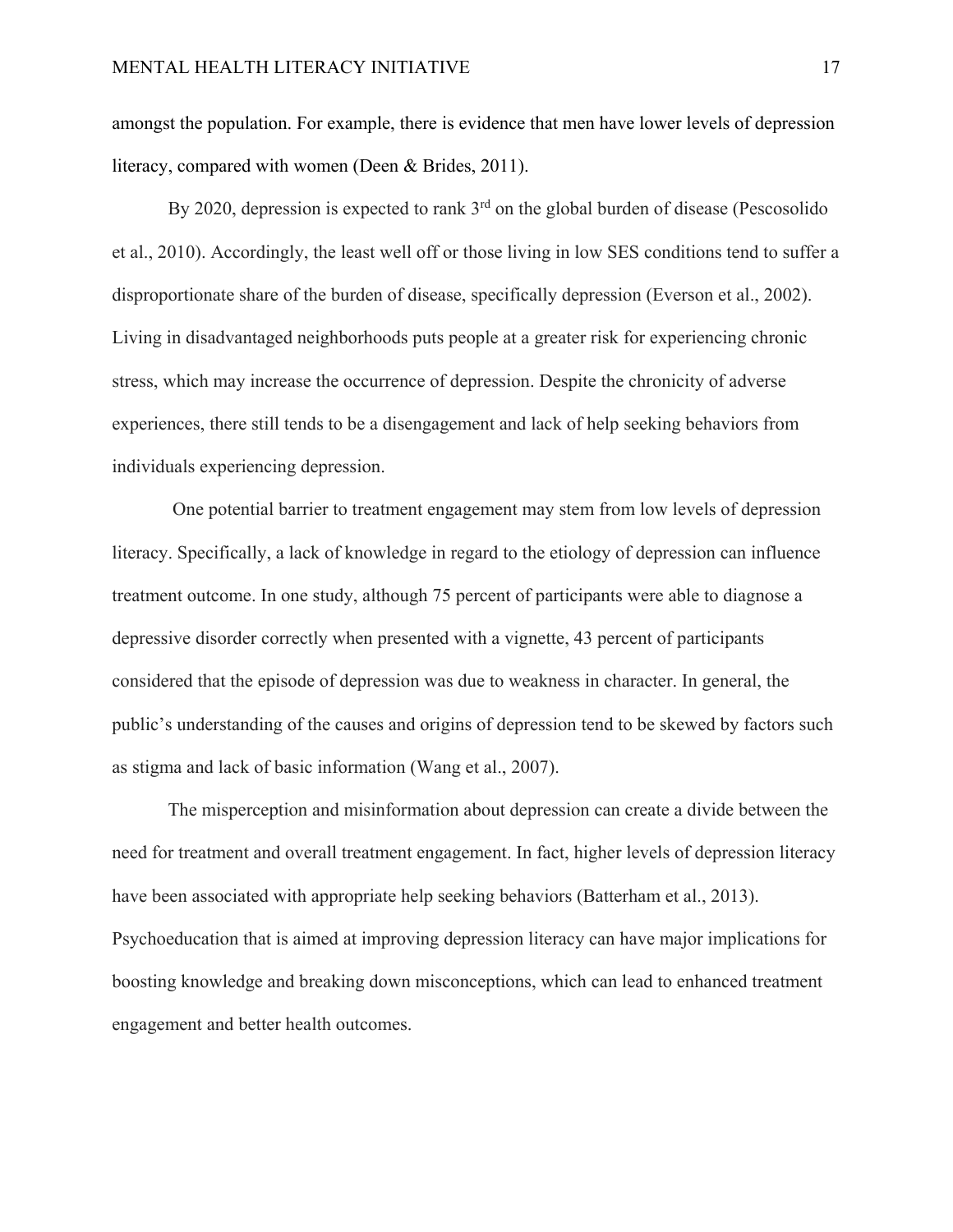amongst the population. For example, there is evidence that men have lower levels of depression literacy, compared with women (Deen & Brides, 2011).

By 2020, depression is expected to rank 3<sup>rd</sup> on the global burden of disease (Pescosolido) et al., 2010). Accordingly, the least well off or those living in low SES conditions tend to suffer a disproportionate share of the burden of disease, specifically depression (Everson et al., 2002). Living in disadvantaged neighborhoods puts people at a greater risk for experiencing chronic stress, which may increase the occurrence of depression. Despite the chronicity of adverse experiences, there still tends to be a disengagement and lack of help seeking behaviors from individuals experiencing depression.

 One potential barrier to treatment engagement may stem from low levels of depression literacy. Specifically, a lack of knowledge in regard to the etiology of depression can influence treatment outcome. In one study, although 75 percent of participants were able to diagnose a depressive disorder correctly when presented with a vignette, 43 percent of participants considered that the episode of depression was due to weakness in character. In general, the public's understanding of the causes and origins of depression tend to be skewed by factors such as stigma and lack of basic information (Wang et al., 2007).

The misperception and misinformation about depression can create a divide between the need for treatment and overall treatment engagement. In fact, higher levels of depression literacy have been associated with appropriate help seeking behaviors (Batterham et al., 2013). Psychoeducation that is aimed at improving depression literacy can have major implications for boosting knowledge and breaking down misconceptions, which can lead to enhanced treatment engagement and better health outcomes.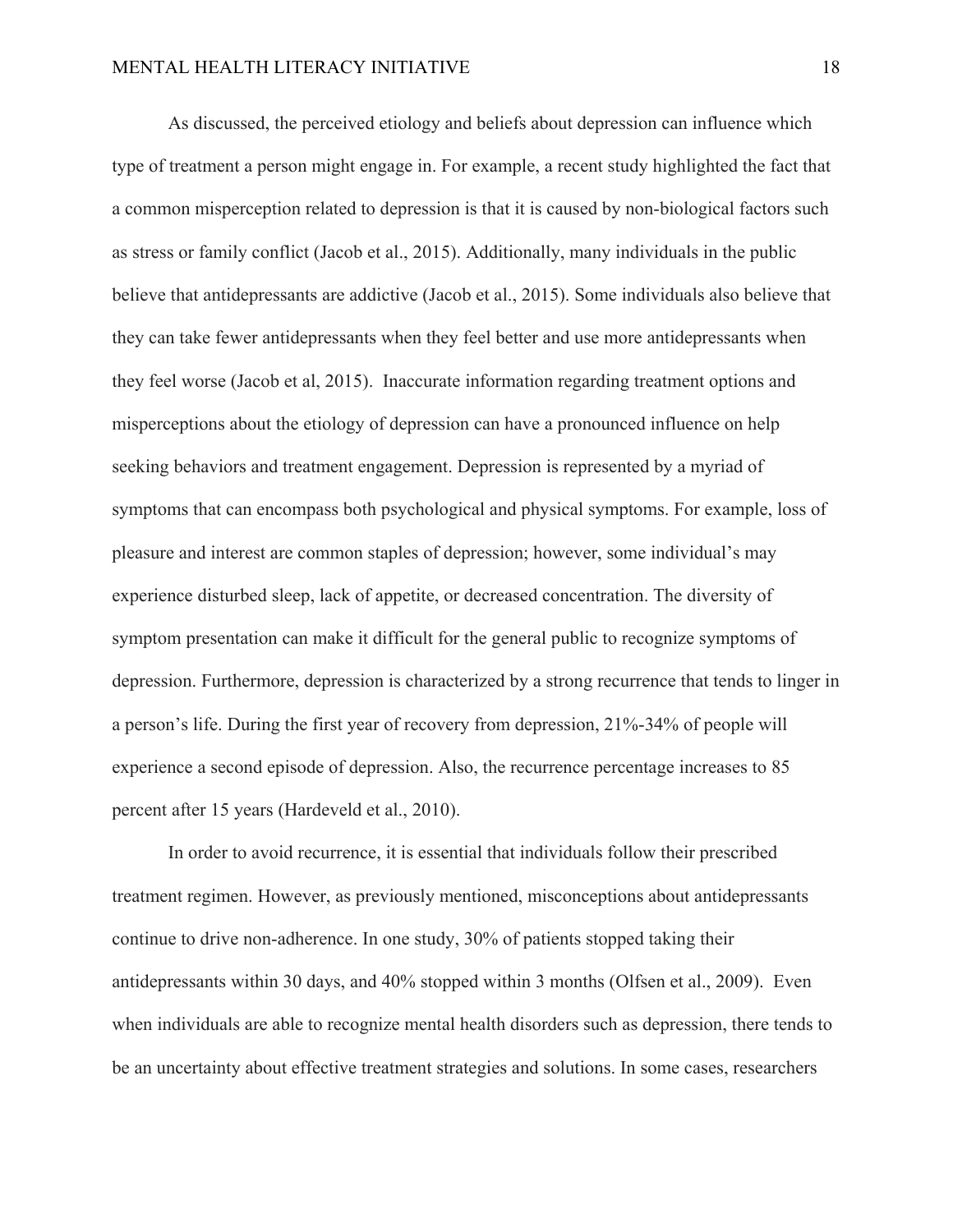As discussed, the perceived etiology and beliefs about depression can influence which type of treatment a person might engage in. For example, a recent study highlighted the fact that a common misperception related to depression is that it is caused by non-biological factors such as stress or family conflict (Jacob et al., 2015). Additionally, many individuals in the public believe that antidepressants are addictive (Jacob et al., 2015). Some individuals also believe that they can take fewer antidepressants when they feel better and use more antidepressants when they feel worse (Jacob et al, 2015). Inaccurate information regarding treatment options and misperceptions about the etiology of depression can have a pronounced influence on help seeking behaviors and treatment engagement. Depression is represented by a myriad of symptoms that can encompass both psychological and physical symptoms. For example, loss of pleasure and interest are common staples of depression; however, some individual's may experience disturbed sleep, lack of appetite, or decreased concentration. The diversity of symptom presentation can make it difficult for the general public to recognize symptoms of depression. Furthermore, depression is characterized by a strong recurrence that tends to linger in a person's life. During the first year of recovery from depression, 21%-34% of people will experience a second episode of depression. Also, the recurrence percentage increases to 85 percent after 15 years (Hardeveld et al., 2010).

In order to avoid recurrence, it is essential that individuals follow their prescribed treatment regimen. However, as previously mentioned, misconceptions about antidepressants continue to drive non-adherence. In one study, 30% of patients stopped taking their antidepressants within 30 days, and 40% stopped within 3 months (Olfsen et al., 2009). Even when individuals are able to recognize mental health disorders such as depression, there tends to be an uncertainty about effective treatment strategies and solutions. In some cases, researchers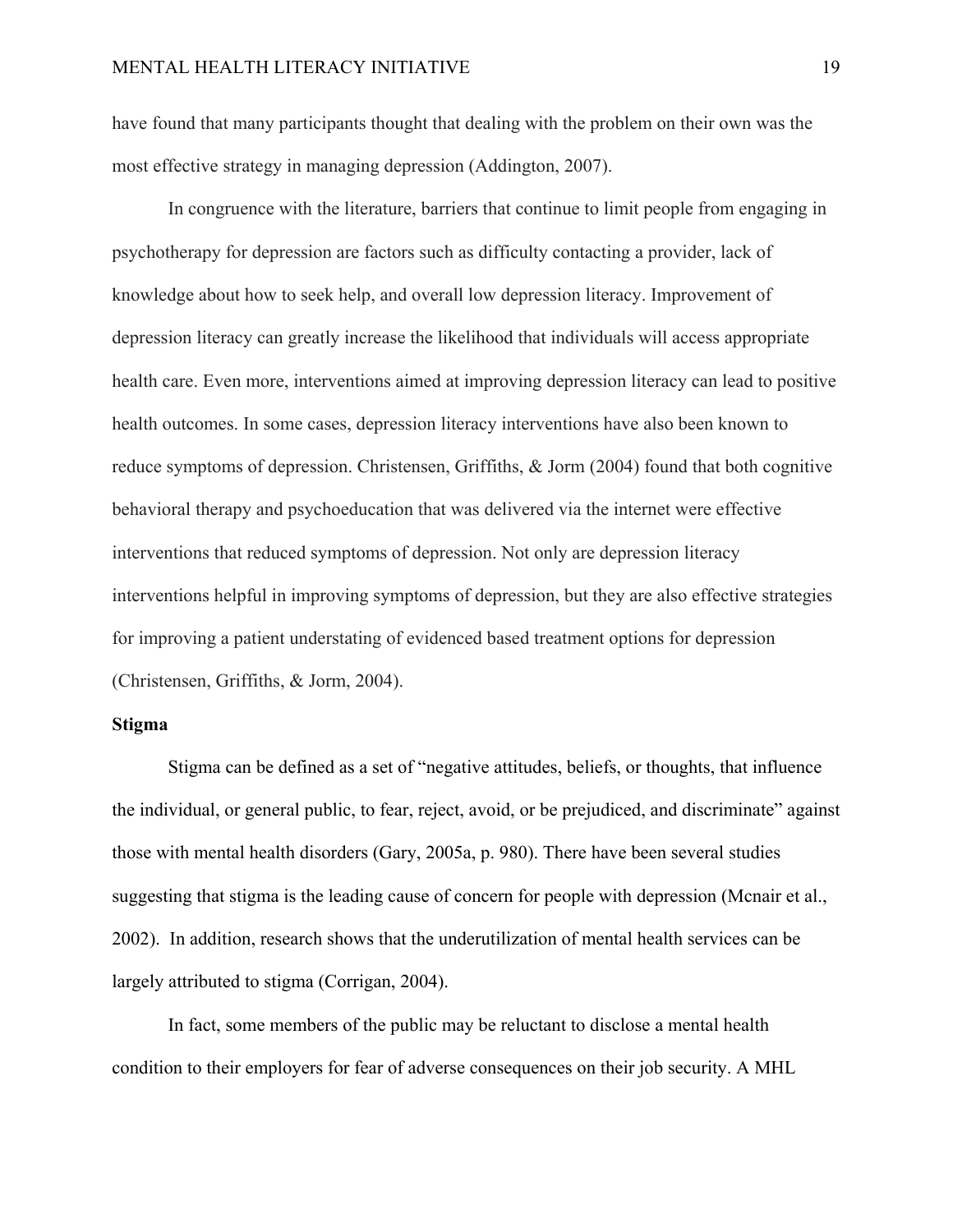have found that many participants thought that dealing with the problem on their own was the most effective strategy in managing depression (Addington, 2007).

In congruence with the literature, barriers that continue to limit people from engaging in psychotherapy for depression are factors such as difficulty contacting a provider, lack of knowledge about how to seek help, and overall low depression literacy. Improvement of depression literacy can greatly increase the likelihood that individuals will access appropriate health care. Even more, interventions aimed at improving depression literacy can lead to positive health outcomes. In some cases, depression literacy interventions have also been known to reduce symptoms of depression. Christensen, Griffiths, & Jorm (2004) found that both cognitive behavioral therapy and psychoeducation that was delivered via the internet were effective interventions that reduced symptoms of depression. Not only are depression literacy interventions helpful in improving symptoms of depression, but they are also effective strategies for improving a patient understating of evidenced based treatment options for depression (Christensen, Griffiths, & Jorm, 2004).

#### **Stigma**

Stigma can be defined as a set of "negative attitudes, beliefs, or thoughts, that influence the individual, or general public, to fear, reject, avoid, or be prejudiced, and discriminate" against those with mental health disorders (Gary, 2005a, p. 980). There have been several studies suggesting that stigma is the leading cause of concern for people with depression (Mcnair et al., 2002). In addition, research shows that the underutilization of mental health services can be largely attributed to stigma (Corrigan, 2004).

In fact, some members of the public may be reluctant to disclose a mental health condition to their employers for fear of adverse consequences on their job security. A MHL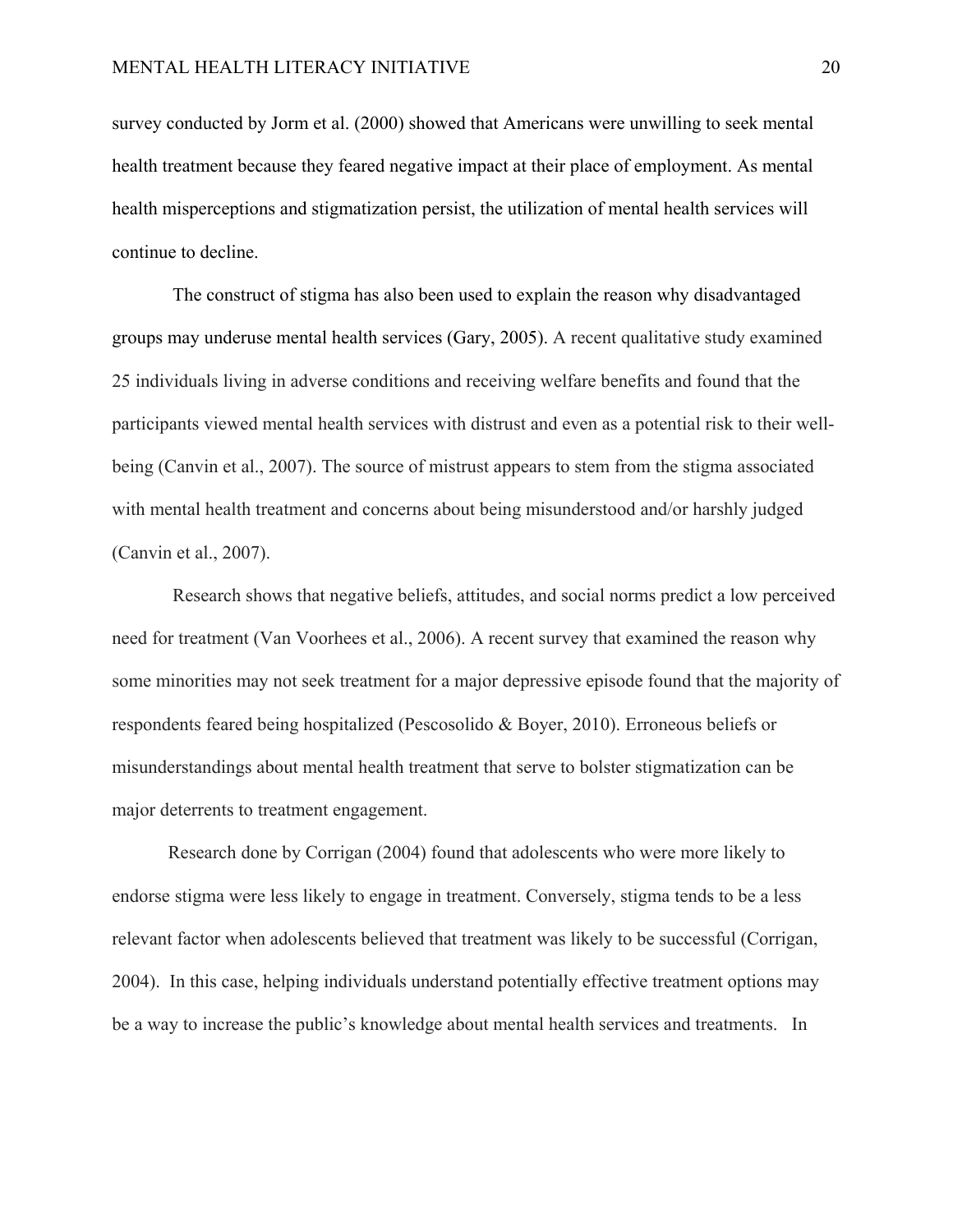survey conducted by Jorm et al. (2000) showed that Americans were unwilling to seek mental health treatment because they feared negative impact at their place of employment. As mental health misperceptions and stigmatization persist, the utilization of mental health services will continue to decline.

 The construct of stigma has also been used to explain the reason why disadvantaged groups may underuse mental health services (Gary, 2005). A recent qualitative study examined 25 individuals living in adverse conditions and receiving welfare benefits and found that the participants viewed mental health services with distrust and even as a potential risk to their wellbeing (Canvin et al., 2007). The source of mistrust appears to stem from the stigma associated with mental health treatment and concerns about being misunderstood and/or harshly judged (Canvin et al., 2007).

 Research shows that negative beliefs, attitudes, and social norms predict a low perceived need for treatment (Van Voorhees et al., 2006). A recent survey that examined the reason why some minorities may not seek treatment for a major depressive episode found that the majority of respondents feared being hospitalized (Pescosolido & Boyer, 2010). Erroneous beliefs or misunderstandings about mental health treatment that serve to bolster stigmatization can be major deterrents to treatment engagement.

Research done by Corrigan (2004) found that adolescents who were more likely to endorse stigma were less likely to engage in treatment. Conversely, stigma tends to be a less relevant factor when adolescents believed that treatment was likely to be successful (Corrigan, 2004). In this case, helping individuals understand potentially effective treatment options may be a way to increase the public's knowledge about mental health services and treatments. In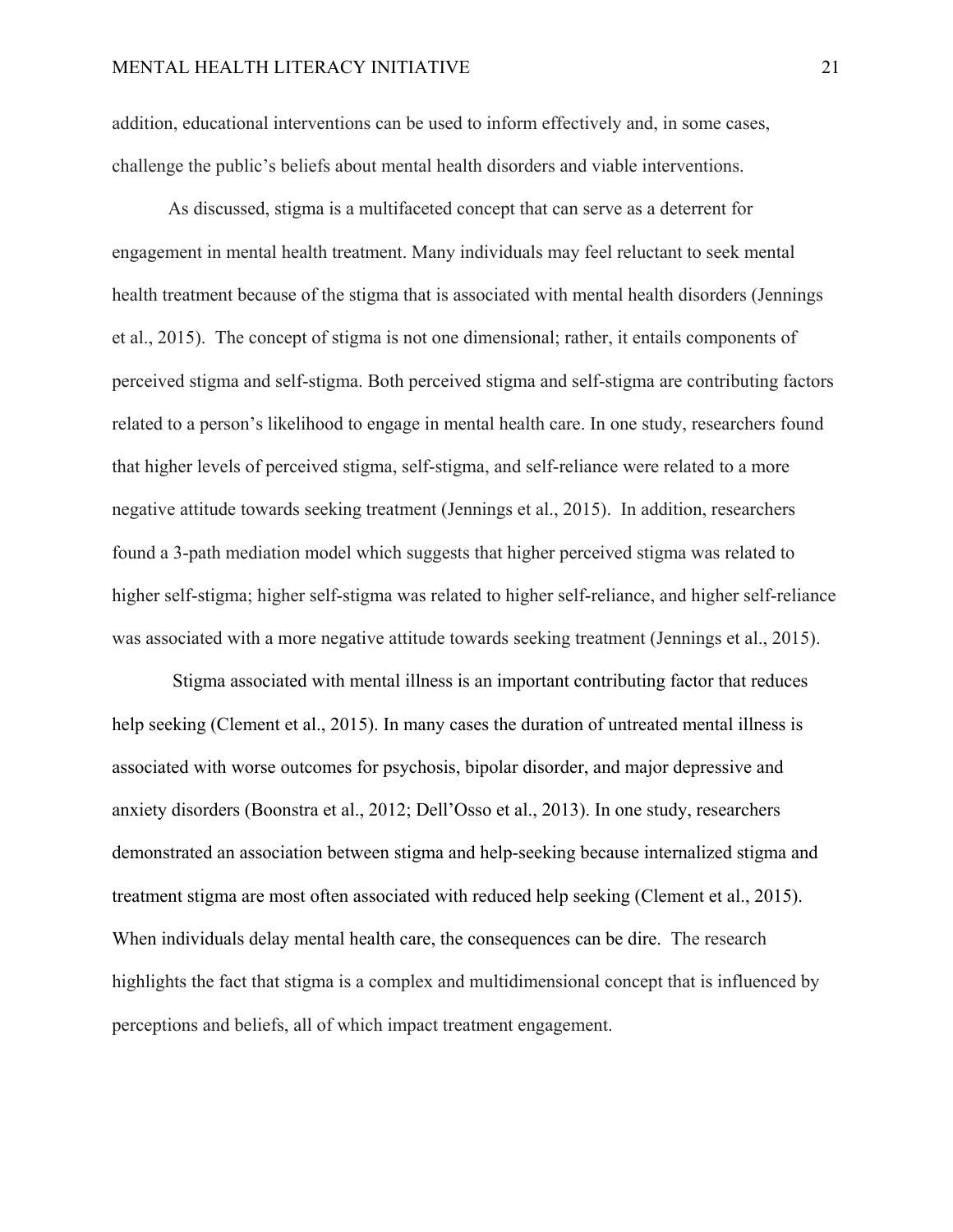addition, educational interventions can be used to inform effectively and, in some cases, challenge the public's beliefs about mental health disorders and viable interventions.

As discussed, stigma is a multifaceted concept that can serve as a deterrent for engagement in mental health treatment. Many individuals may feel reluctant to seek mental health treatment because of the stigma that is associated with mental health disorders (Jennings et al., 2015). The concept of stigma is not one dimensional; rather, it entails components of perceived stigma and self-stigma. Both perceived stigma and self-stigma are contributing factors related to a person's likelihood to engage in mental health care. In one study, researchers found that higher levels of perceived stigma, self-stigma, and self-reliance were related to a more negative attitude towards seeking treatment (Jennings et al., 2015). In addition, researchers found a 3-path mediation model which suggests that higher perceived stigma was related to higher self-stigma; higher self-stigma was related to higher self-reliance, and higher self-reliance was associated with a more negative attitude towards seeking treatment (Jennings et al., 2015).

Stigma associated with mental illness is an important contributing factor that reduces help seeking (Clement et al., 2015). In many cases the duration of untreated mental illness is associated with worse outcomes for psychosis, bipolar disorder, and major depressive and anxiety disorders (Boonstra et al., 2012; Dell'Osso et al., 2013). In one study, researchers demonstrated an association between stigma and help-seeking because internalized stigma and treatment stigma are most often associated with reduced help seeking (Clement et al., 2015). When individuals delay mental health care, the consequences can be dire. The research highlights the fact that stigma is a complex and multidimensional concept that is influenced by perceptions and beliefs, all of which impact treatment engagement.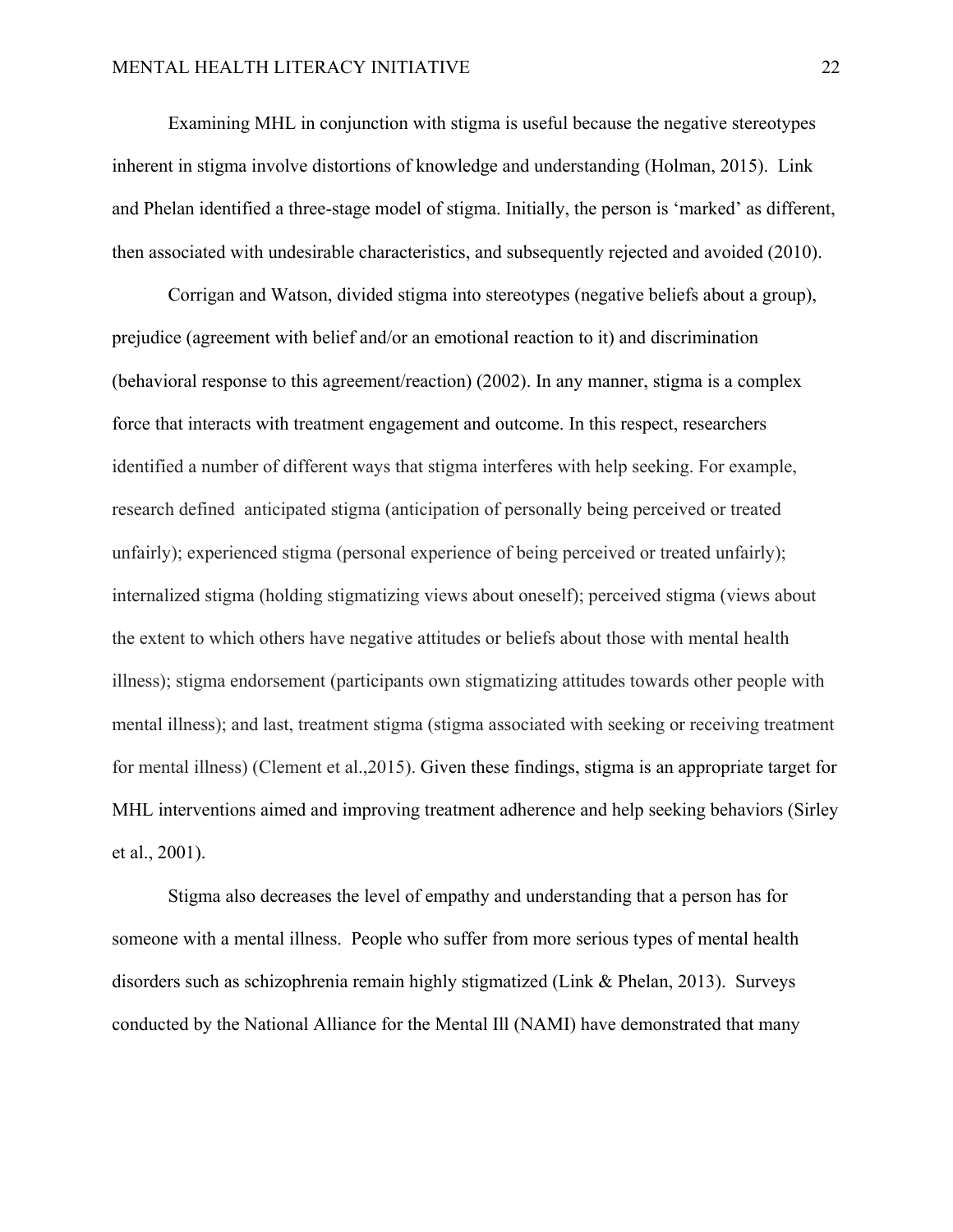Examining MHL in conjunction with stigma is useful because the negative stereotypes inherent in stigma involve distortions of knowledge and understanding (Holman, 2015). Link and Phelan identified a three-stage model of stigma. Initially, the person is 'marked' as different, then associated with undesirable characteristics, and subsequently rejected and avoided (2010).

Corrigan and Watson, divided stigma into stereotypes (negative beliefs about a group), prejudice (agreement with belief and/or an emotional reaction to it) and discrimination (behavioral response to this agreement/reaction) (2002). In any manner, stigma is a complex force that interacts with treatment engagement and outcome. In this respect, researchers identified a number of different ways that stigma interferes with help seeking. For example, research defined anticipated stigma (anticipation of personally being perceived or treated unfairly); experienced stigma (personal experience of being perceived or treated unfairly); internalized stigma (holding stigmatizing views about oneself); perceived stigma (views about the extent to which others have negative attitudes or beliefs about those with mental health illness); stigma endorsement (participants own stigmatizing attitudes towards other people with mental illness); and last, treatment stigma (stigma associated with seeking or receiving treatment for mental illness) (Clement et al.,2015). Given these findings, stigma is an appropriate target for MHL interventions aimed and improving treatment adherence and help seeking behaviors (Sirley et al., 2001).

Stigma also decreases the level of empathy and understanding that a person has for someone with a mental illness. People who suffer from more serious types of mental health disorders such as schizophrenia remain highly stigmatized (Link & Phelan, 2013). Surveys conducted by the National Alliance for the Mental Ill (NAMI) have demonstrated that many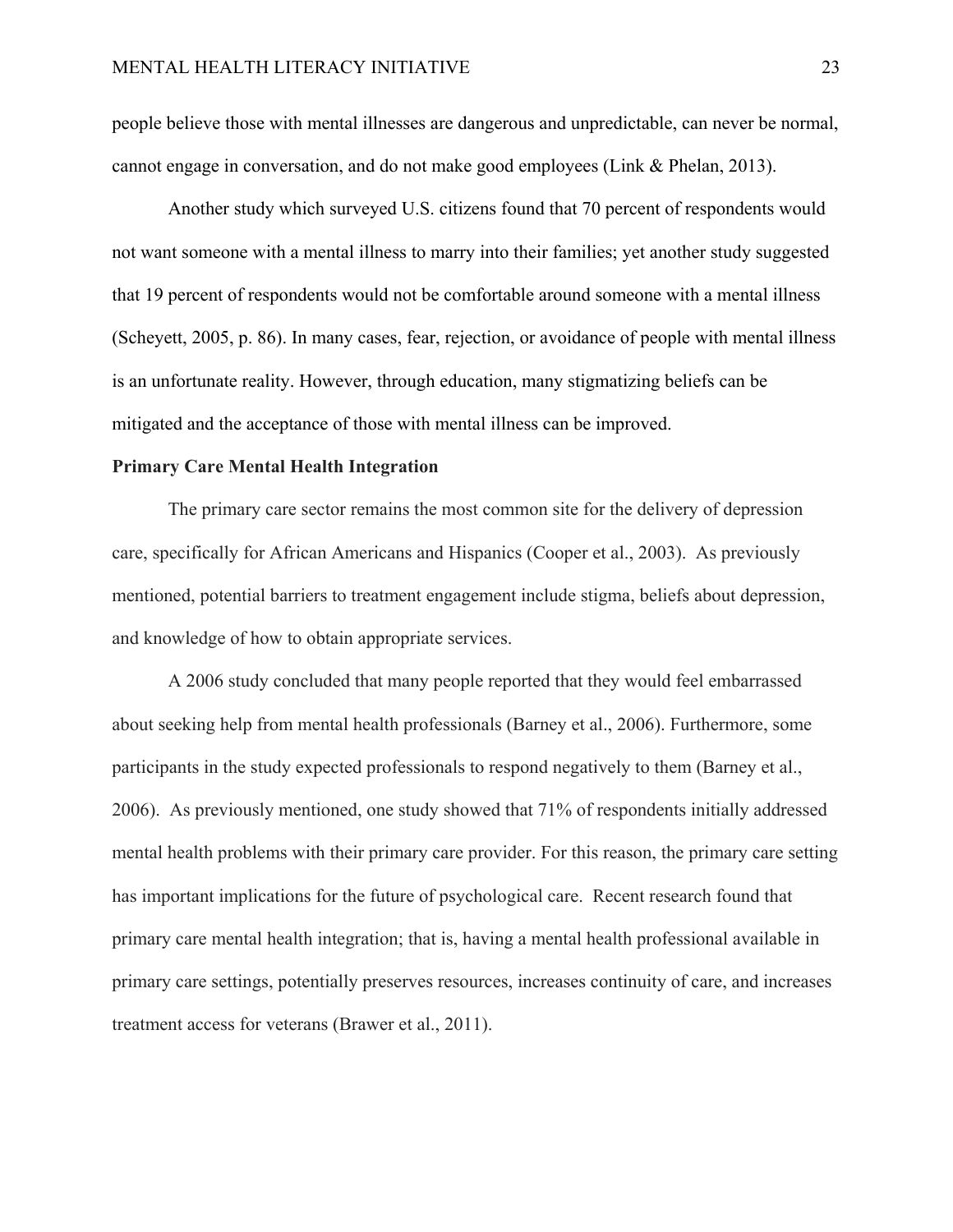people believe those with mental illnesses are dangerous and unpredictable, can never be normal, cannot engage in conversation, and do not make good employees (Link & Phelan, 2013).

Another study which surveyed U.S. citizens found that 70 percent of respondents would not want someone with a mental illness to marry into their families; yet another study suggested that 19 percent of respondents would not be comfortable around someone with a mental illness (Scheyett, 2005, p. 86). In many cases, fear, rejection, or avoidance of people with mental illness is an unfortunate reality. However, through education, many stigmatizing beliefs can be mitigated and the acceptance of those with mental illness can be improved.

#### **Primary Care Mental Health Integration**

The primary care sector remains the most common site for the delivery of depression care, specifically for African Americans and Hispanics (Cooper et al., 2003). As previously mentioned, potential barriers to treatment engagement include stigma, beliefs about depression, and knowledge of how to obtain appropriate services.

A 2006 study concluded that many people reported that they would feel embarrassed about seeking help from mental health professionals (Barney et al., 2006). Furthermore, some participants in the study expected professionals to respond negatively to them (Barney et al., 2006). As previously mentioned, one study showed that 71% of respondents initially addressed mental health problems with their primary care provider. For this reason, the primary care setting has important implications for the future of psychological care. Recent research found that primary care mental health integration; that is, having a mental health professional available in primary care settings, potentially preserves resources, increases continuity of care, and increases treatment access for veterans (Brawer et al., 2011).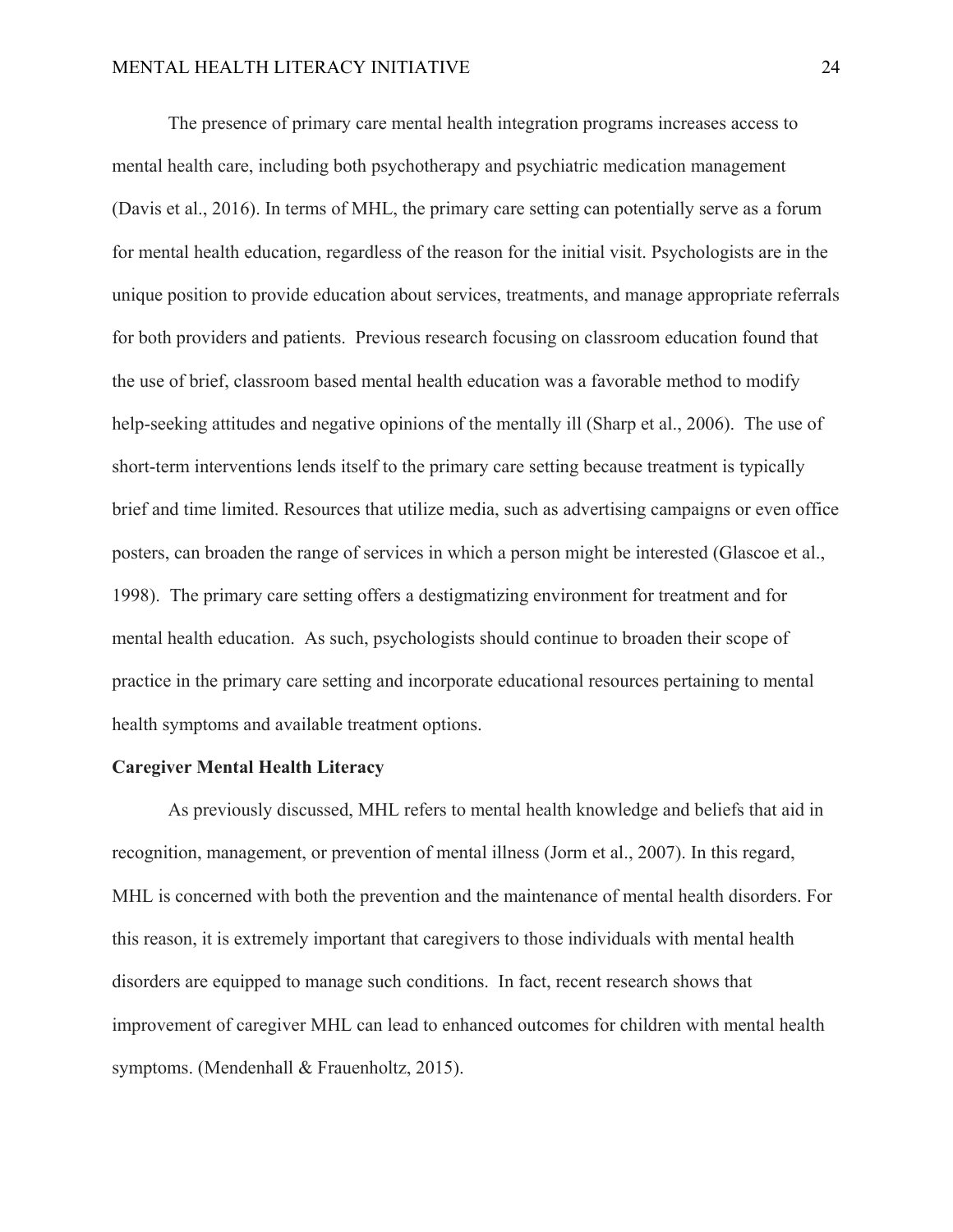The presence of primary care mental health integration programs increases access to mental health care, including both psychotherapy and psychiatric medication management (Davis et al., 2016). In terms of MHL, the primary care setting can potentially serve as a forum for mental health education, regardless of the reason for the initial visit. Psychologists are in the unique position to provide education about services, treatments, and manage appropriate referrals for both providers and patients. Previous research focusing on classroom education found that the use of brief, classroom based mental health education was a favorable method to modify help-seeking attitudes and negative opinions of the mentally ill (Sharp et al., 2006). The use of short-term interventions lends itself to the primary care setting because treatment is typically brief and time limited. Resources that utilize media, such as advertising campaigns or even office posters, can broaden the range of services in which a person might be interested (Glascoe et al., 1998). The primary care setting offers a destigmatizing environment for treatment and for mental health education. As such, psychologists should continue to broaden their scope of practice in the primary care setting and incorporate educational resources pertaining to mental health symptoms and available treatment options.

#### **Caregiver Mental Health Literacy**

As previously discussed, MHL refers to mental health knowledge and beliefs that aid in recognition, management, or prevention of mental illness (Jorm et al., 2007). In this regard, MHL is concerned with both the prevention and the maintenance of mental health disorders. For this reason, it is extremely important that caregivers to those individuals with mental health disorders are equipped to manage such conditions. In fact, recent research shows that improvement of caregiver MHL can lead to enhanced outcomes for children with mental health symptoms. (Mendenhall & Frauenholtz, 2015).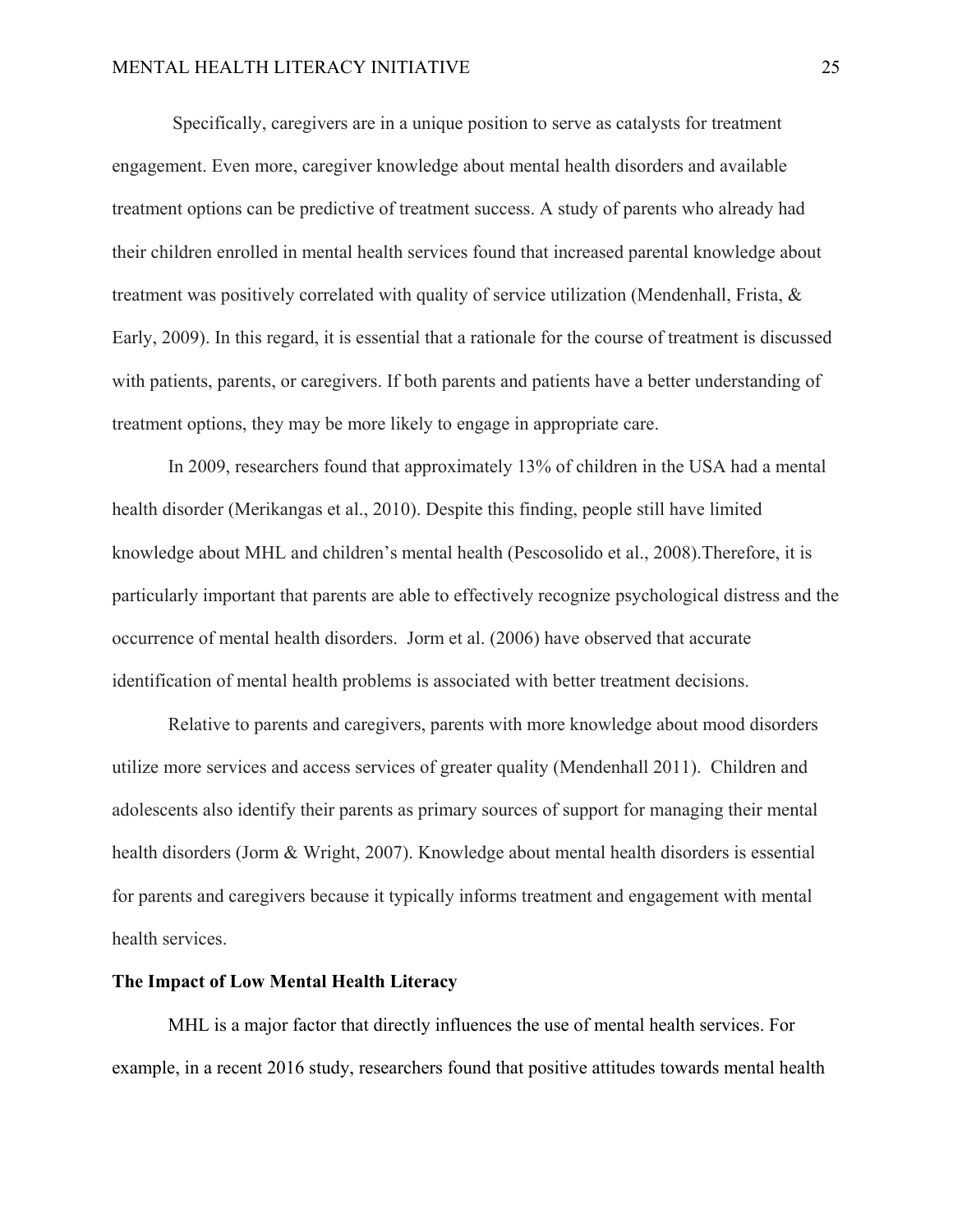Specifically, caregivers are in a unique position to serve as catalysts for treatment engagement. Even more, caregiver knowledge about mental health disorders and available treatment options can be predictive of treatment success. A study of parents who already had their children enrolled in mental health services found that increased parental knowledge about treatment was positively correlated with quality of service utilization (Mendenhall, Frista, & Early, 2009). In this regard, it is essential that a rationale for the course of treatment is discussed with patients, parents, or caregivers. If both parents and patients have a better understanding of treatment options, they may be more likely to engage in appropriate care.

In 2009, researchers found that approximately 13% of children in the USA had a mental health disorder (Merikangas et al., 2010). Despite this finding, people still have limited knowledge about MHL and children's mental health (Pescosolido et al., 2008).Therefore, it is particularly important that parents are able to effectively recognize psychological distress and the occurrence of mental health disorders. Jorm et al. (2006) have observed that accurate identification of mental health problems is associated with better treatment decisions.

Relative to parents and caregivers, parents with more knowledge about mood disorders utilize more services and access services of greater quality (Mendenhall 2011). Children and adolescents also identify their parents as primary sources of support for managing their mental health disorders (Jorm & Wright, 2007). Knowledge about mental health disorders is essential for parents and caregivers because it typically informs treatment and engagement with mental health services.

#### **The Impact of Low Mental Health Literacy**

MHL is a major factor that directly influences the use of mental health services. For example, in a recent 2016 study, researchers found that positive attitudes towards mental health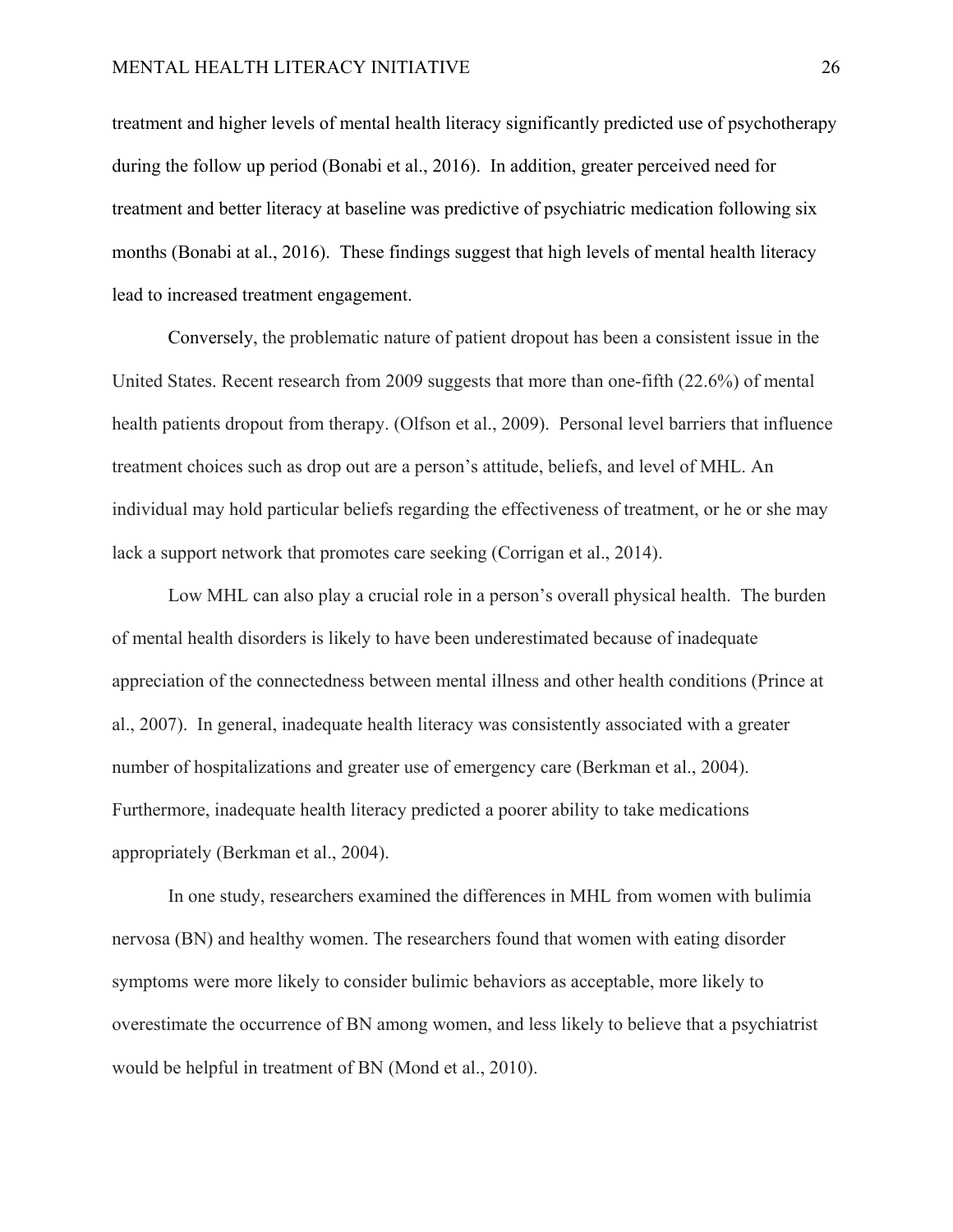treatment and higher levels of mental health literacy significantly predicted use of psychotherapy during the follow up period (Bonabi et al., 2016). In addition, greater perceived need for treatment and better literacy at baseline was predictive of psychiatric medication following six months (Bonabi at al., 2016). These findings suggest that high levels of mental health literacy lead to increased treatment engagement.

Conversely, the problematic nature of patient dropout has been a consistent issue in the United States. Recent research from 2009 suggests that more than one-fifth (22.6%) of mental health patients dropout from therapy. (Olfson et al., 2009). Personal level barriers that influence treatment choices such as drop out are a person's attitude, beliefs, and level of MHL. An individual may hold particular beliefs regarding the effectiveness of treatment, or he or she may lack a support network that promotes care seeking (Corrigan et al., 2014).

 Low MHL can also play a crucial role in a person's overall physical health. The burden of mental health disorders is likely to have been underestimated because of inadequate appreciation of the connectedness between mental illness and other health conditions (Prince at al., 2007). In general, inadequate health literacy was consistently associated with a greater number of hospitalizations and greater use of emergency care (Berkman et al., 2004). Furthermore, inadequate health literacy predicted a poorer ability to take medications appropriately (Berkman et al., 2004).

In one study, researchers examined the differences in MHL from women with bulimia nervosa (BN) and healthy women. The researchers found that women with eating disorder symptoms were more likely to consider bulimic behaviors as acceptable, more likely to overestimate the occurrence of BN among women, and less likely to believe that a psychiatrist would be helpful in treatment of BN (Mond et al., 2010).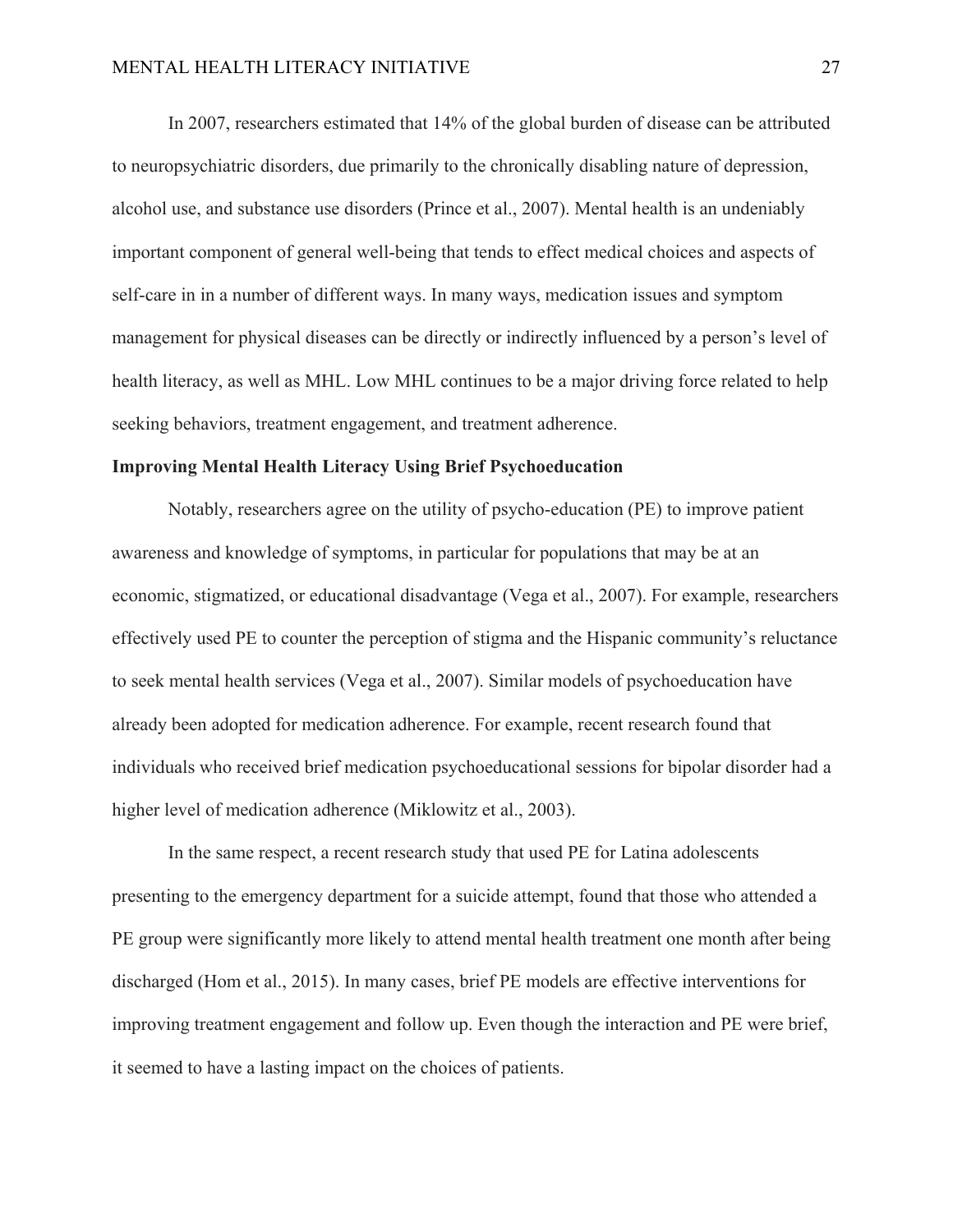In 2007, researchers estimated that 14% of the global burden of disease can be attributed to neuropsychiatric disorders, due primarily to the chronically disabling nature of depression, alcohol use, and substance use disorders (Prince et al., 2007). Mental health is an undeniably important component of general well-being that tends to effect medical choices and aspects of self-care in in a number of different ways. In many ways, medication issues and symptom management for physical diseases can be directly or indirectly influenced by a person's level of health literacy, as well as MHL. Low MHL continues to be a major driving force related to help seeking behaviors, treatment engagement, and treatment adherence.

#### **Improving Mental Health Literacy Using Brief Psychoeducation**

Notably, researchers agree on the utility of psycho-education (PE) to improve patient awareness and knowledge of symptoms, in particular for populations that may be at an economic, stigmatized, or educational disadvantage (Vega et al., 2007). For example, researchers effectively used PE to counter the perception of stigma and the Hispanic community's reluctance to seek mental health services (Vega et al., 2007). Similar models of psychoeducation have already been adopted for medication adherence. For example, recent research found that individuals who received brief medication psychoeducational sessions for bipolar disorder had a higher level of medication adherence (Miklowitz et al., 2003).

In the same respect, a recent research study that used PE for Latina adolescents presenting to the emergency department for a suicide attempt, found that those who attended a PE group were significantly more likely to attend mental health treatment one month after being discharged (Hom et al., 2015). In many cases, brief PE models are effective interventions for improving treatment engagement and follow up. Even though the interaction and PE were brief, it seemed to have a lasting impact on the choices of patients.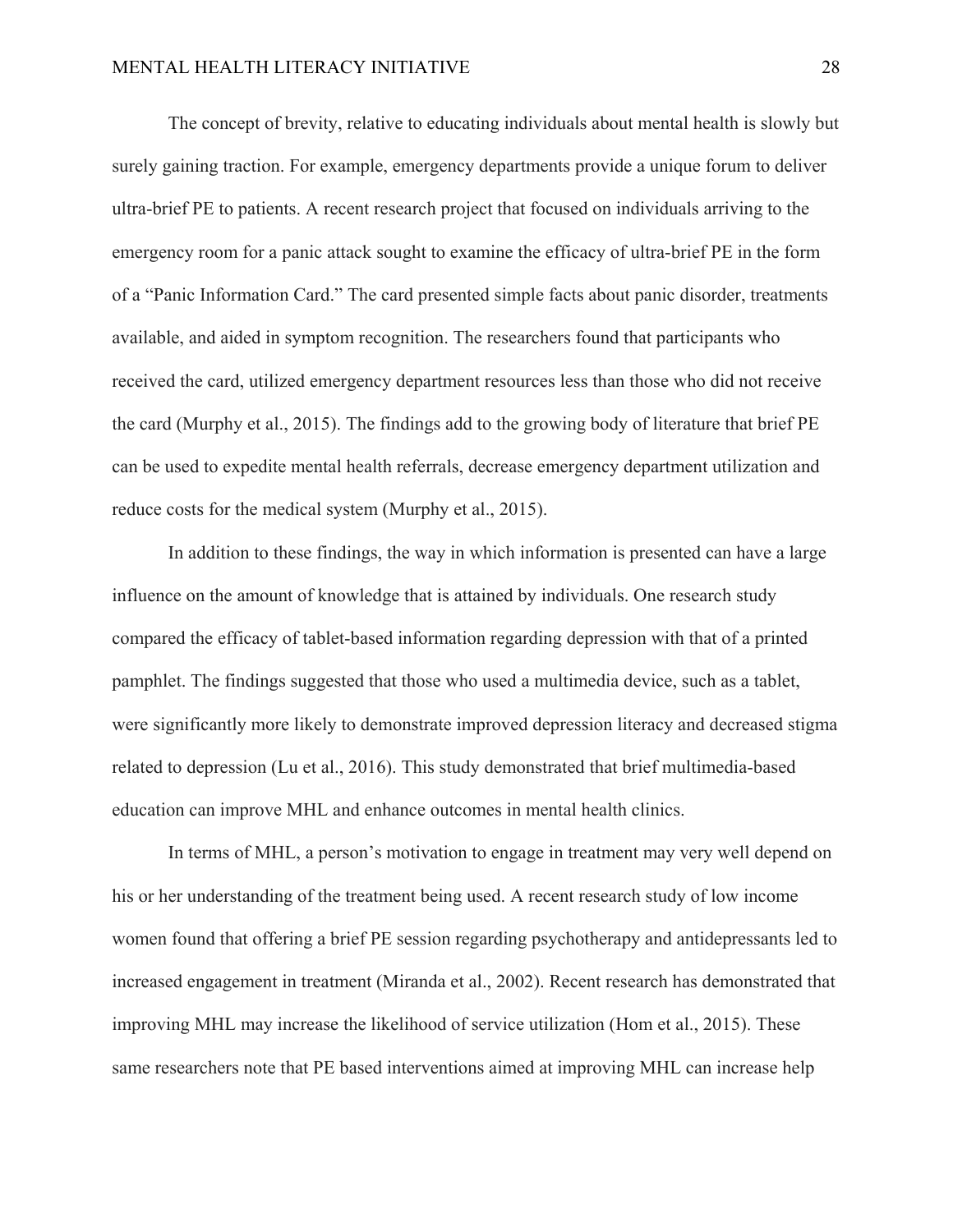The concept of brevity, relative to educating individuals about mental health is slowly but surely gaining traction. For example, emergency departments provide a unique forum to deliver ultra-brief PE to patients. A recent research project that focused on individuals arriving to the emergency room for a panic attack sought to examine the efficacy of ultra-brief PE in the form of a "Panic Information Card." The card presented simple facts about panic disorder, treatments available, and aided in symptom recognition. The researchers found that participants who received the card, utilized emergency department resources less than those who did not receive the card (Murphy et al., 2015). The findings add to the growing body of literature that brief PE can be used to expedite mental health referrals, decrease emergency department utilization and reduce costs for the medical system (Murphy et al., 2015).

In addition to these findings, the way in which information is presented can have a large influence on the amount of knowledge that is attained by individuals. One research study compared the efficacy of tablet-based information regarding depression with that of a printed pamphlet. The findings suggested that those who used a multimedia device, such as a tablet, were significantly more likely to demonstrate improved depression literacy and decreased stigma related to depression (Lu et al., 2016). This study demonstrated that brief multimedia-based education can improve MHL and enhance outcomes in mental health clinics.

In terms of MHL, a person's motivation to engage in treatment may very well depend on his or her understanding of the treatment being used. A recent research study of low income women found that offering a brief PE session regarding psychotherapy and antidepressants led to increased engagement in treatment (Miranda et al., 2002). Recent research has demonstrated that improving MHL may increase the likelihood of service utilization (Hom et al., 2015). These same researchers note that PE based interventions aimed at improving MHL can increase help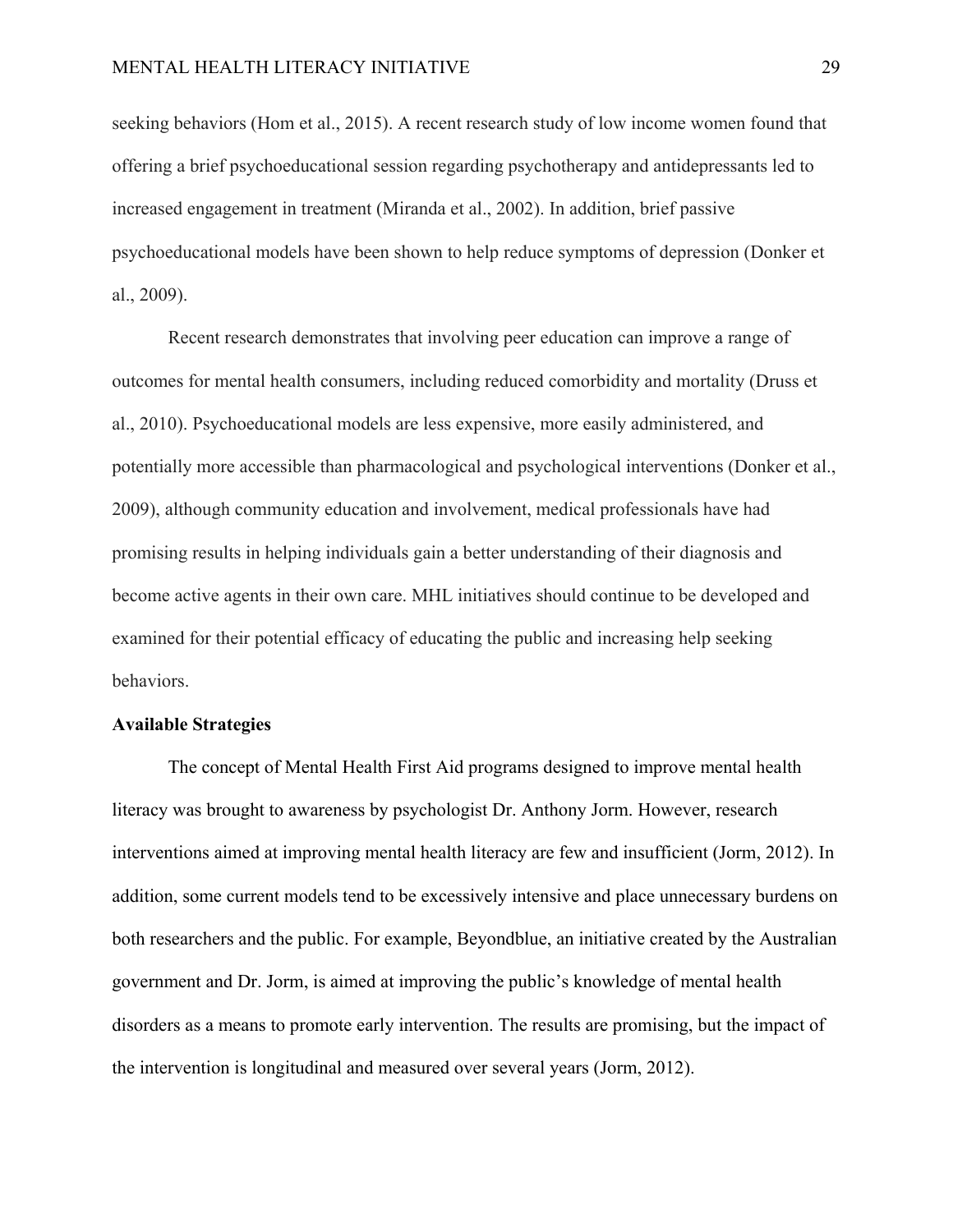seeking behaviors (Hom et al., 2015). A recent research study of low income women found that offering a brief psychoeducational session regarding psychotherapy and antidepressants led to increased engagement in treatment (Miranda et al., 2002). In addition, brief passive psychoeducational models have been shown to help reduce symptoms of depression (Donker et al., 2009).

Recent research demonstrates that involving peer education can improve a range of outcomes for mental health consumers, including reduced comorbidity and mortality (Druss et al., 2010). Psychoeducational models are less expensive, more easily administered, and potentially more accessible than pharmacological and psychological interventions (Donker et al., 2009), although community education and involvement, medical professionals have had promising results in helping individuals gain a better understanding of their diagnosis and become active agents in their own care. MHL initiatives should continue to be developed and examined for their potential efficacy of educating the public and increasing help seeking behaviors.

# **Available Strategies**

The concept of Mental Health First Aid programs designed to improve mental health literacy was brought to awareness by psychologist Dr. Anthony Jorm. However, research interventions aimed at improving mental health literacy are few and insufficient (Jorm, 2012). In addition, some current models tend to be excessively intensive and place unnecessary burdens on both researchers and the public. For example, Beyondblue, an initiative created by the Australian government and Dr. Jorm, is aimed at improving the public's knowledge of mental health disorders as a means to promote early intervention. The results are promising, but the impact of the intervention is longitudinal and measured over several years (Jorm, 2012).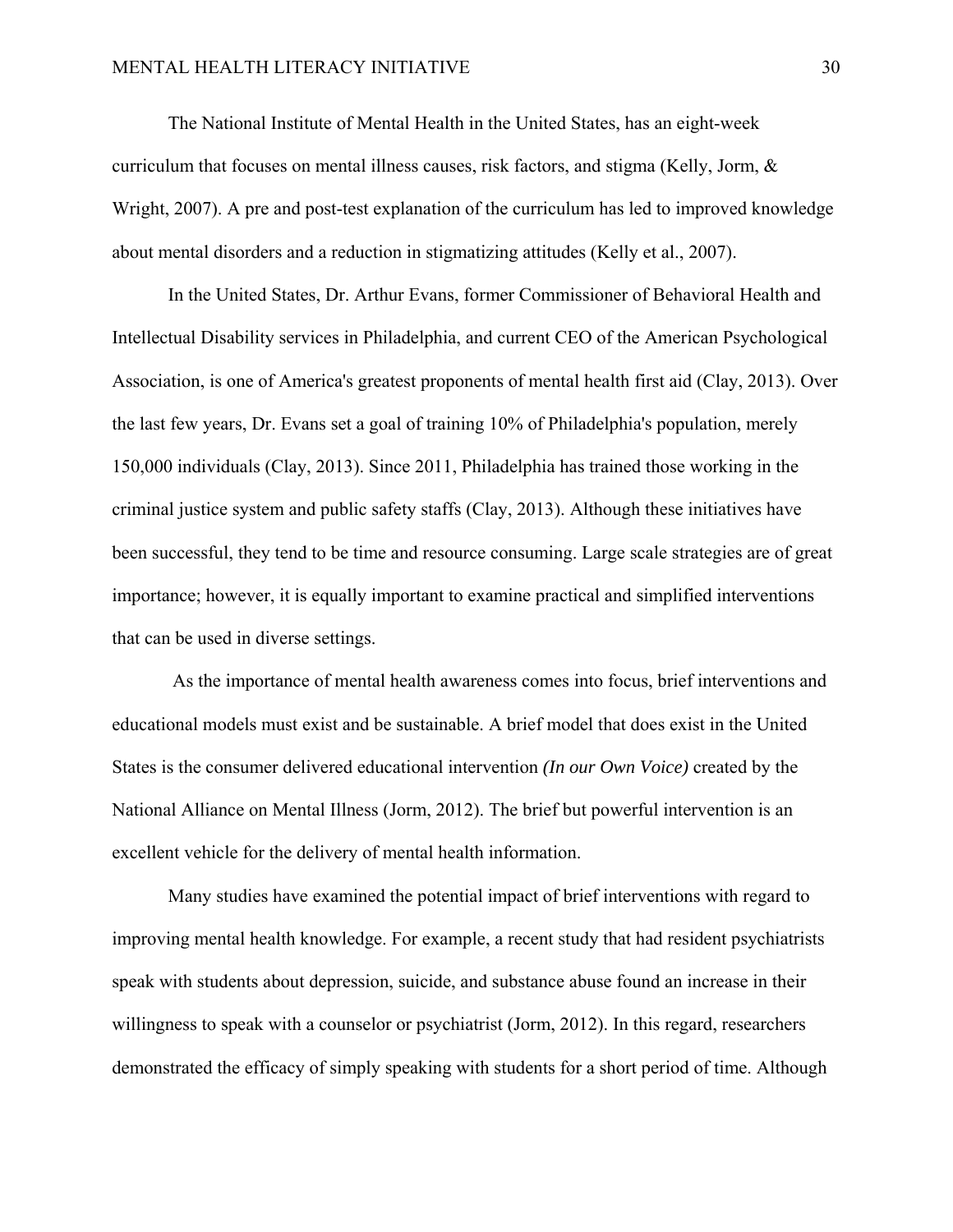The National Institute of Mental Health in the United States, has an eight-week curriculum that focuses on mental illness causes, risk factors, and stigma (Kelly, Jorm, & Wright, 2007). A pre and post-test explanation of the curriculum has led to improved knowledge about mental disorders and a reduction in stigmatizing attitudes (Kelly et al., 2007).

In the United States, Dr. Arthur Evans, former Commissioner of Behavioral Health and Intellectual Disability services in Philadelphia, and current CEO of the American Psychological Association, is one of America's greatest proponents of mental health first aid (Clay, 2013). Over the last few years, Dr. Evans set a goal of training 10% of Philadelphia's population, merely 150,000 individuals (Clay, 2013). Since 2011, Philadelphia has trained those working in the criminal justice system and public safety staffs (Clay, 2013). Although these initiatives have been successful, they tend to be time and resource consuming. Large scale strategies are of great importance; however, it is equally important to examine practical and simplified interventions that can be used in diverse settings.

 As the importance of mental health awareness comes into focus, brief interventions and educational models must exist and be sustainable. A brief model that does exist in the United States is the consumer delivered educational intervention *(In our Own Voice)* created by the National Alliance on Mental Illness (Jorm, 2012). The brief but powerful intervention is an excellent vehicle for the delivery of mental health information.

Many studies have examined the potential impact of brief interventions with regard to improving mental health knowledge. For example, a recent study that had resident psychiatrists speak with students about depression, suicide, and substance abuse found an increase in their willingness to speak with a counselor or psychiatrist (Jorm, 2012). In this regard, researchers demonstrated the efficacy of simply speaking with students for a short period of time. Although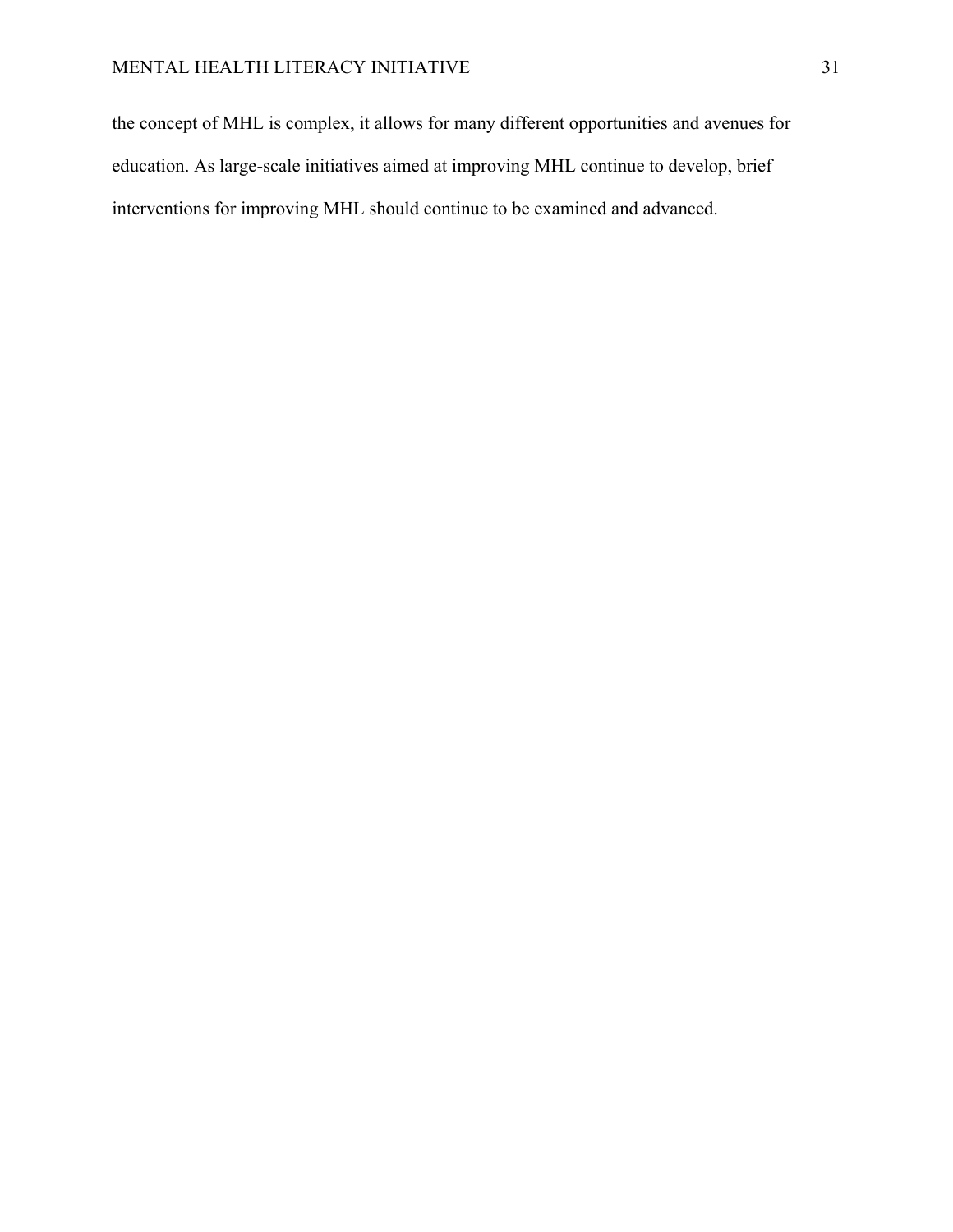the concept of MHL is complex, it allows for many different opportunities and avenues for education. As large-scale initiatives aimed at improving MHL continue to develop, brief interventions for improving MHL should continue to be examined and advanced.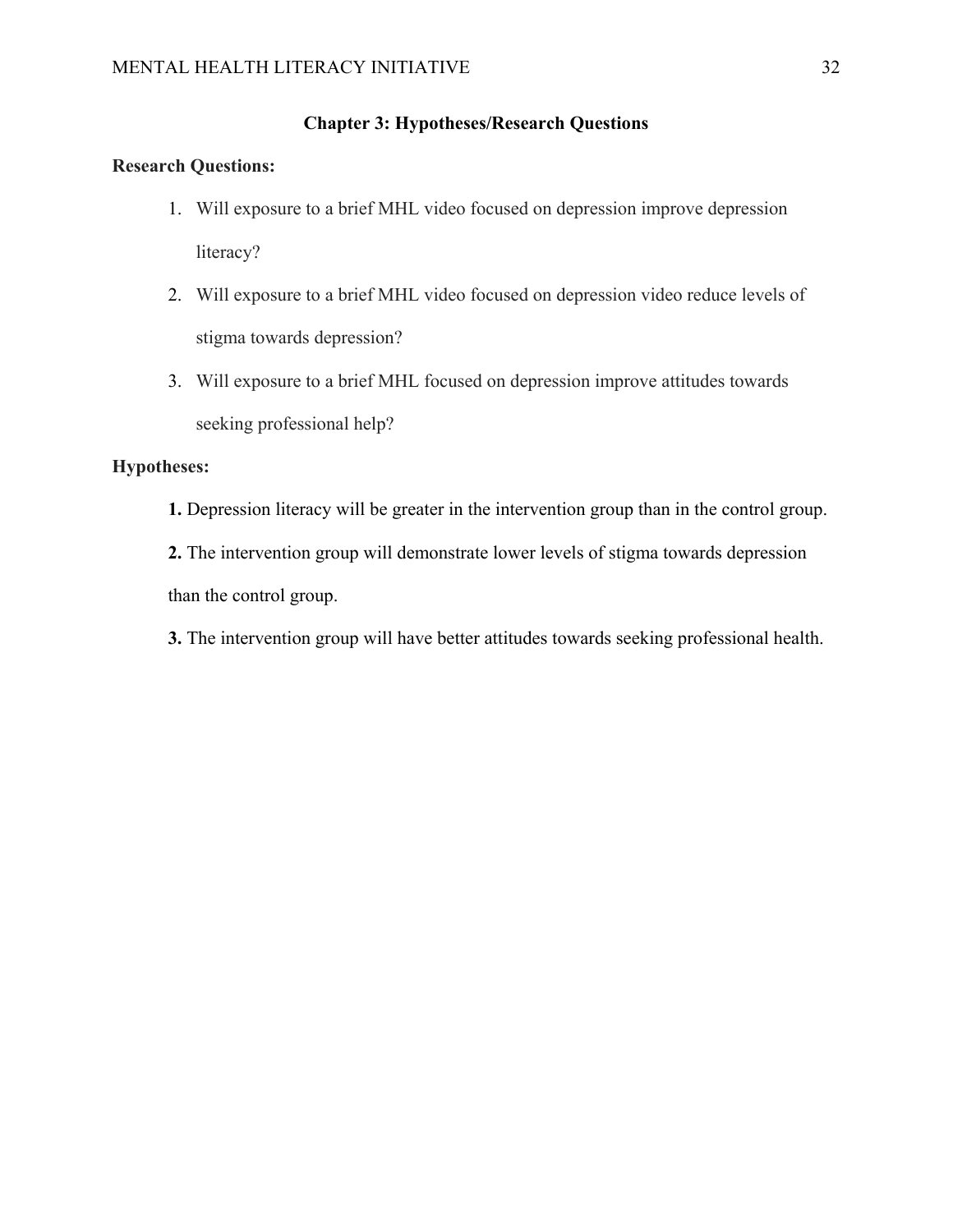# **Chapter 3: Hypotheses/Research Questions**

# **Research Questions:**

- 1. Will exposure to a brief MHL video focused on depression improve depression literacy?
- 2. Will exposure to a brief MHL video focused on depression video reduce levels of stigma towards depression?
- 3. Will exposure to a brief MHL focused on depression improve attitudes towards seeking professional help?

# **Hypotheses:**

**1.** Depression literacy will be greater in the intervention group than in the control group.

**2.** The intervention group will demonstrate lower levels of stigma towards depression than the control group.

**3.** The intervention group will have better attitudes towards seeking professional health.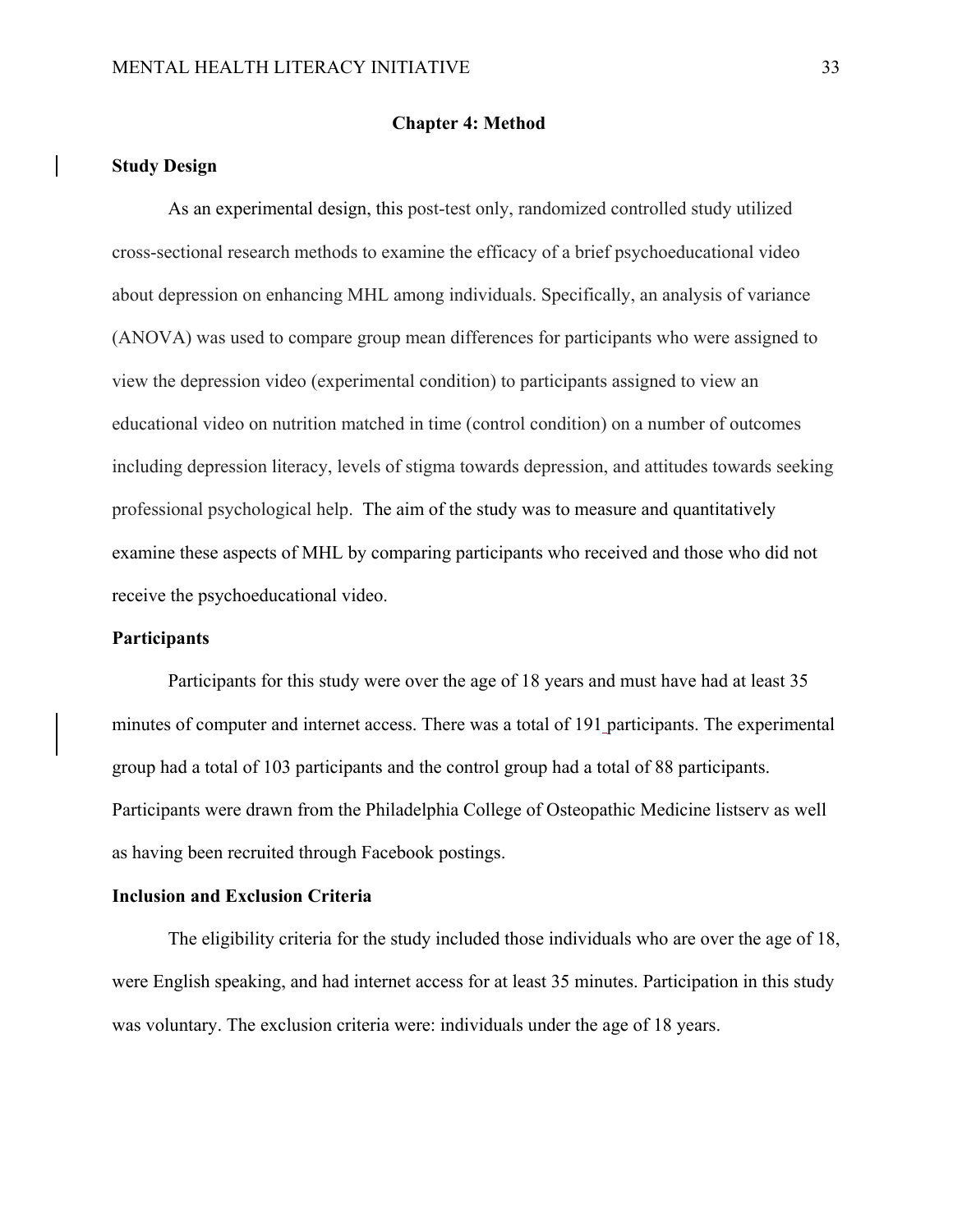#### **Chapter 4: Method**

### **Study Design**

As an experimental design, this post-test only, randomized controlled study utilized cross-sectional research methods to examine the efficacy of a brief psychoeducational video about depression on enhancing MHL among individuals. Specifically, an analysis of variance (ANOVA) was used to compare group mean differences for participants who were assigned to view the depression video (experimental condition) to participants assigned to view an educational video on nutrition matched in time (control condition) on a number of outcomes including depression literacy, levels of stigma towards depression, and attitudes towards seeking professional psychological help. The aim of the study was to measure and quantitatively examine these aspects of MHL by comparing participants who received and those who did not receive the psychoeducational video.

# **Participants**

Participants for this study were over the age of 18 years and must have had at least 35 minutes of computer and internet access. There was a total of 191 participants. The experimental group had a total of 103 participants and the control group had a total of 88 participants. Participants were drawn from the Philadelphia College of Osteopathic Medicine listserv as well as having been recruited through Facebook postings.

# **Inclusion and Exclusion Criteria**

The eligibility criteria for the study included those individuals who are over the age of 18, were English speaking, and had internet access for at least 35 minutes. Participation in this study was voluntary. The exclusion criteria were: individuals under the age of 18 years.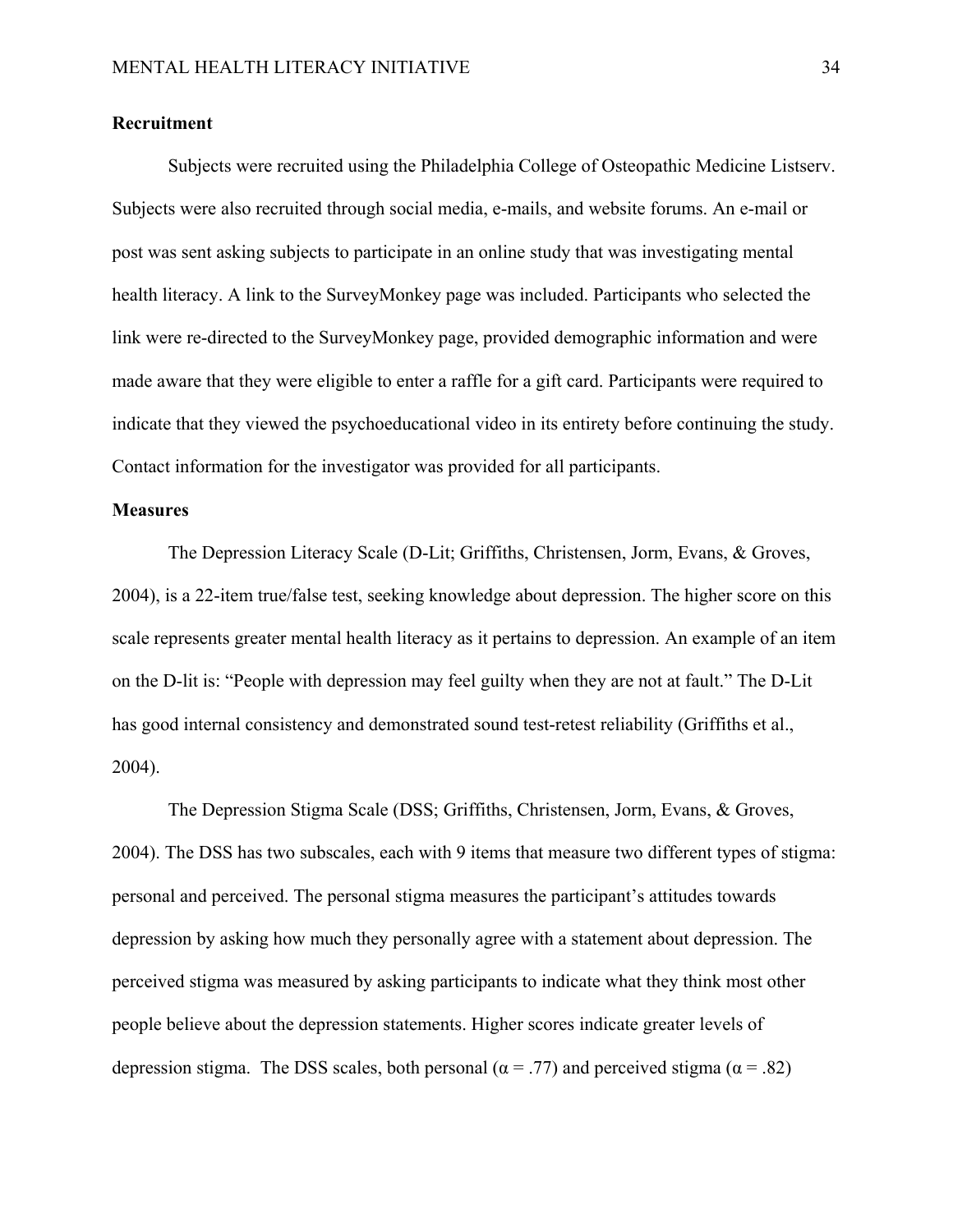# **Recruitment**

Subjects were recruited using the Philadelphia College of Osteopathic Medicine Listserv. Subjects were also recruited through social media, e-mails, and website forums. An e-mail or post was sent asking subjects to participate in an online study that was investigating mental health literacy. A link to the SurveyMonkey page was included. Participants who selected the link were re-directed to the SurveyMonkey page, provided demographic information and were made aware that they were eligible to enter a raffle for a gift card. Participants were required to indicate that they viewed the psychoeducational video in its entirety before continuing the study. Contact information for the investigator was provided for all participants.

# **Measures**

The Depression Literacy Scale (D-Lit; Griffiths, Christensen, Jorm, Evans, & Groves, 2004), is a 22-item true/false test, seeking knowledge about depression. The higher score on this scale represents greater mental health literacy as it pertains to depression. An example of an item on the D-lit is: "People with depression may feel guilty when they are not at fault." The D-Lit has good internal consistency and demonstrated sound test-retest reliability (Griffiths et al., 2004).

The Depression Stigma Scale (DSS; Griffiths, Christensen, Jorm, Evans, & Groves, 2004). The DSS has two subscales, each with 9 items that measure two different types of stigma: personal and perceived. The personal stigma measures the participant's attitudes towards depression by asking how much they personally agree with a statement about depression. The perceived stigma was measured by asking participants to indicate what they think most other people believe about the depression statements. Higher scores indicate greater levels of depression stigma. The DSS scales, both personal ( $\alpha = .77$ ) and perceived stigma ( $\alpha = .82$ )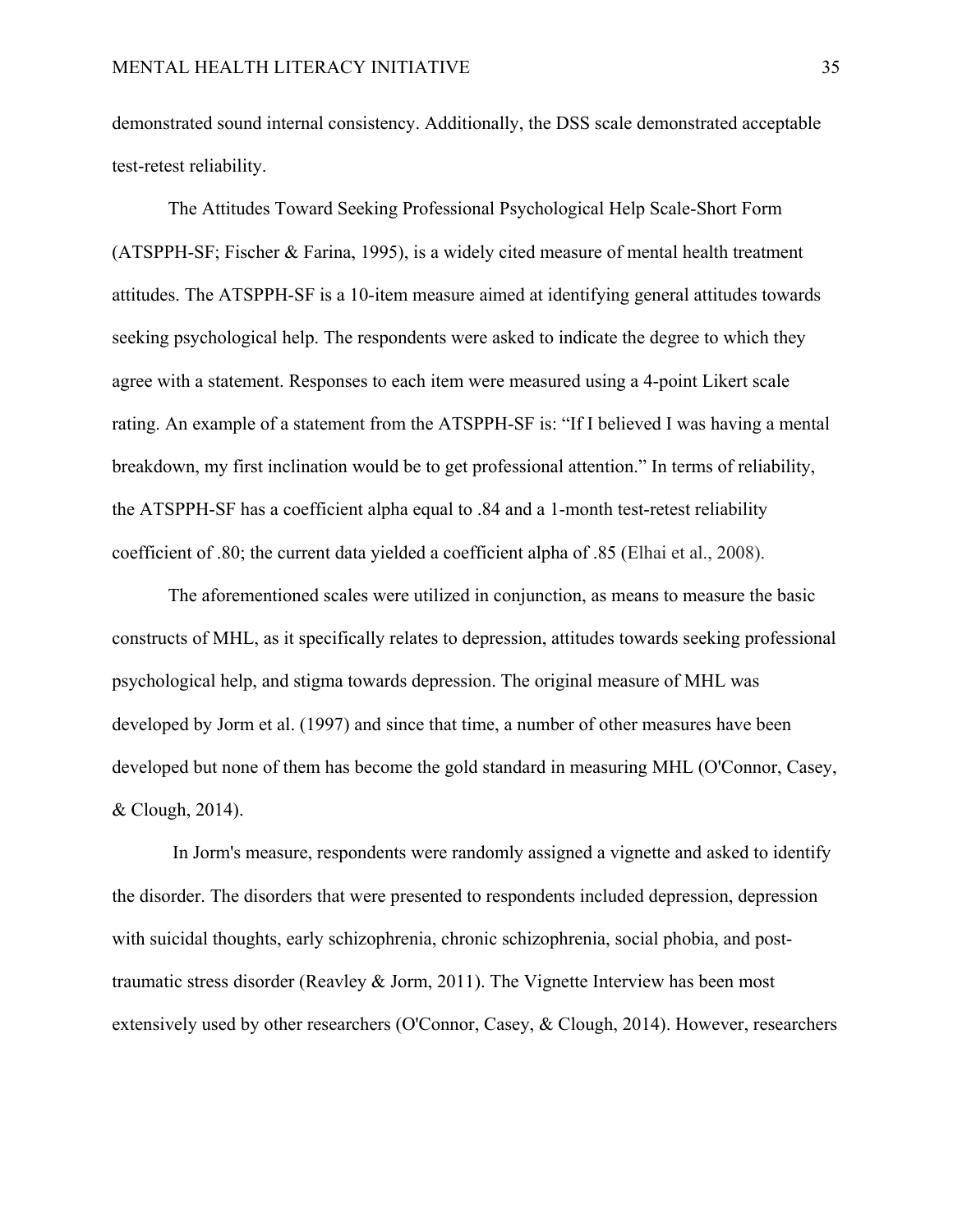demonstrated sound internal consistency. Additionally, the DSS scale demonstrated acceptable test-retest reliability.

The Attitudes Toward Seeking Professional Psychological Help Scale-Short Form (ATSPPH-SF; Fischer & Farina, 1995), is a widely cited measure of mental health treatment attitudes. The ATSPPH-SF is a 10-item measure aimed at identifying general attitudes towards seeking psychological help. The respondents were asked to indicate the degree to which they agree with a statement. Responses to each item were measured using a 4-point Likert scale rating. An example of a statement from the ATSPPH-SF is: "If I believed I was having a mental breakdown, my first inclination would be to get professional attention." In terms of reliability, the ATSPPH-SF has a coefficient alpha equal to .84 and a 1-month test-retest reliability coefficient of .80; the current data yielded a coefficient alpha of .85 (Elhai et al., 2008).

The aforementioned scales were utilized in conjunction, as means to measure the basic constructs of MHL, as it specifically relates to depression, attitudes towards seeking professional psychological help, and stigma towards depression. The original measure of MHL was developed by Jorm et al. (1997) and since that time, a number of other measures have been developed but none of them has become the gold standard in measuring MHL (O'Connor, Casey, & Clough, 2014).

 In Jorm's measure, respondents were randomly assigned a vignette and asked to identify the disorder. The disorders that were presented to respondents included depression, depression with suicidal thoughts, early schizophrenia, chronic schizophrenia, social phobia, and posttraumatic stress disorder (Reavley & Jorm, 2011). The Vignette Interview has been most extensively used by other researchers (O'Connor, Casey, & Clough, 2014). However, researchers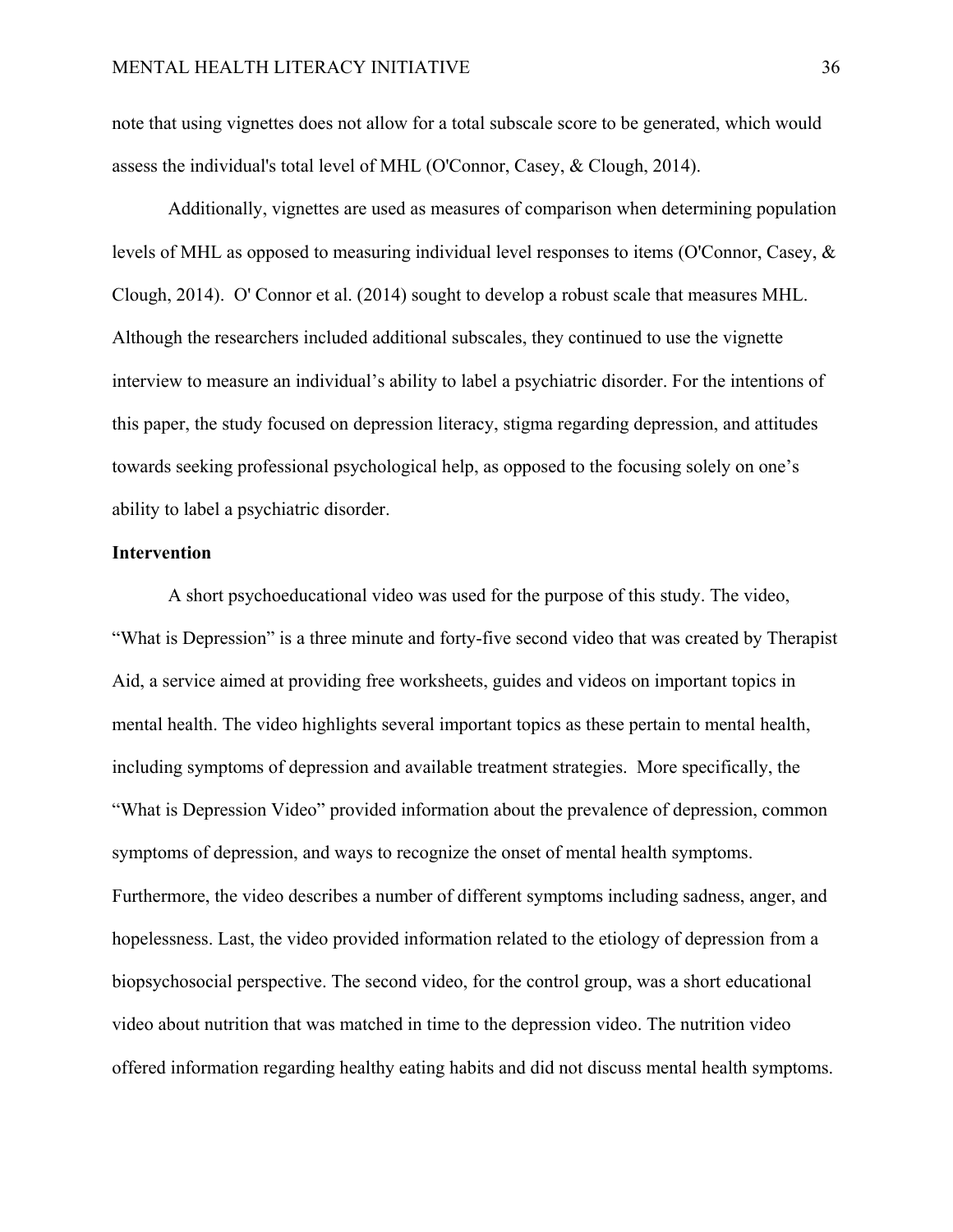note that using vignettes does not allow for a total subscale score to be generated, which would assess the individual's total level of MHL (O'Connor, Casey, & Clough, 2014).

Additionally, vignettes are used as measures of comparison when determining population levels of MHL as opposed to measuring individual level responses to items (O'Connor, Casey, & Clough, 2014). O' Connor et al. (2014) sought to develop a robust scale that measures MHL. Although the researchers included additional subscales, they continued to use the vignette interview to measure an individual's ability to label a psychiatric disorder. For the intentions of this paper, the study focused on depression literacy, stigma regarding depression, and attitudes towards seeking professional psychological help, as opposed to the focusing solely on one's ability to label a psychiatric disorder.

### **Intervention**

A short psychoeducational video was used for the purpose of this study. The video, "What is Depression" is a three minute and forty-five second video that was created by Therapist Aid, a service aimed at providing free worksheets, guides and videos on important topics in mental health. The video highlights several important topics as these pertain to mental health, including symptoms of depression and available treatment strategies. More specifically, the "What is Depression Video" provided information about the prevalence of depression, common symptoms of depression, and ways to recognize the onset of mental health symptoms. Furthermore, the video describes a number of different symptoms including sadness, anger, and hopelessness. Last, the video provided information related to the etiology of depression from a biopsychosocial perspective. The second video, for the control group, was a short educational video about nutrition that was matched in time to the depression video. The nutrition video offered information regarding healthy eating habits and did not discuss mental health symptoms.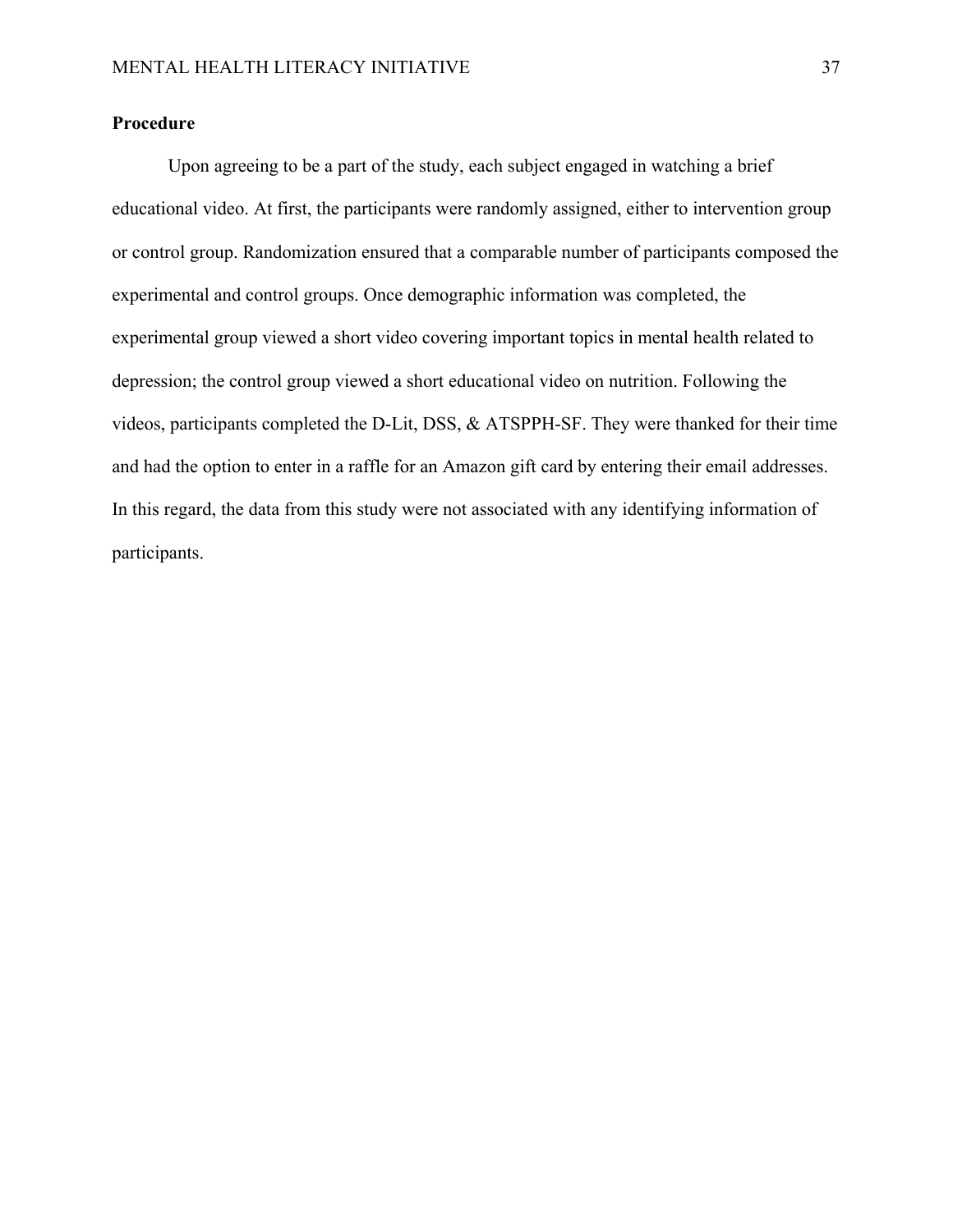# **Procedure**

Upon agreeing to be a part of the study, each subject engaged in watching a brief educational video. At first, the participants were randomly assigned, either to intervention group or control group. Randomization ensured that a comparable number of participants composed the experimental and control groups. Once demographic information was completed, the experimental group viewed a short video covering important topics in mental health related to depression; the control group viewed a short educational video on nutrition. Following the videos, participants completed the D-Lit, DSS, & ATSPPH-SF. They were thanked for their time and had the option to enter in a raffle for an Amazon gift card by entering their email addresses. In this regard, the data from this study were not associated with any identifying information of participants.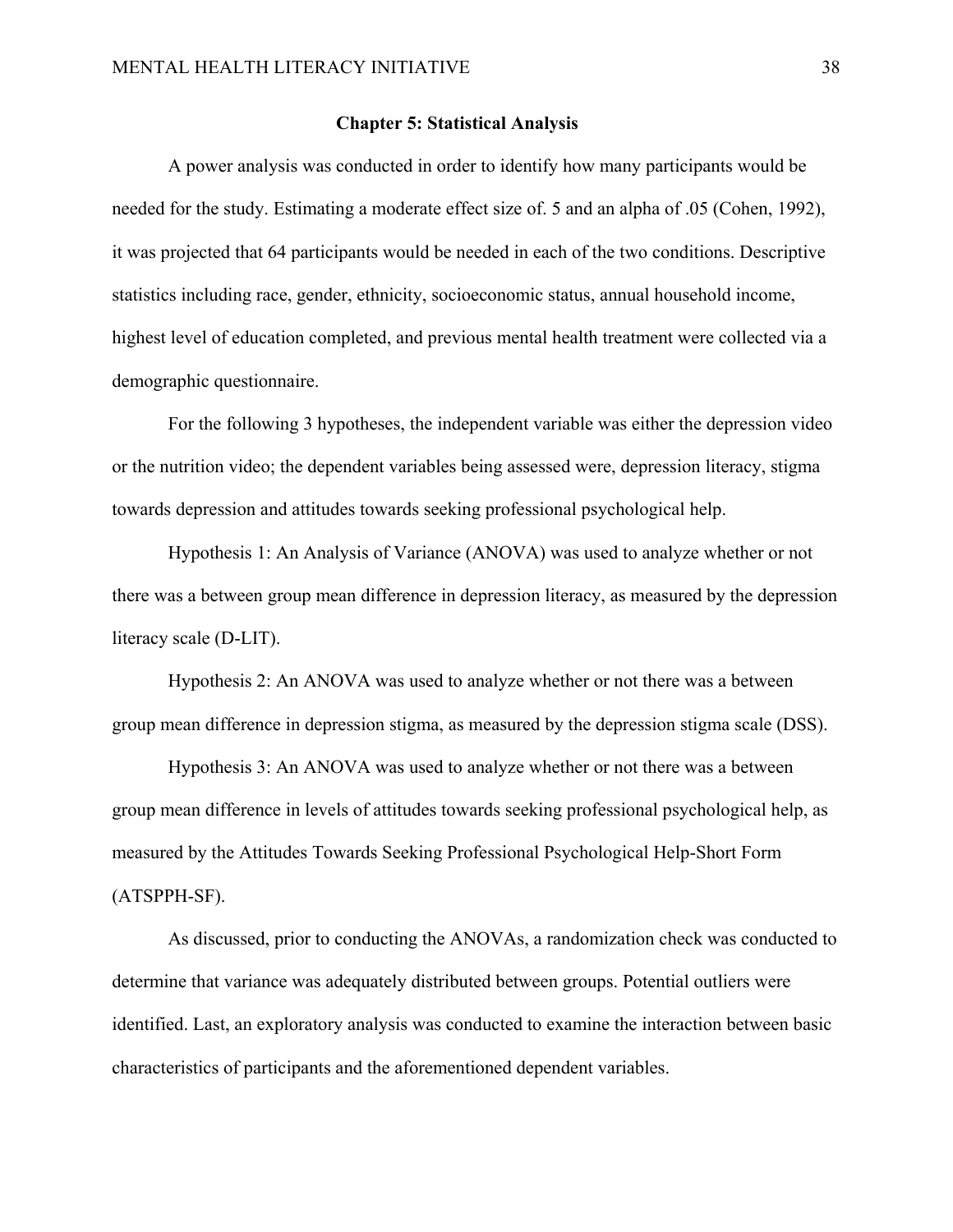# **Chapter 5: Statistical Analysis**

A power analysis was conducted in order to identify how many participants would be needed for the study. Estimating a moderate effect size of. 5 and an alpha of .05 (Cohen, 1992), it was projected that 64 participants would be needed in each of the two conditions. Descriptive statistics including race, gender, ethnicity, socioeconomic status, annual household income, highest level of education completed, and previous mental health treatment were collected via a demographic questionnaire.

For the following 3 hypotheses, the independent variable was either the depression video or the nutrition video; the dependent variables being assessed were, depression literacy, stigma towards depression and attitudes towards seeking professional psychological help.

Hypothesis 1: An Analysis of Variance (ANOVA) was used to analyze whether or not there was a between group mean difference in depression literacy, as measured by the depression literacy scale (D-LIT).

Hypothesis 2: An ANOVA was used to analyze whether or not there was a between group mean difference in depression stigma, as measured by the depression stigma scale (DSS).

Hypothesis 3: An ANOVA was used to analyze whether or not there was a between group mean difference in levels of attitudes towards seeking professional psychological help, as measured by the Attitudes Towards Seeking Professional Psychological Help-Short Form (ATSPPH-SF).

As discussed, prior to conducting the ANOVAs, a randomization check was conducted to determine that variance was adequately distributed between groups. Potential outliers were identified. Last, an exploratory analysis was conducted to examine the interaction between basic characteristics of participants and the aforementioned dependent variables.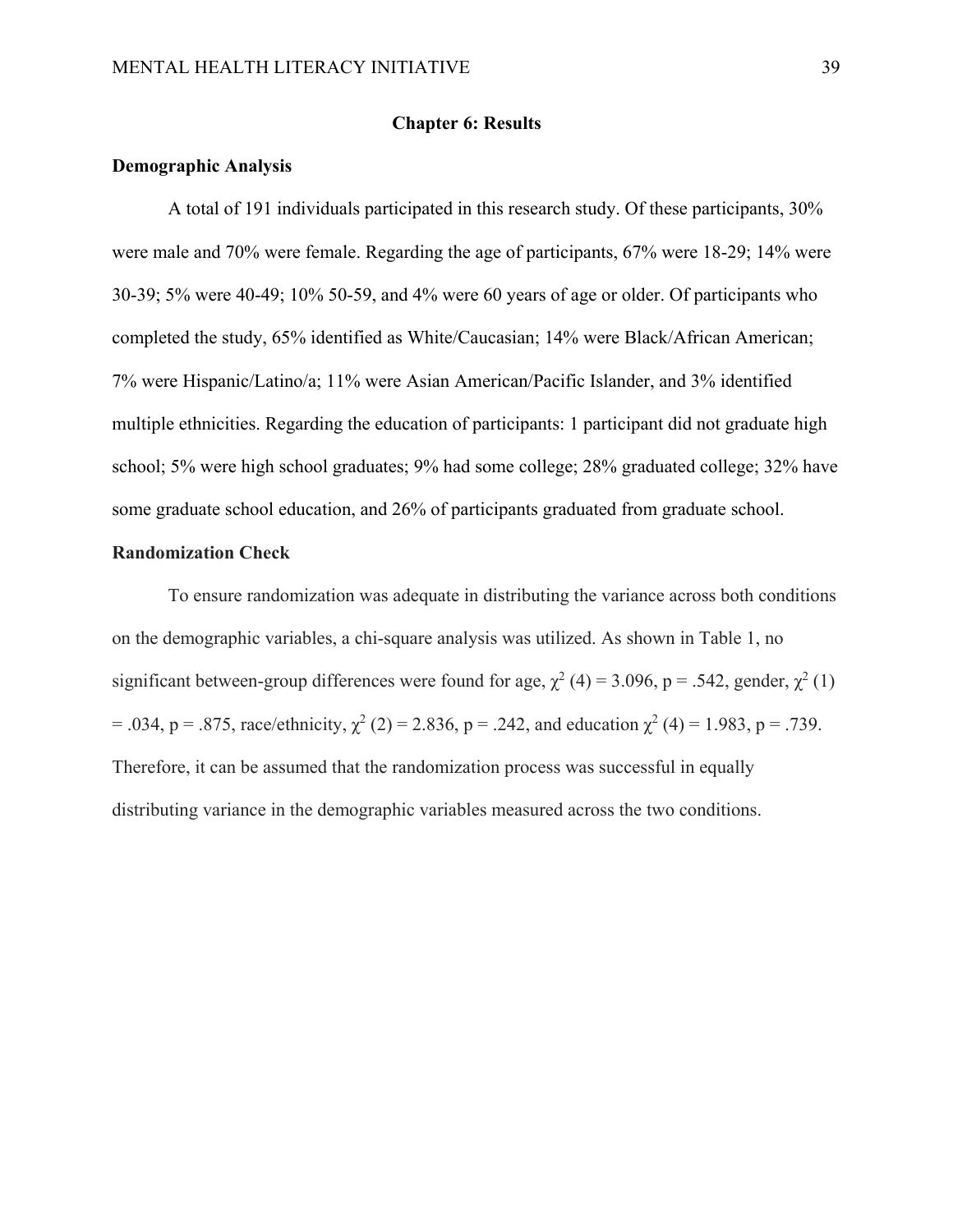# **Chapter 6: Results**

# **Demographic Analysis**

A total of 191 individuals participated in this research study. Of these participants, 30% were male and 70% were female. Regarding the age of participants, 67% were 18-29; 14% were 30-39; 5% were 40-49; 10% 50-59, and 4% were 60 years of age or older. Of participants who completed the study, 65% identified as White/Caucasian; 14% were Black/African American; 7% were Hispanic/Latino/a; 11% were Asian American/Pacific Islander, and 3% identified multiple ethnicities. Regarding the education of participants: 1 participant did not graduate high school; 5% were high school graduates; 9% had some college; 28% graduated college; 32% have some graduate school education, and 26% of participants graduated from graduate school.

# **Randomization Check**

To ensure randomization was adequate in distributing the variance across both conditions on the demographic variables, a chi-square analysis was utilized. As shown in Table 1, no significant between-group differences were found for age,  $\chi^2$  (4) = 3.096, p = .542, gender,  $\chi^2$  (1) = .034, p = .875, race/ethnicity,  $\chi^2$  (2) = 2.836, p = .242, and education  $\chi^2$  (4) = 1.983, p = .739. Therefore, it can be assumed that the randomization process was successful in equally distributing variance in the demographic variables measured across the two conditions.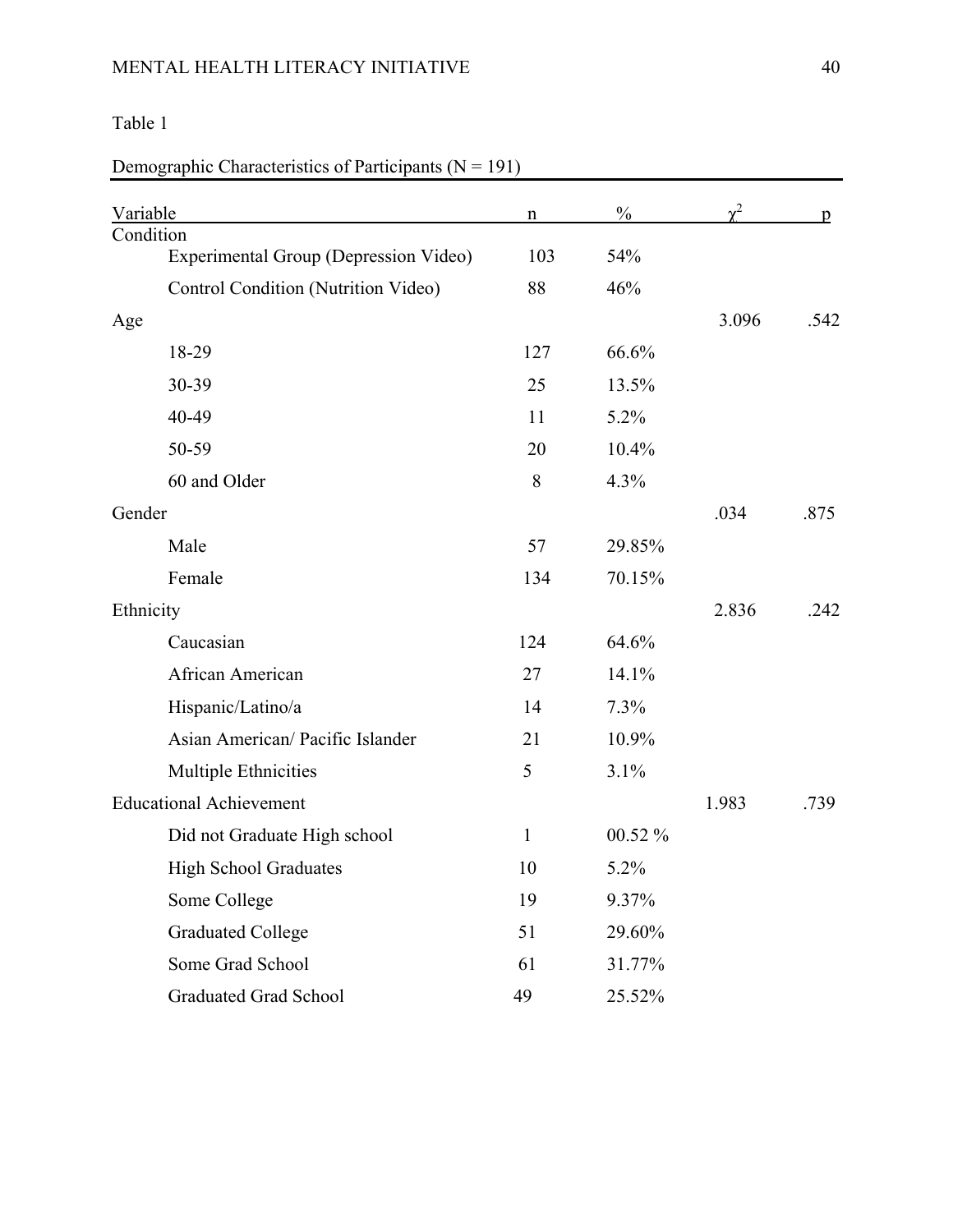# MENTAL HEALTH LITERACY INITIATIVE 40

# Table 1

# Demographic Characteristics of Participants  $(N = 191)$

| Variable                              | $\mathbf n$  | $\frac{0}{0}$ |       | p    |
|---------------------------------------|--------------|---------------|-------|------|
| Condition                             |              |               |       |      |
| Experimental Group (Depression Video) | 103          | 54%           |       |      |
| Control Condition (Nutrition Video)   | 88           | 46%           |       |      |
| Age                                   |              |               | 3.096 | .542 |
| 18-29                                 | 127          | 66.6%         |       |      |
| 30-39                                 | 25           | 13.5%         |       |      |
| 40-49                                 | 11           | 5.2%          |       |      |
| 50-59                                 | 20           | 10.4%         |       |      |
| 60 and Older                          | 8            | 4.3%          |       |      |
| Gender                                |              |               | .034  | .875 |
| Male                                  | 57           | 29.85%        |       |      |
| Female                                | 134          | 70.15%        |       |      |
| Ethnicity                             |              |               | 2.836 | .242 |
| Caucasian                             | 124          | 64.6%         |       |      |
| African American                      | 27           | 14.1%         |       |      |
| Hispanic/Latino/a                     | 14           | 7.3%          |       |      |
| Asian American/ Pacific Islander      | 21           | 10.9%         |       |      |
| Multiple Ethnicities                  | 5            | 3.1%          |       |      |
| <b>Educational Achievement</b>        |              |               | 1.983 | .739 |
| Did not Graduate High school          | $\mathbf{1}$ | 00.52 %       |       |      |
| <b>High School Graduates</b>          | 10           | 5.2%          |       |      |
| Some College                          | 19           | 9.37%         |       |      |
| <b>Graduated College</b>              | 51           | 29.60%        |       |      |
| Some Grad School                      | 61           | 31.77%        |       |      |
| <b>Graduated Grad School</b>          | 49           | 25.52%        |       |      |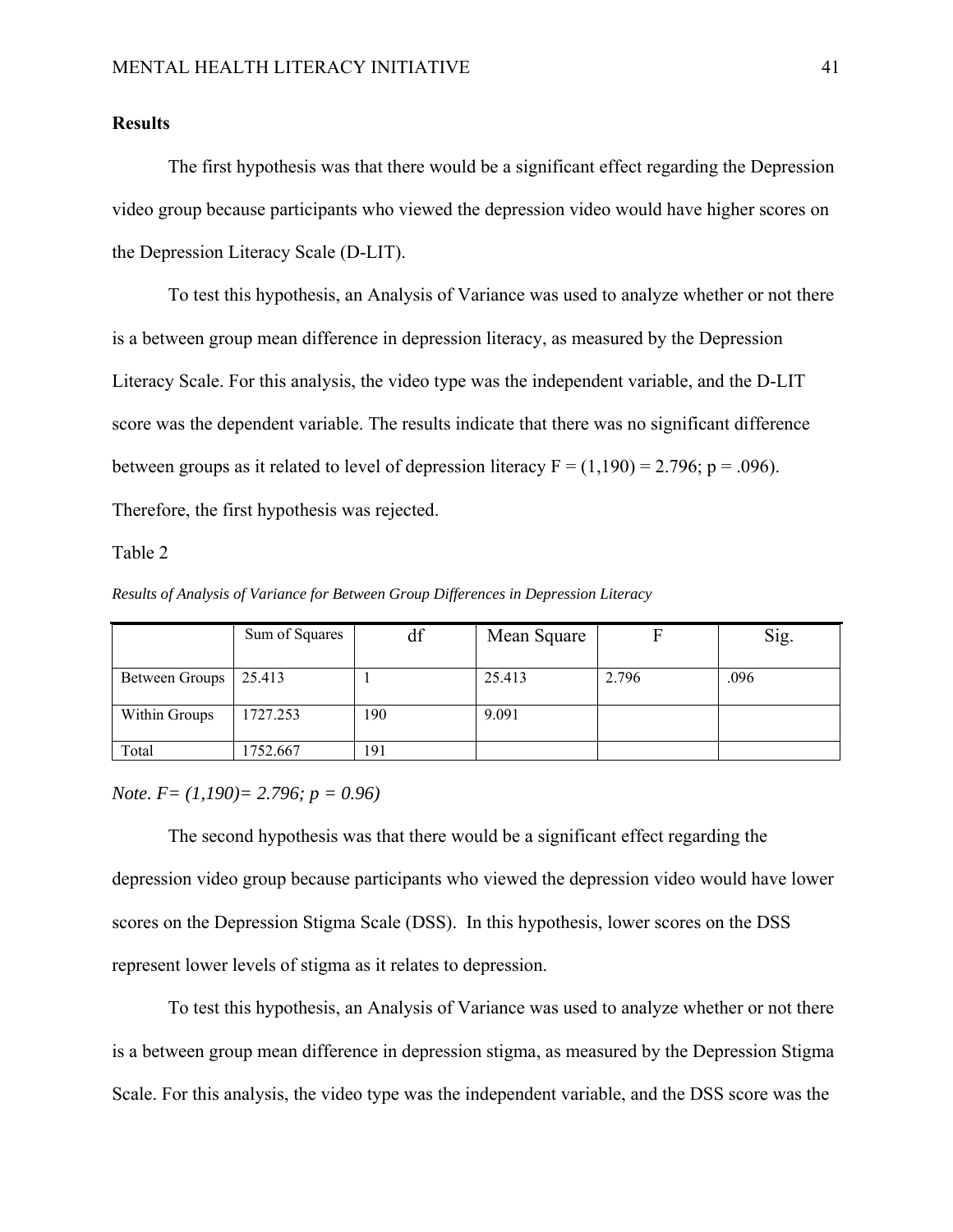# **Results**

The first hypothesis was that there would be a significant effect regarding the Depression video group because participants who viewed the depression video would have higher scores on the Depression Literacy Scale (D-LIT).

To test this hypothesis, an Analysis of Variance was used to analyze whether or not there is a between group mean difference in depression literacy, as measured by the Depression Literacy Scale. For this analysis, the video type was the independent variable, and the D-LIT score was the dependent variable. The results indicate that there was no significant difference between groups as it related to level of depression literacy  $F = (1,190) = 2.796$ ;  $p = .096$ ). Therefore, the first hypothesis was rejected.

### Table 2

*Results of Analysis of Variance for Between Group Differences in Depression Literacy*

|                       | Sum of Squares | df  | Mean Square |       | Sig. |
|-----------------------|----------------|-----|-------------|-------|------|
|                       |                |     |             |       |      |
| <b>Between Groups</b> | 25.413         |     | 25.413      | 2.796 | .096 |
|                       |                |     |             |       |      |
| Within Groups         | 1727.253       | 190 | 9.091       |       |      |
|                       |                |     |             |       |      |
| Total                 | 1752.667       | 191 |             |       |      |

*Note. F= (1,190)= 2.796; p = 0.96)* 

The second hypothesis was that there would be a significant effect regarding the depression video group because participants who viewed the depression video would have lower scores on the Depression Stigma Scale (DSS). In this hypothesis, lower scores on the DSS represent lower levels of stigma as it relates to depression.

To test this hypothesis, an Analysis of Variance was used to analyze whether or not there is a between group mean difference in depression stigma, as measured by the Depression Stigma Scale. For this analysis, the video type was the independent variable, and the DSS score was the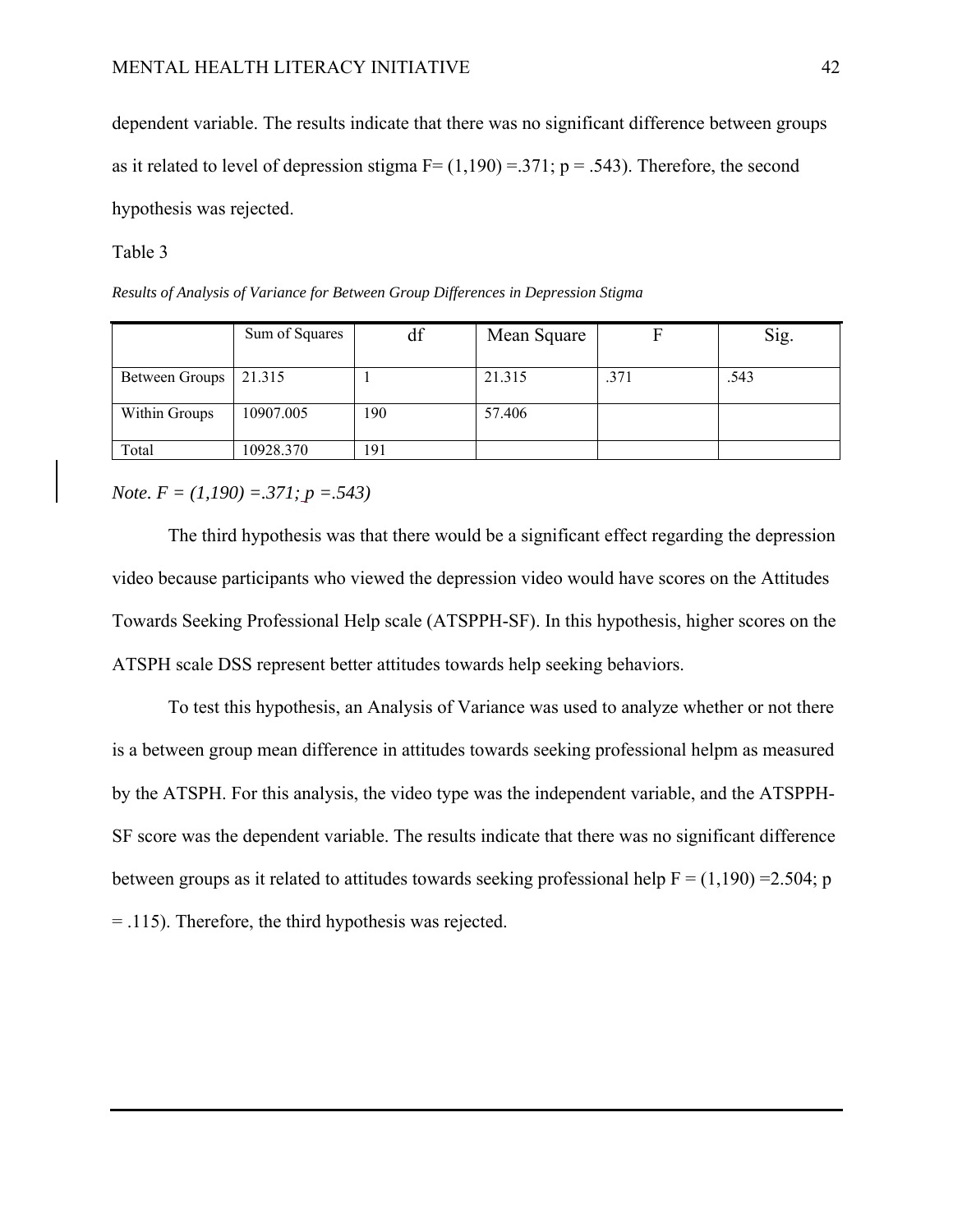dependent variable. The results indicate that there was no significant difference between groups as it related to level of depression stigma  $F = (1,190) = .371$ ; p = .543). Therefore, the second hypothesis was rejected.

Table 3

*Results of Analysis of Variance for Between Group Differences in Depression Stigma*

|                | Sum of Squares | df  | Mean Square |      | Sig. |
|----------------|----------------|-----|-------------|------|------|
|                |                |     |             |      |      |
| Between Groups | 21.315         |     | 21.315      | .371 | .543 |
| Within Groups  | 10907.005      | 190 | 57.406      |      |      |
| Total          | 10928.370      | 191 |             |      |      |

# *Note. F = (1,190) =.371; p =.543)*

The third hypothesis was that there would be a significant effect regarding the depression video because participants who viewed the depression video would have scores on the Attitudes Towards Seeking Professional Help scale (ATSPPH-SF). In this hypothesis, higher scores on the ATSPH scale DSS represent better attitudes towards help seeking behaviors.

To test this hypothesis, an Analysis of Variance was used to analyze whether or not there is a between group mean difference in attitudes towards seeking professional helpm as measured by the ATSPH. For this analysis, the video type was the independent variable, and the ATSPPH-SF score was the dependent variable. The results indicate that there was no significant difference between groups as it related to attitudes towards seeking professional help  $F = (1,190) = 2.504$ ; p = .115). Therefore, the third hypothesis was rejected.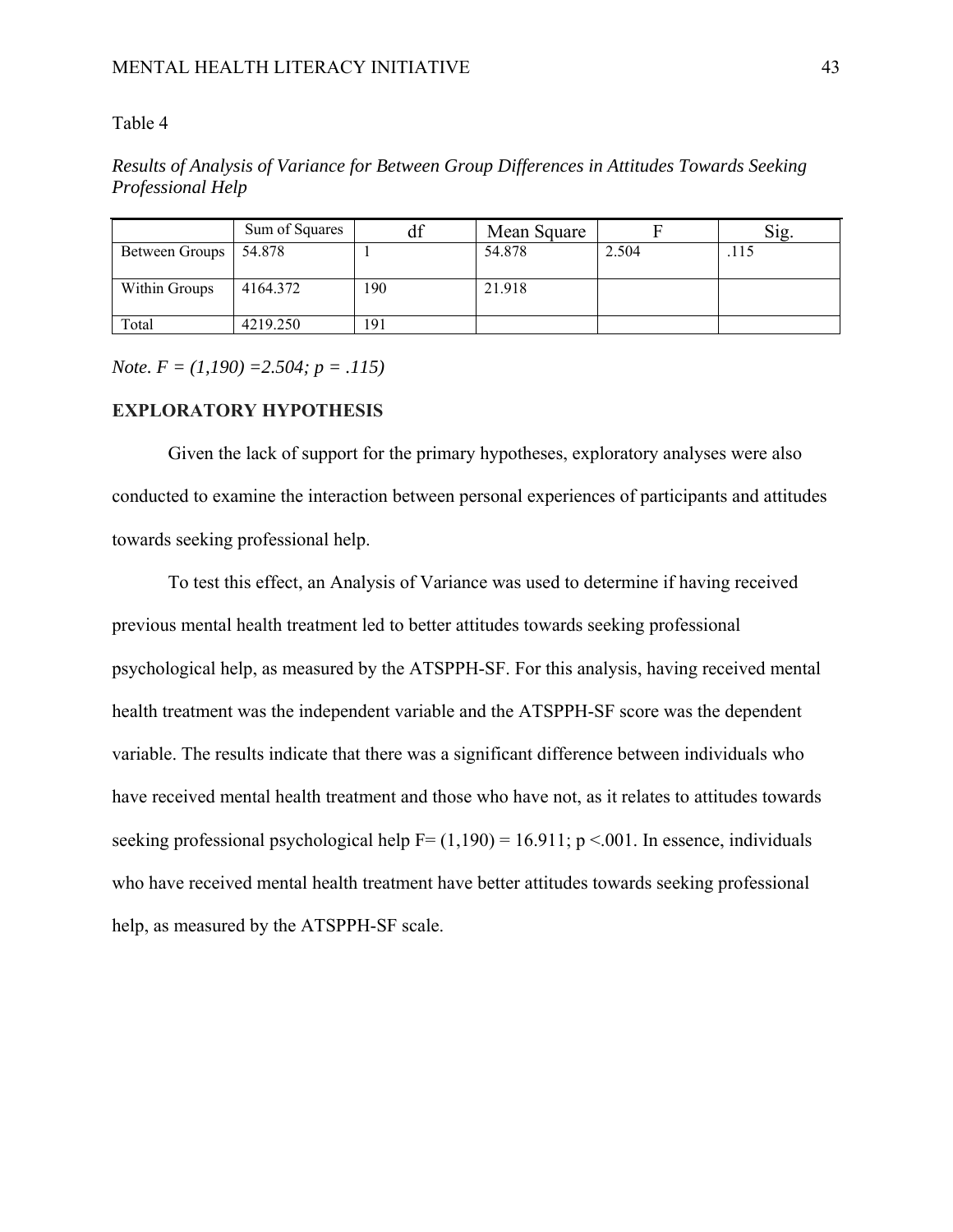# Table 4

*Results of Analysis of Variance for Between Group Differences in Attitudes Towards Seeking Professional Help* 

|                | Sum of Squares | αı  | Mean Square |       | Sig  |
|----------------|----------------|-----|-------------|-------|------|
| Between Groups | 54.878         |     | 54.878      | 2.504 | .115 |
| Within Groups  | 4164.372       | 190 | 21.918      |       |      |
| Total          | 4219.250       | 191 |             |       |      |

*Note. F = (1,190) =2.504; p = .115)* 

# **EXPLORATORY HYPOTHESIS**

Given the lack of support for the primary hypotheses, exploratory analyses were also conducted to examine the interaction between personal experiences of participants and attitudes towards seeking professional help.

To test this effect, an Analysis of Variance was used to determine if having received previous mental health treatment led to better attitudes towards seeking professional psychological help, as measured by the ATSPPH-SF. For this analysis, having received mental health treatment was the independent variable and the ATSPPH-SF score was the dependent variable. The results indicate that there was a significant difference between individuals who have received mental health treatment and those who have not, as it relates to attitudes towards seeking professional psychological help  $F = (1,190) = 16.911$ ; p <.001. In essence, individuals who have received mental health treatment have better attitudes towards seeking professional help, as measured by the ATSPPH-SF scale.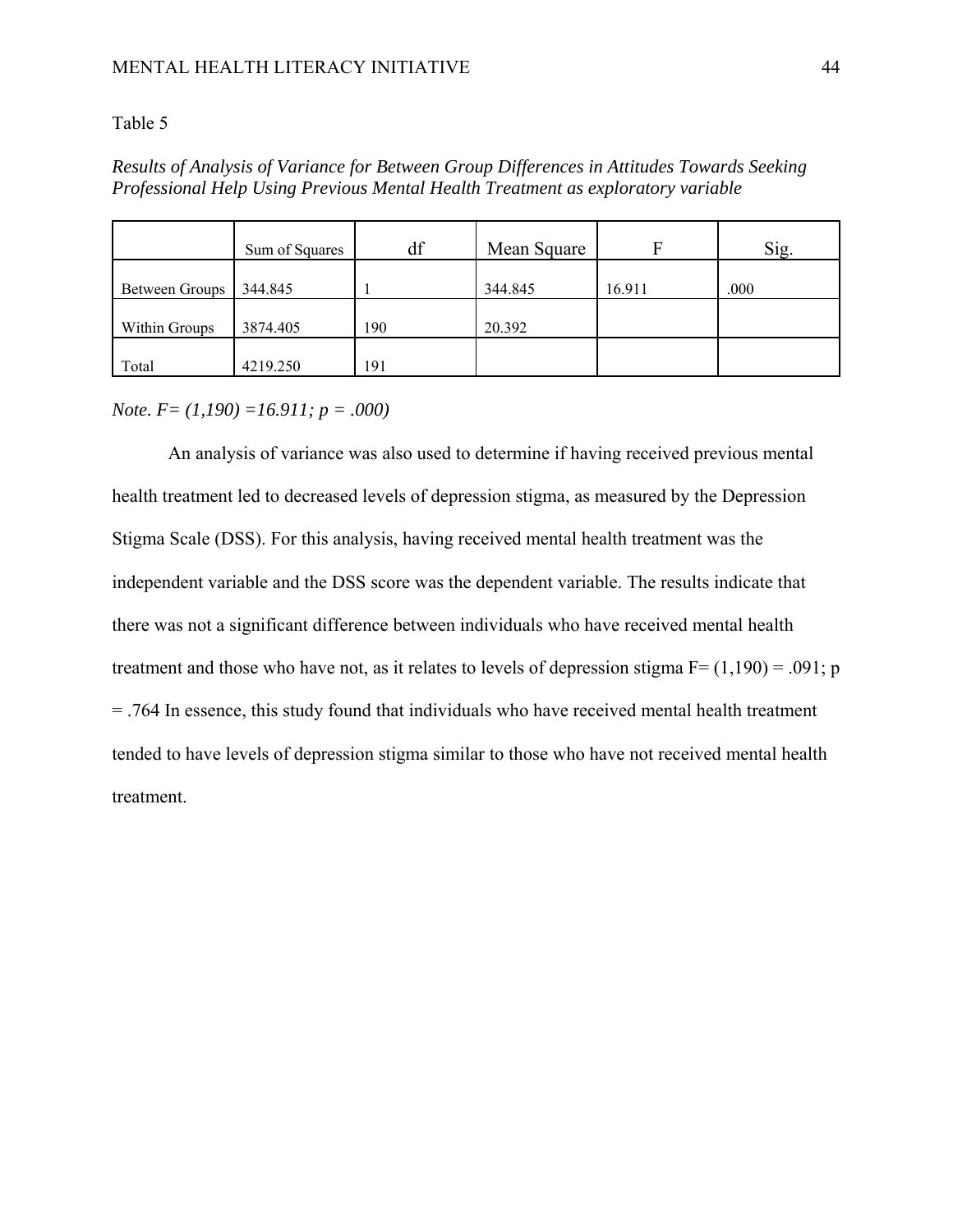# Table 5

# *Results of Analysis of Variance for Between Group Differences in Attitudes Towards Seeking Professional Help Using Previous Mental Health Treatment as exploratory variable*

|                | Sum of Squares | df  | Mean Square | F      | Sig. |
|----------------|----------------|-----|-------------|--------|------|
| Between Groups | 344.845        |     | 344.845     | 16.911 | .000 |
| Within Groups  | 3874.405       | 190 | 20.392      |        |      |
| Total          | 4219.250       | 191 |             |        |      |

# *Note. F= (1,190) =16.911; p = .000)*

An analysis of variance was also used to determine if having received previous mental health treatment led to decreased levels of depression stigma, as measured by the Depression Stigma Scale (DSS). For this analysis, having received mental health treatment was the independent variable and the DSS score was the dependent variable. The results indicate that there was not a significant difference between individuals who have received mental health treatment and those who have not, as it relates to levels of depression stigma  $F = (1,190) = .091$ ; p = .764 In essence, this study found that individuals who have received mental health treatment tended to have levels of depression stigma similar to those who have not received mental health treatment.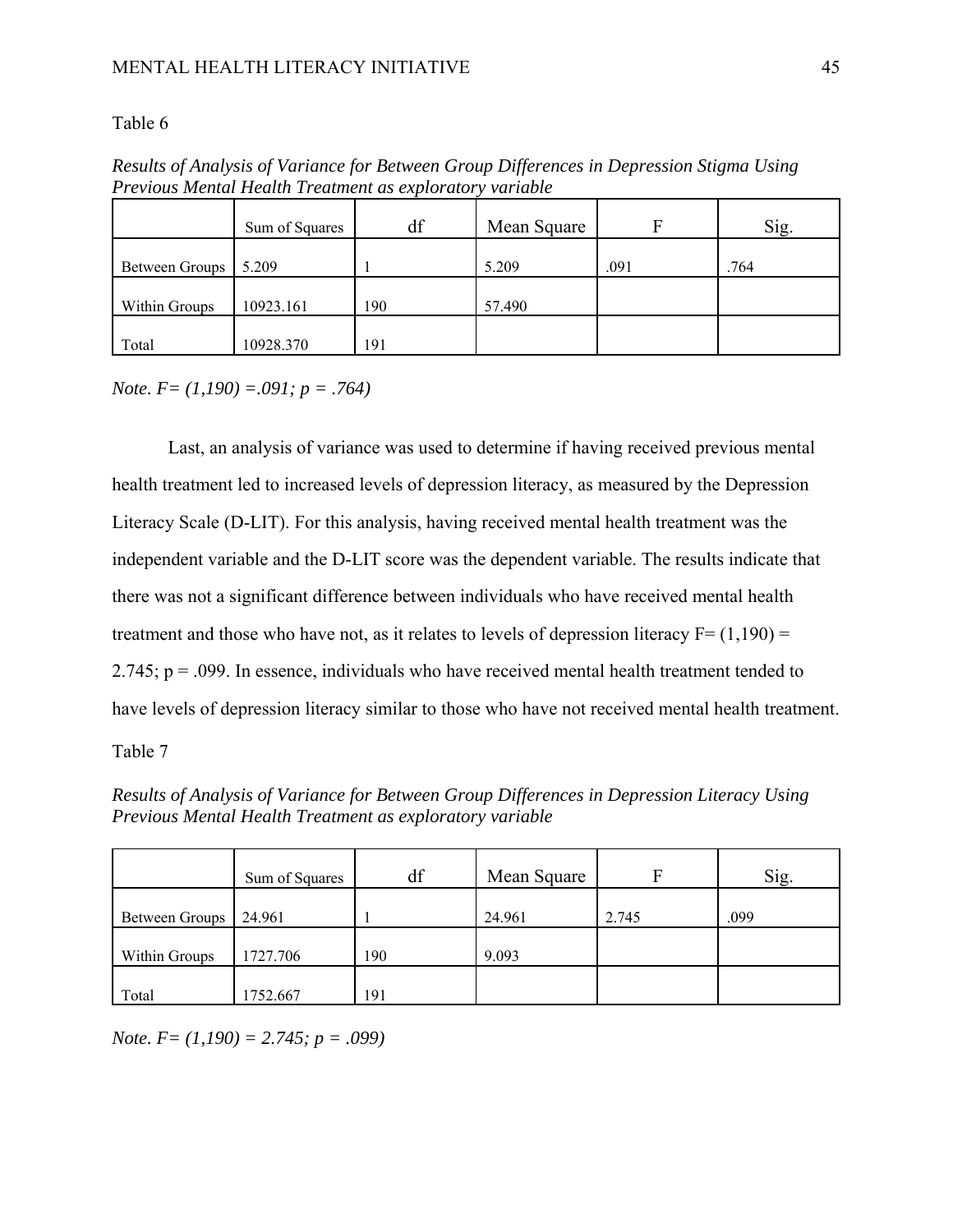### Table 6

| Trevious mental Health Treatment as explorator<br><i>variavi</i> c |                |     |             |      |      |  |
|--------------------------------------------------------------------|----------------|-----|-------------|------|------|--|
|                                                                    | Sum of Squares | df  | Mean Square |      | Sig. |  |
| Between Groups                                                     | 5.209          |     | 5.209       | .091 | .764 |  |
| Within Groups                                                      | 10923.161      | 190 | 57.490      |      |      |  |
| Total                                                              | 10928.370      | 191 |             |      |      |  |

*Results of Analysis of Variance for Between Group Differences in Depression Stigma Using Previous Mental Health Treatment as exploratory variable*

*Note. F= (1,190) =.091; p = .764)* 

Last, an analysis of variance was used to determine if having received previous mental health treatment led to increased levels of depression literacy, as measured by the Depression Literacy Scale (D-LIT). For this analysis, having received mental health treatment was the independent variable and the D-LIT score was the dependent variable. The results indicate that there was not a significant difference between individuals who have received mental health treatment and those who have not, as it relates to levels of depression literacy  $F = (1,190) =$ 2.745;  $p = .099$ . In essence, individuals who have received mental health treatment tended to have levels of depression literacy similar to those who have not received mental health treatment.

Table 7

*Results of Analysis of Variance for Between Group Differences in Depression Literacy Using Previous Mental Health Treatment as exploratory variable*

|                | Sum of Squares | df  | Mean Square | F     | Sig. |
|----------------|----------------|-----|-------------|-------|------|
| Between Groups | 24.961         |     | 24.961      | 2.745 | .099 |
| Within Groups  | 1727.706       | 190 | 9.093       |       |      |
| Total          | 1752.667       | 191 |             |       |      |

*Note. F= (1,190) = 2.745; p = .099)*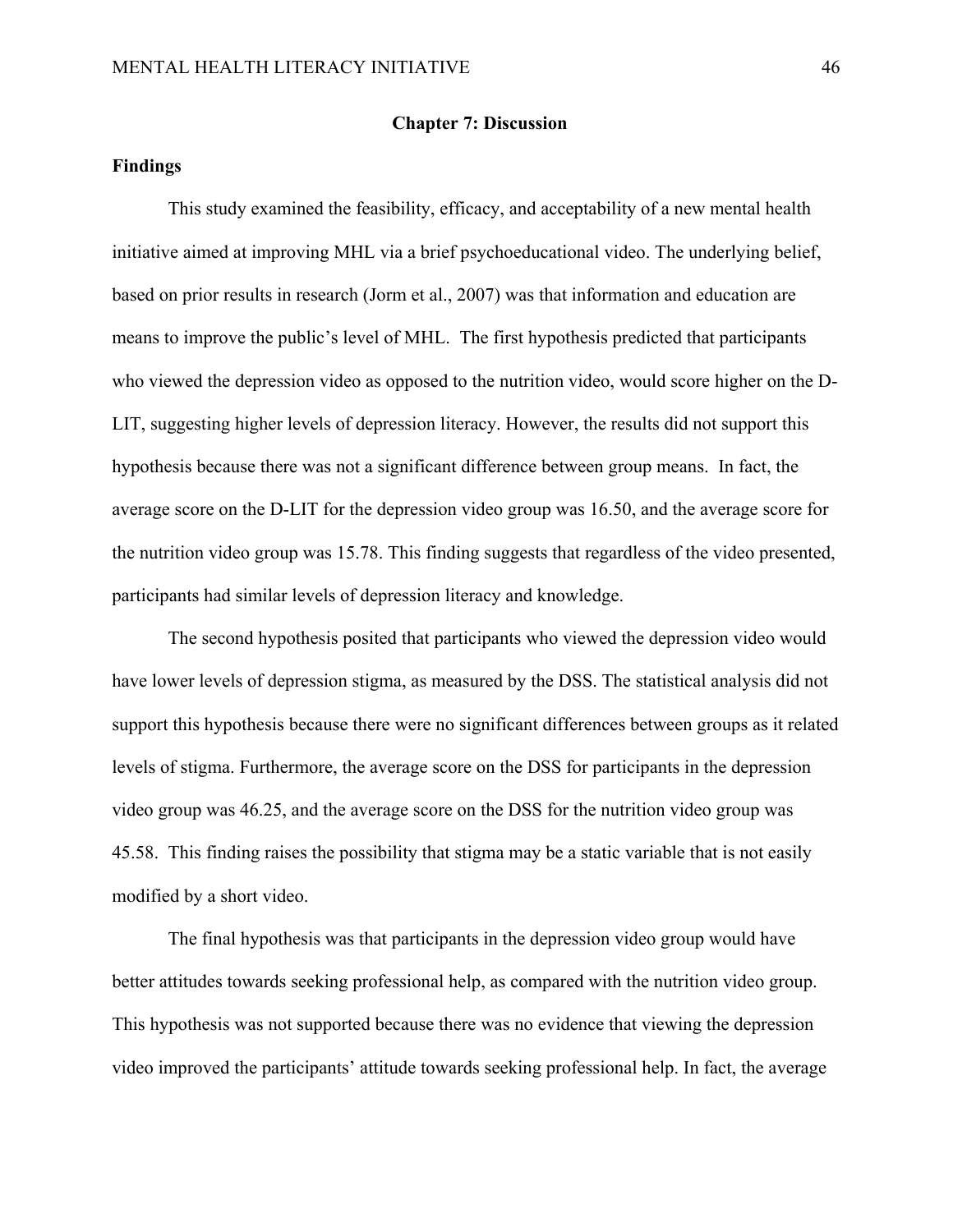# **Findings**

This study examined the feasibility, efficacy, and acceptability of a new mental health initiative aimed at improving MHL via a brief psychoeducational video. The underlying belief, based on prior results in research (Jorm et al., 2007) was that information and education are means to improve the public's level of MHL. The first hypothesis predicted that participants who viewed the depression video as opposed to the nutrition video, would score higher on the D-LIT, suggesting higher levels of depression literacy. However, the results did not support this hypothesis because there was not a significant difference between group means. In fact, the average score on the D-LIT for the depression video group was 16.50, and the average score for the nutrition video group was 15.78. This finding suggests that regardless of the video presented, participants had similar levels of depression literacy and knowledge.

The second hypothesis posited that participants who viewed the depression video would have lower levels of depression stigma, as measured by the DSS. The statistical analysis did not support this hypothesis because there were no significant differences between groups as it related levels of stigma. Furthermore, the average score on the DSS for participants in the depression video group was 46.25, and the average score on the DSS for the nutrition video group was 45.58. This finding raises the possibility that stigma may be a static variable that is not easily modified by a short video.

The final hypothesis was that participants in the depression video group would have better attitudes towards seeking professional help, as compared with the nutrition video group. This hypothesis was not supported because there was no evidence that viewing the depression video improved the participants' attitude towards seeking professional help. In fact, the average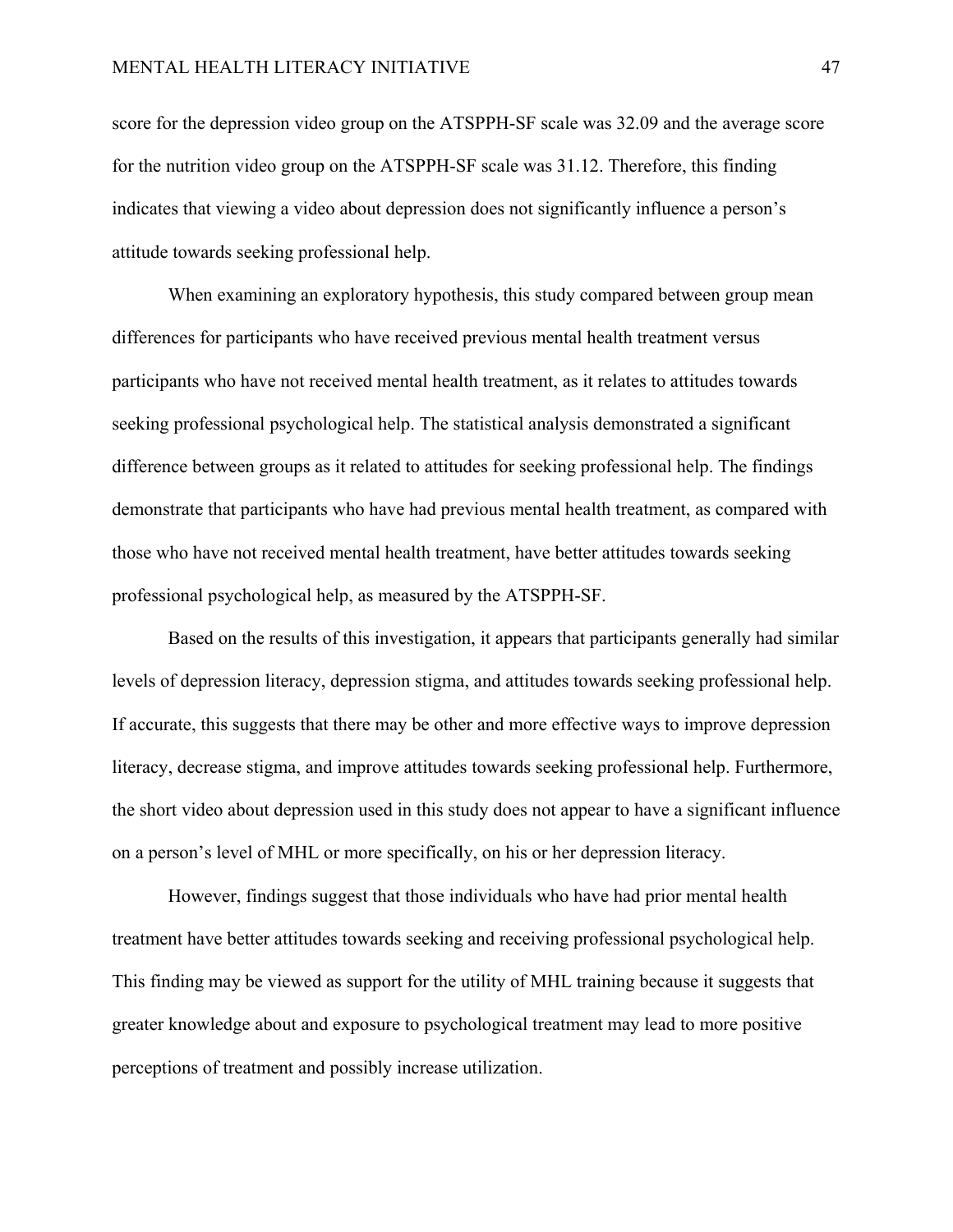score for the depression video group on the ATSPPH-SF scale was 32.09 and the average score for the nutrition video group on the ATSPPH-SF scale was 31.12. Therefore, this finding indicates that viewing a video about depression does not significantly influence a person's attitude towards seeking professional help.

When examining an exploratory hypothesis, this study compared between group mean differences for participants who have received previous mental health treatment versus participants who have not received mental health treatment, as it relates to attitudes towards seeking professional psychological help. The statistical analysis demonstrated a significant difference between groups as it related to attitudes for seeking professional help. The findings demonstrate that participants who have had previous mental health treatment, as compared with those who have not received mental health treatment, have better attitudes towards seeking professional psychological help, as measured by the ATSPPH-SF.

 Based on the results of this investigation, it appears that participants generally had similar levels of depression literacy, depression stigma, and attitudes towards seeking professional help. If accurate, this suggests that there may be other and more effective ways to improve depression literacy, decrease stigma, and improve attitudes towards seeking professional help. Furthermore, the short video about depression used in this study does not appear to have a significant influence on a person's level of MHL or more specifically, on his or her depression literacy.

However, findings suggest that those individuals who have had prior mental health treatment have better attitudes towards seeking and receiving professional psychological help. This finding may be viewed as support for the utility of MHL training because it suggests that greater knowledge about and exposure to psychological treatment may lead to more positive perceptions of treatment and possibly increase utilization.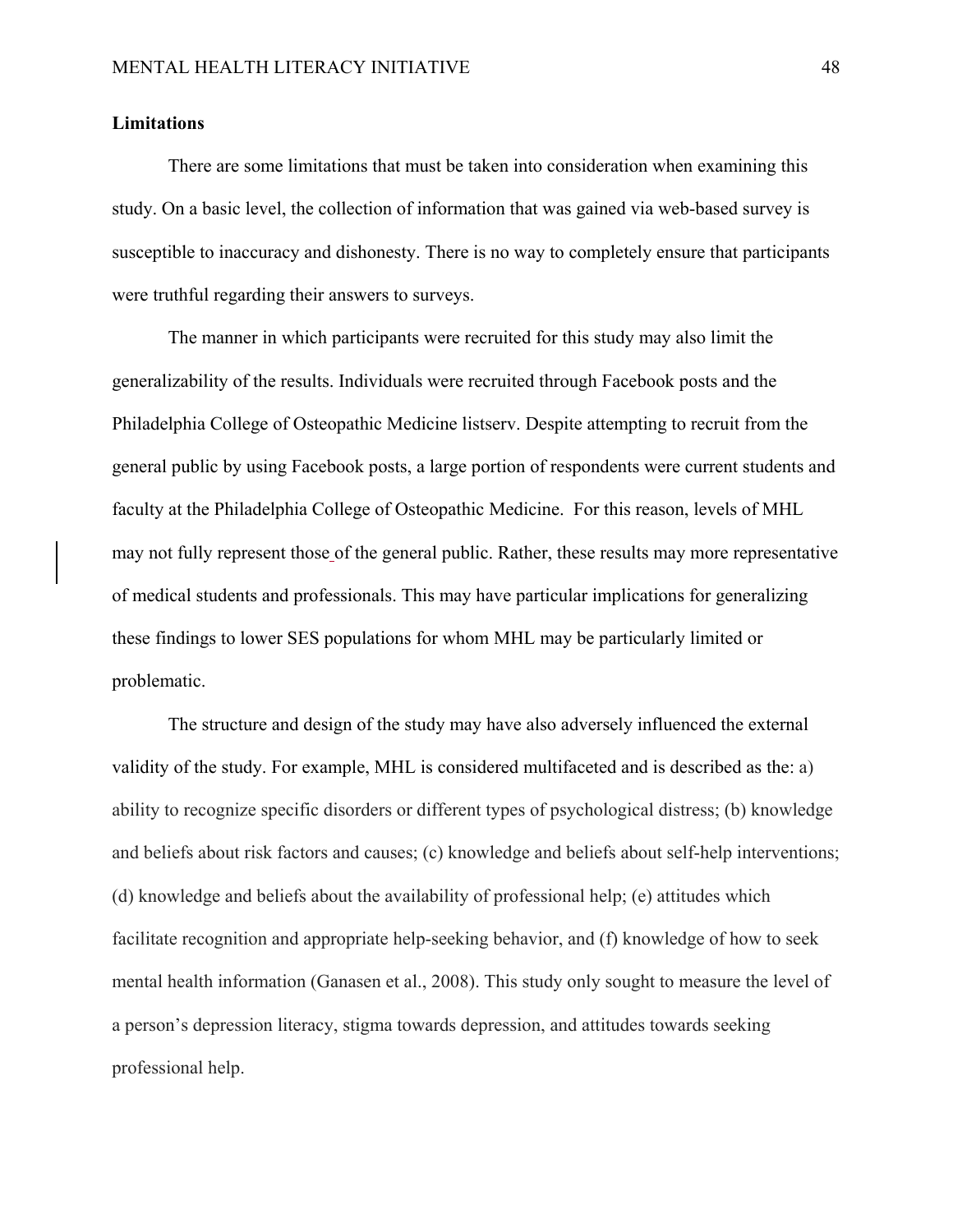# **Limitations**

There are some limitations that must be taken into consideration when examining this study. On a basic level, the collection of information that was gained via web-based survey is susceptible to inaccuracy and dishonesty. There is no way to completely ensure that participants were truthful regarding their answers to surveys.

The manner in which participants were recruited for this study may also limit the generalizability of the results. Individuals were recruited through Facebook posts and the Philadelphia College of Osteopathic Medicine listserv. Despite attempting to recruit from the general public by using Facebook posts, a large portion of respondents were current students and faculty at the Philadelphia College of Osteopathic Medicine. For this reason, levels of MHL may not fully represent those of the general public. Rather, these results may more representative of medical students and professionals. This may have particular implications for generalizing these findings to lower SES populations for whom MHL may be particularly limited or problematic.

The structure and design of the study may have also adversely influenced the external validity of the study. For example, MHL is considered multifaceted and is described as the: a) ability to recognize specific disorders or different types of psychological distress; (b) knowledge and beliefs about risk factors and causes; (c) knowledge and beliefs about self-help interventions; (d) knowledge and beliefs about the availability of professional help; (e) attitudes which facilitate recognition and appropriate help-seeking behavior, and (f) knowledge of how to seek mental health information (Ganasen et al., 2008). This study only sought to measure the level of a person's depression literacy, stigma towards depression, and attitudes towards seeking professional help.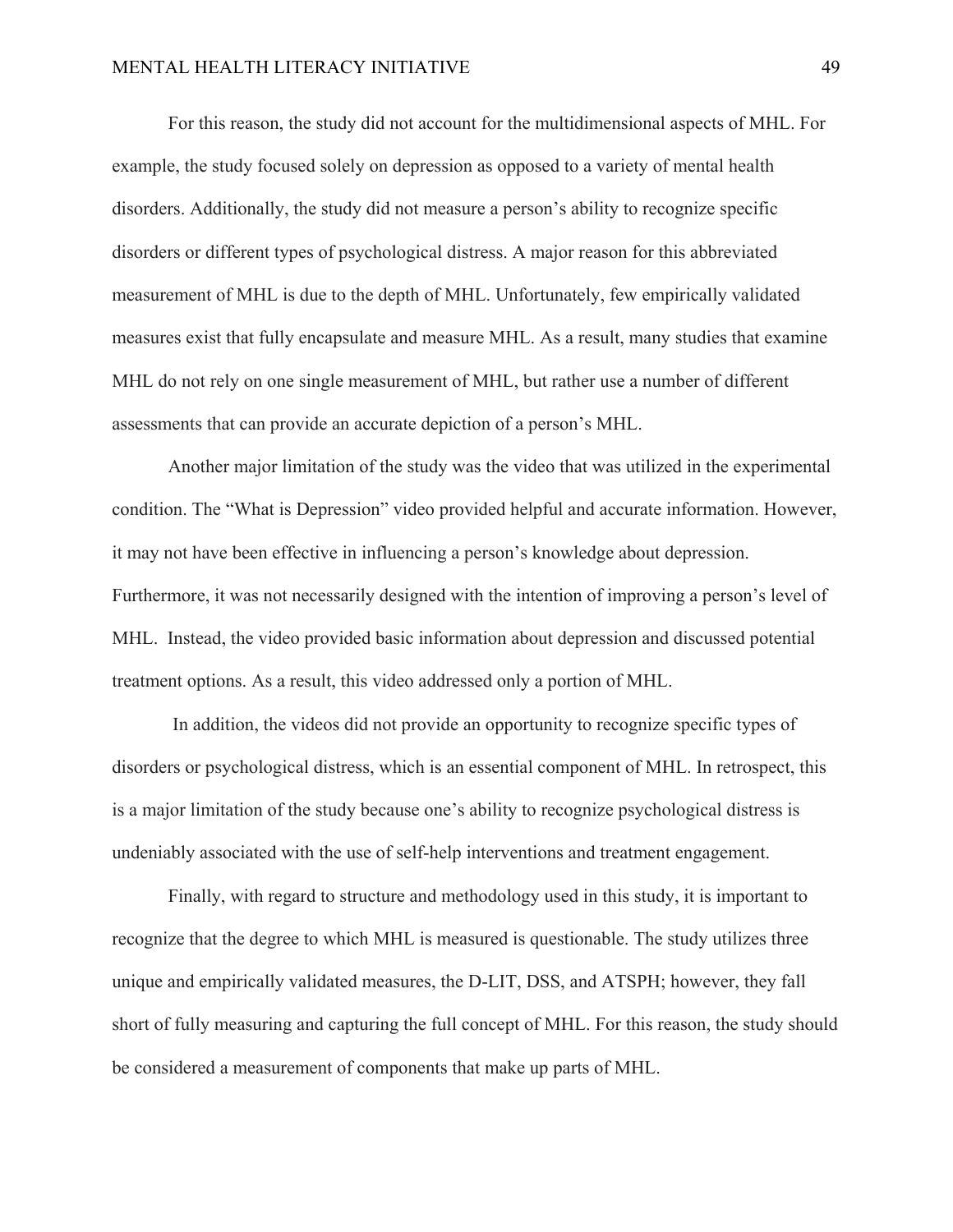# MENTAL HEALTH LITERACY INITIATIVE 49

For this reason, the study did not account for the multidimensional aspects of MHL. For example, the study focused solely on depression as opposed to a variety of mental health disorders. Additionally, the study did not measure a person's ability to recognize specific disorders or different types of psychological distress. A major reason for this abbreviated measurement of MHL is due to the depth of MHL. Unfortunately, few empirically validated measures exist that fully encapsulate and measure MHL. As a result, many studies that examine MHL do not rely on one single measurement of MHL, but rather use a number of different assessments that can provide an accurate depiction of a person's MHL.

Another major limitation of the study was the video that was utilized in the experimental condition. The "What is Depression" video provided helpful and accurate information. However, it may not have been effective in influencing a person's knowledge about depression. Furthermore, it was not necessarily designed with the intention of improving a person's level of MHL. Instead, the video provided basic information about depression and discussed potential treatment options. As a result, this video addressed only a portion of MHL.

 In addition, the videos did not provide an opportunity to recognize specific types of disorders or psychological distress, which is an essential component of MHL. In retrospect, this is a major limitation of the study because one's ability to recognize psychological distress is undeniably associated with the use of self-help interventions and treatment engagement.

Finally, with regard to structure and methodology used in this study, it is important to recognize that the degree to which MHL is measured is questionable. The study utilizes three unique and empirically validated measures, the D-LIT, DSS, and ATSPH; however, they fall short of fully measuring and capturing the full concept of MHL. For this reason, the study should be considered a measurement of components that make up parts of MHL.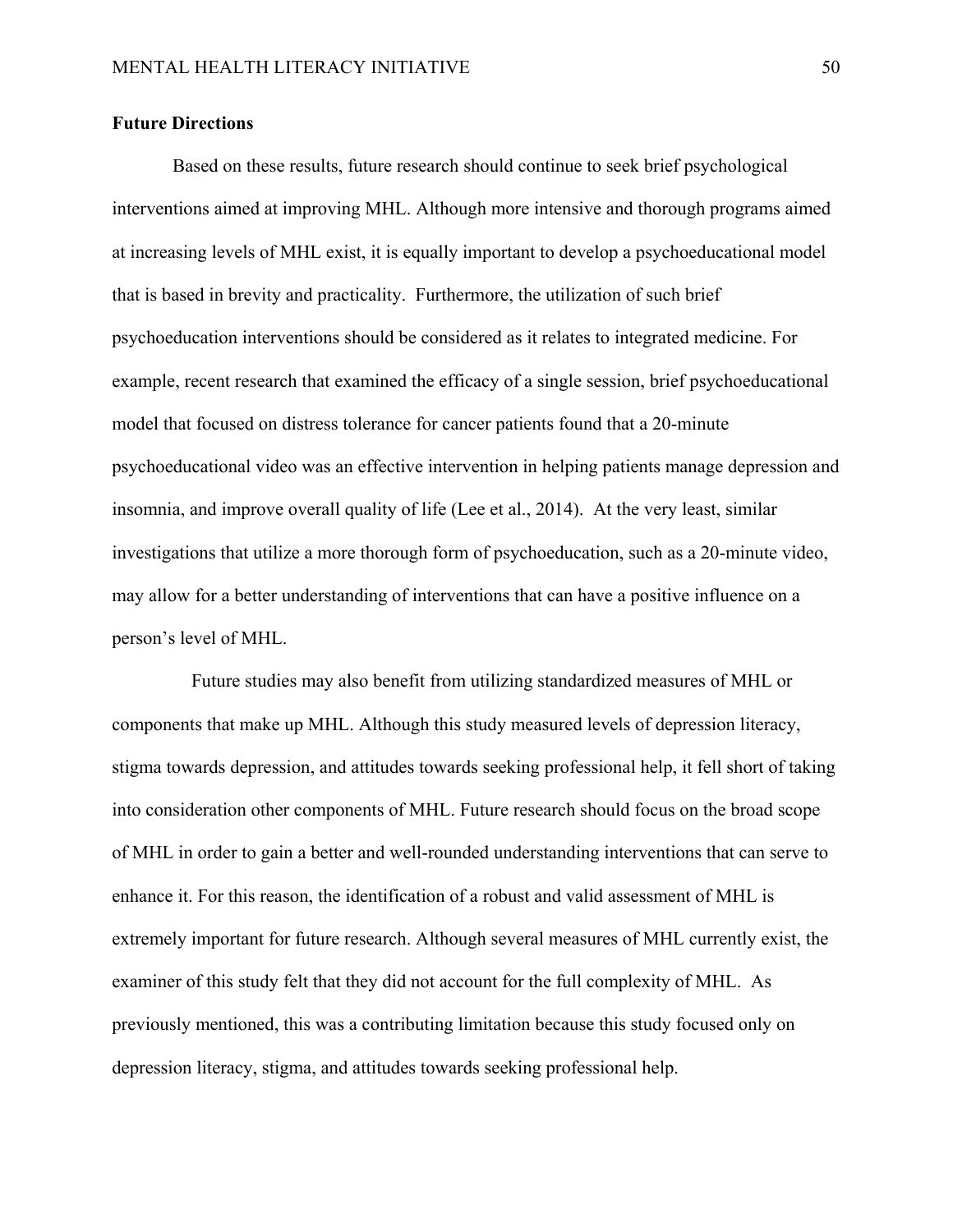# **Future Directions**

Based on these results, future research should continue to seek brief psychological interventions aimed at improving MHL. Although more intensive and thorough programs aimed at increasing levels of MHL exist, it is equally important to develop a psychoeducational model that is based in brevity and practicality. Furthermore, the utilization of such brief psychoeducation interventions should be considered as it relates to integrated medicine. For example, recent research that examined the efficacy of a single session, brief psychoeducational model that focused on distress tolerance for cancer patients found that a 20-minute psychoeducational video was an effective intervention in helping patients manage depression and insomnia, and improve overall quality of life (Lee et al., 2014). At the very least, similar investigations that utilize a more thorough form of psychoeducation, such as a 20-minute video, may allow for a better understanding of interventions that can have a positive influence on a person's level of MHL.

 Future studies may also benefit from utilizing standardized measures of MHL or components that make up MHL. Although this study measured levels of depression literacy, stigma towards depression, and attitudes towards seeking professional help, it fell short of taking into consideration other components of MHL. Future research should focus on the broad scope of MHL in order to gain a better and well-rounded understanding interventions that can serve to enhance it. For this reason, the identification of a robust and valid assessment of MHL is extremely important for future research. Although several measures of MHL currently exist, the examiner of this study felt that they did not account for the full complexity of MHL. As previously mentioned, this was a contributing limitation because this study focused only on depression literacy, stigma, and attitudes towards seeking professional help.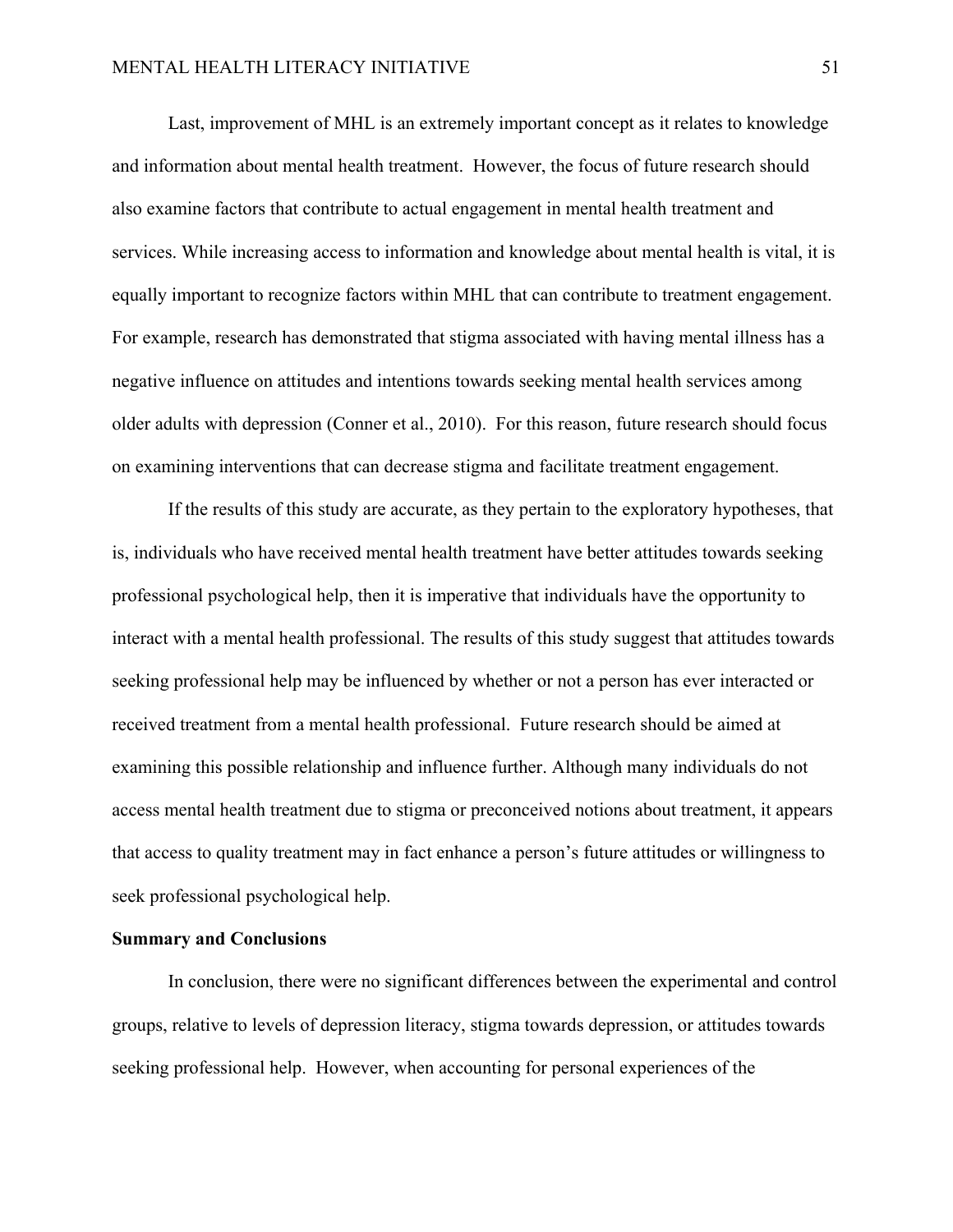Last, improvement of MHL is an extremely important concept as it relates to knowledge and information about mental health treatment. However, the focus of future research should also examine factors that contribute to actual engagement in mental health treatment and services. While increasing access to information and knowledge about mental health is vital, it is equally important to recognize factors within MHL that can contribute to treatment engagement. For example, research has demonstrated that stigma associated with having mental illness has a negative influence on attitudes and intentions towards seeking mental health services among older adults with depression (Conner et al., 2010). For this reason, future research should focus on examining interventions that can decrease stigma and facilitate treatment engagement.

If the results of this study are accurate, as they pertain to the exploratory hypotheses, that is, individuals who have received mental health treatment have better attitudes towards seeking professional psychological help, then it is imperative that individuals have the opportunity to interact with a mental health professional. The results of this study suggest that attitudes towards seeking professional help may be influenced by whether or not a person has ever interacted or received treatment from a mental health professional. Future research should be aimed at examining this possible relationship and influence further. Although many individuals do not access mental health treatment due to stigma or preconceived notions about treatment, it appears that access to quality treatment may in fact enhance a person's future attitudes or willingness to seek professional psychological help.

### **Summary and Conclusions**

In conclusion, there were no significant differences between the experimental and control groups, relative to levels of depression literacy, stigma towards depression, or attitudes towards seeking professional help. However, when accounting for personal experiences of the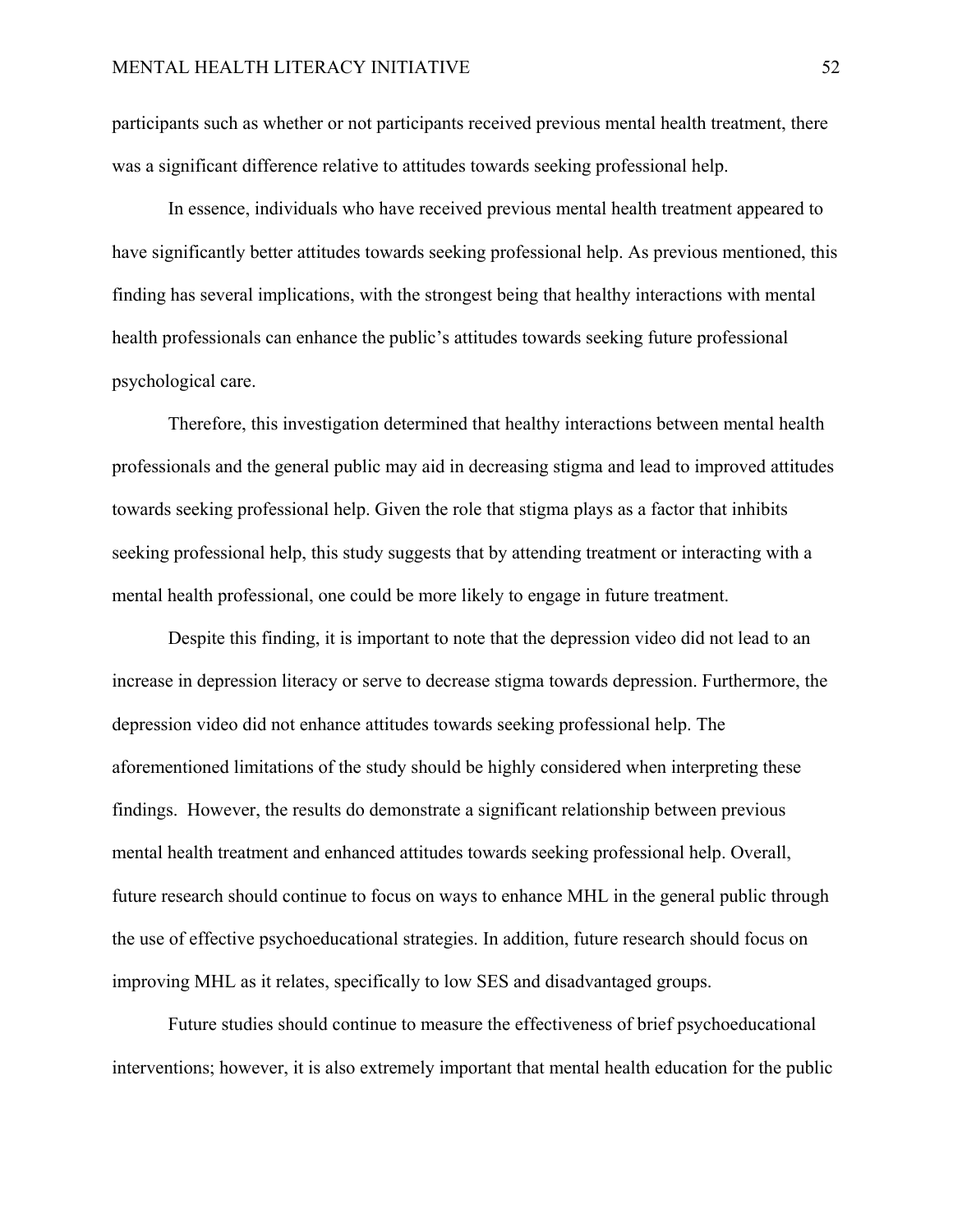participants such as whether or not participants received previous mental health treatment, there was a significant difference relative to attitudes towards seeking professional help.

In essence, individuals who have received previous mental health treatment appeared to have significantly better attitudes towards seeking professional help. As previous mentioned, this finding has several implications, with the strongest being that healthy interactions with mental health professionals can enhance the public's attitudes towards seeking future professional psychological care.

Therefore, this investigation determined that healthy interactions between mental health professionals and the general public may aid in decreasing stigma and lead to improved attitudes towards seeking professional help. Given the role that stigma plays as a factor that inhibits seeking professional help, this study suggests that by attending treatment or interacting with a mental health professional, one could be more likely to engage in future treatment.

Despite this finding, it is important to note that the depression video did not lead to an increase in depression literacy or serve to decrease stigma towards depression. Furthermore, the depression video did not enhance attitudes towards seeking professional help. The aforementioned limitations of the study should be highly considered when interpreting these findings. However, the results do demonstrate a significant relationship between previous mental health treatment and enhanced attitudes towards seeking professional help. Overall, future research should continue to focus on ways to enhance MHL in the general public through the use of effective psychoeducational strategies. In addition, future research should focus on improving MHL as it relates, specifically to low SES and disadvantaged groups.

Future studies should continue to measure the effectiveness of brief psychoeducational interventions; however, it is also extremely important that mental health education for the public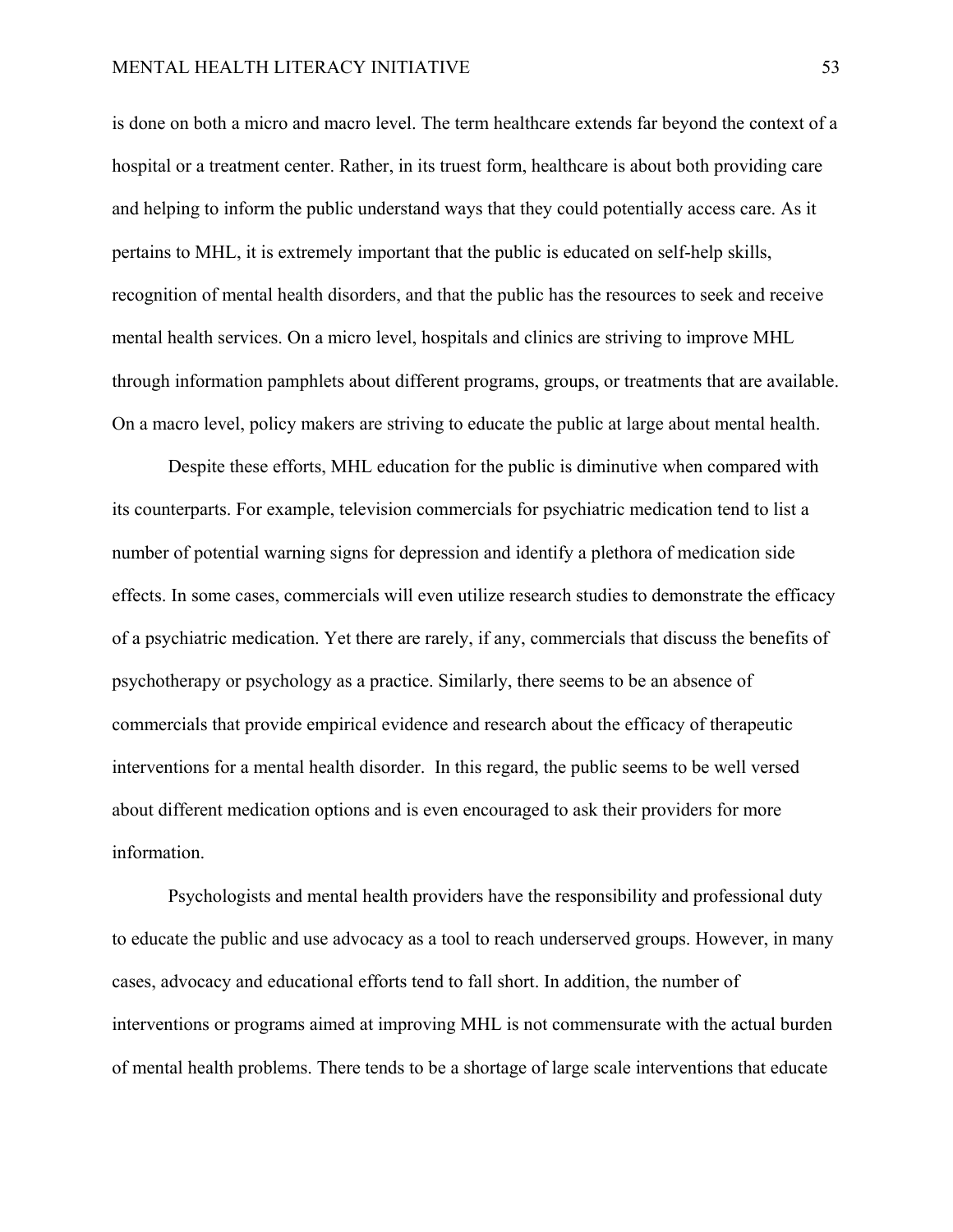is done on both a micro and macro level. The term healthcare extends far beyond the context of a hospital or a treatment center. Rather, in its truest form, healthcare is about both providing care and helping to inform the public understand ways that they could potentially access care. As it pertains to MHL, it is extremely important that the public is educated on self-help skills, recognition of mental health disorders, and that the public has the resources to seek and receive mental health services. On a micro level, hospitals and clinics are striving to improve MHL through information pamphlets about different programs, groups, or treatments that are available. On a macro level, policy makers are striving to educate the public at large about mental health.

Despite these efforts, MHL education for the public is diminutive when compared with its counterparts. For example, television commercials for psychiatric medication tend to list a number of potential warning signs for depression and identify a plethora of medication side effects. In some cases, commercials will even utilize research studies to demonstrate the efficacy of a psychiatric medication. Yet there are rarely, if any, commercials that discuss the benefits of psychotherapy or psychology as a practice. Similarly, there seems to be an absence of commercials that provide empirical evidence and research about the efficacy of therapeutic interventions for a mental health disorder. In this regard, the public seems to be well versed about different medication options and is even encouraged to ask their providers for more information.

Psychologists and mental health providers have the responsibility and professional duty to educate the public and use advocacy as a tool to reach underserved groups. However, in many cases, advocacy and educational efforts tend to fall short. In addition, the number of interventions or programs aimed at improving MHL is not commensurate with the actual burden of mental health problems. There tends to be a shortage of large scale interventions that educate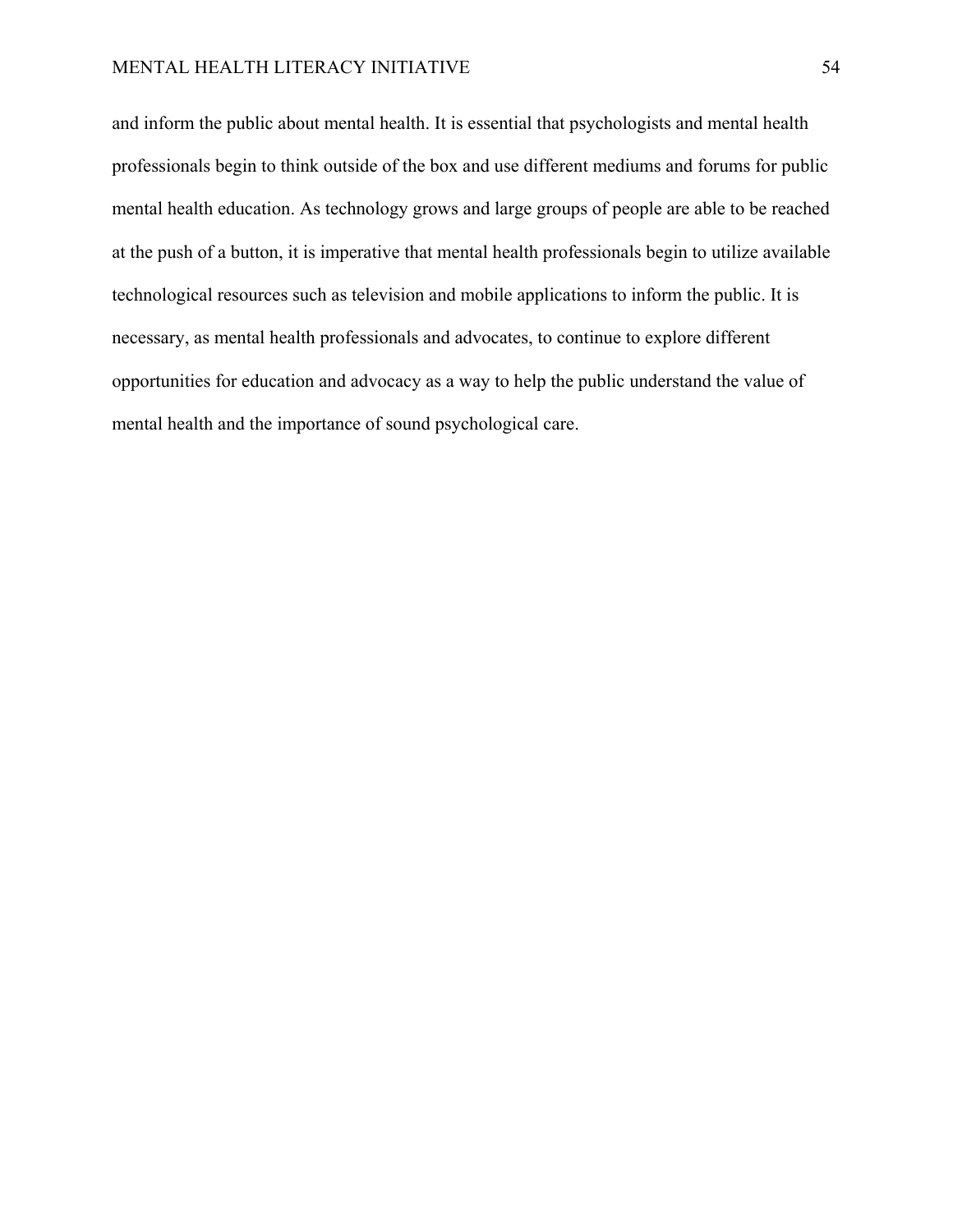and inform the public about mental health. It is essential that psychologists and mental health professionals begin to think outside of the box and use different mediums and forums for public mental health education. As technology grows and large groups of people are able to be reached at the push of a button, it is imperative that mental health professionals begin to utilize available technological resources such as television and mobile applications to inform the public. It is necessary, as mental health professionals and advocates, to continue to explore different opportunities for education and advocacy as a way to help the public understand the value of mental health and the importance of sound psychological care.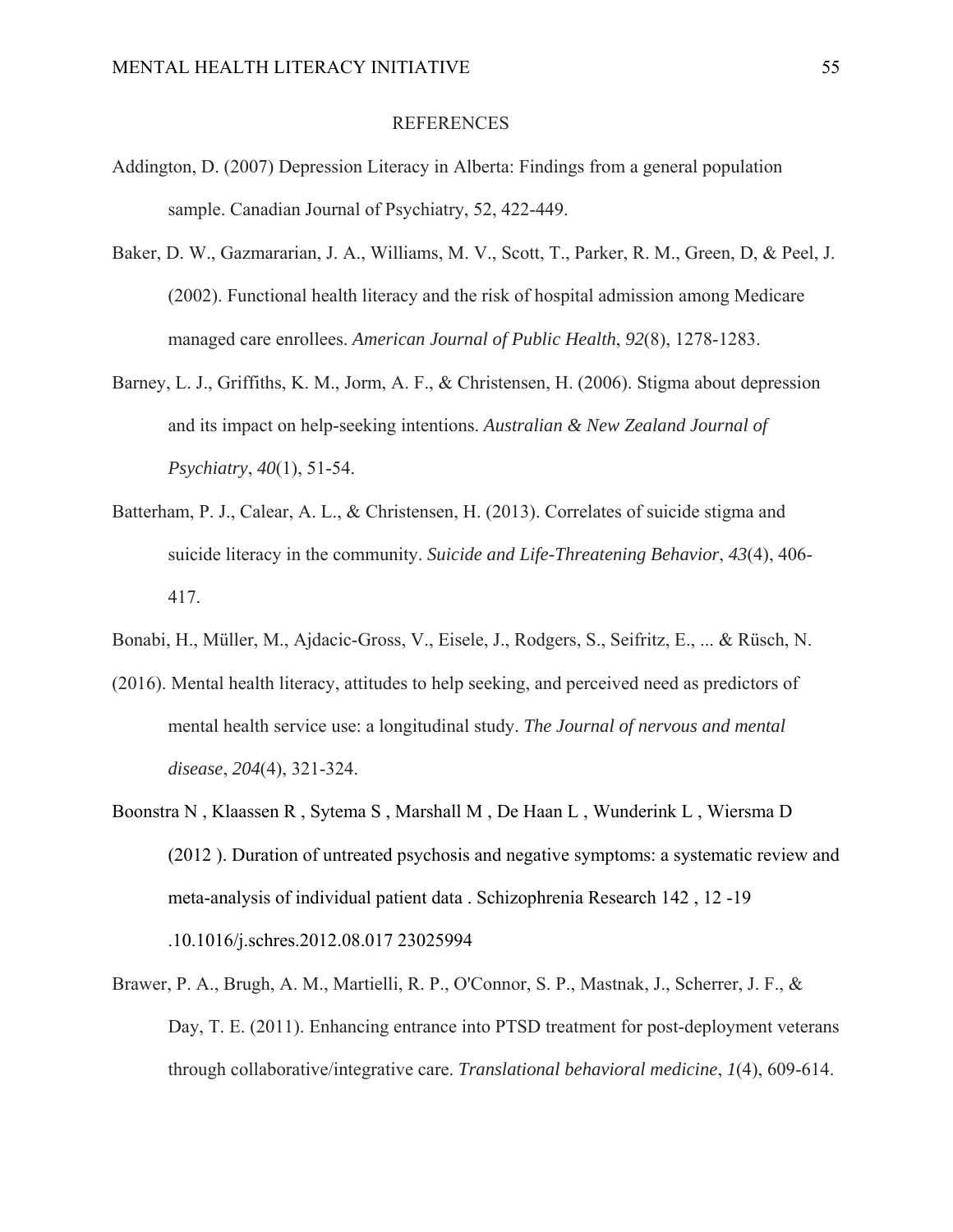### REFERENCES

- Addington, D. (2007) Depression Literacy in Alberta: Findings from a general population sample. Canadian Journal of Psychiatry, 52, 422-449.
- Baker, D. W., Gazmararian, J. A., Williams, M. V., Scott, T., Parker, R. M., Green, D, & Peel, J. (2002). Functional health literacy and the risk of hospital admission among Medicare managed care enrollees. *American Journal of Public Health*, *92*(8), 1278-1283.
- Barney, L. J., Griffiths, K. M., Jorm, A. F., & Christensen, H. (2006). Stigma about depression and its impact on help-seeking intentions. *Australian & New Zealand Journal of Psychiatry*, *40*(1), 51-54.
- Batterham, P. J., Calear, A. L., & Christensen, H. (2013). Correlates of suicide stigma and suicide literacy in the community. *Suicide and Life-Threatening Behavior*, *43*(4), 406- 417.
- Bonabi, H., Müller, M., Ajdacic-Gross, V., Eisele, J., Rodgers, S., Seifritz, E., ... & Rüsch, N.
- (2016). Mental health literacy, attitudes to help seeking, and perceived need as predictors of mental health service use: a longitudinal study. *The Journal of nervous and mental disease*, *204*(4), 321-324.
- Boonstra N , Klaassen R , Sytema S , Marshall M , De Haan L , Wunderink L , Wiersma D (2012 ). Duration of untreated psychosis and negative symptoms: a systematic review and meta-analysis of individual patient data . Schizophrenia Research 142 , 12 -19 .10.1016/j.schres.2012.08.017 23025994
- Brawer, P. A., Brugh, A. M., Martielli, R. P., O'Connor, S. P., Mastnak, J., Scherrer, J. F., & Day, T. E. (2011). Enhancing entrance into PTSD treatment for post-deployment veterans through collaborative/integrative care. *Translational behavioral medicine*, *1*(4), 609-614.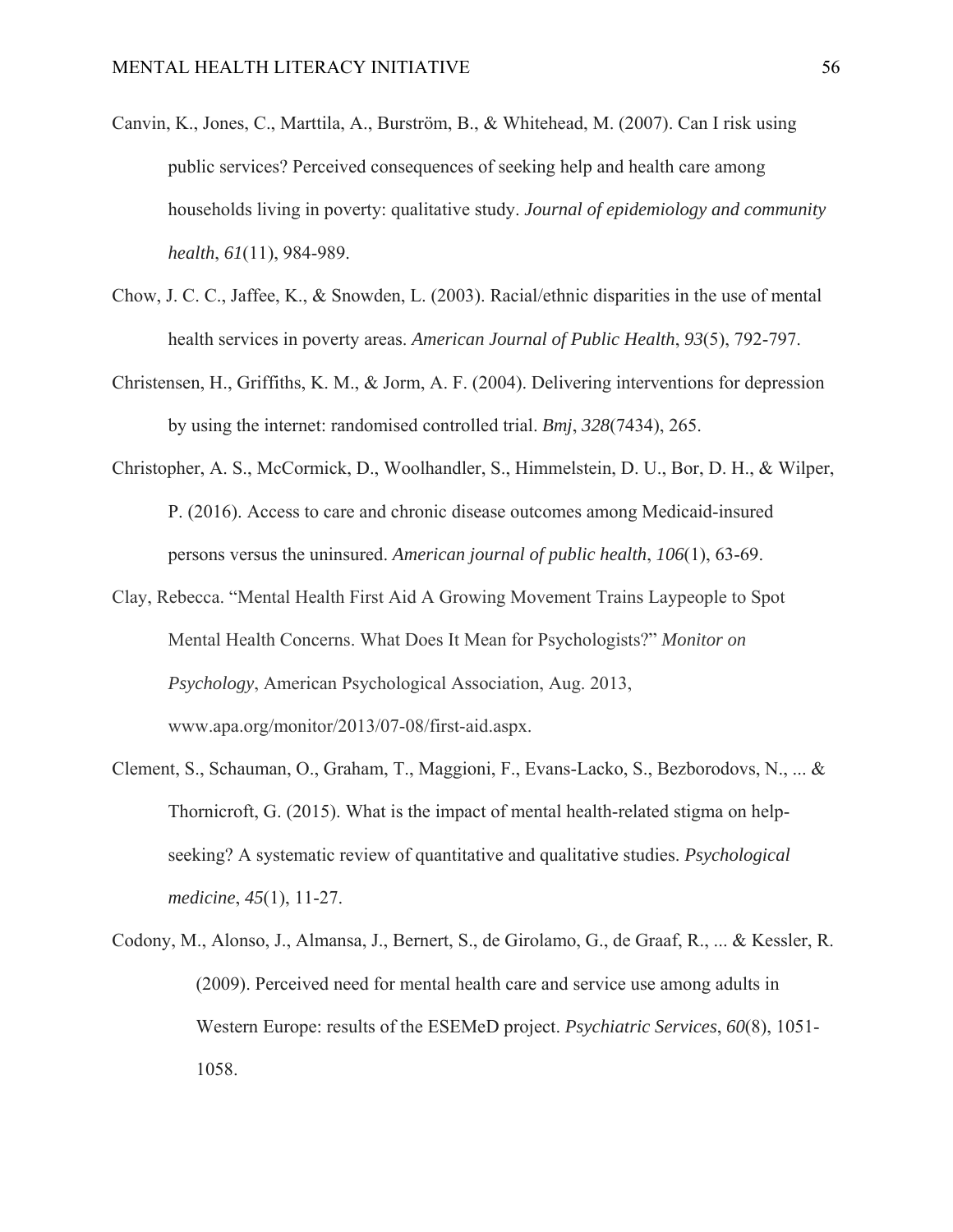- Canvin, K., Jones, C., Marttila, A., Burström, B., & Whitehead, M. (2007). Can I risk using public services? Perceived consequences of seeking help and health care among households living in poverty: qualitative study. *Journal of epidemiology and community health*, *61*(11), 984-989.
- Chow, J. C. C., Jaffee, K., & Snowden, L. (2003). Racial/ethnic disparities in the use of mental health services in poverty areas. *American Journal of Public Health*, *93*(5), 792-797.
- Christensen, H., Griffiths, K. M., & Jorm, A. F. (2004). Delivering interventions for depression by using the internet: randomised controlled trial. *Bmj*, *328*(7434), 265.
- Christopher, A. S., McCormick, D., Woolhandler, S., Himmelstein, D. U., Bor, D. H., & Wilper, P. (2016). Access to care and chronic disease outcomes among Medicaid-insured persons versus the uninsured. *American journal of public health*, *106*(1), 63-69.
- Clay, Rebecca. "Mental Health First Aid A Growing Movement Trains Laypeople to Spot Mental Health Concerns. What Does It Mean for Psychologists?" *Monitor on Psychology*, American Psychological Association, Aug. 2013, www.apa.org/monitor/2013/07-08/first-aid.aspx.
- Clement, S., Schauman, O., Graham, T., Maggioni, F., Evans-Lacko, S., Bezborodovs, N., ... & Thornicroft, G. (2015). What is the impact of mental health-related stigma on helpseeking? A systematic review of quantitative and qualitative studies. *Psychological medicine*, *45*(1), 11-27.
- Codony, M., Alonso, J., Almansa, J., Bernert, S., de Girolamo, G., de Graaf, R., ... & Kessler, R. (2009). Perceived need for mental health care and service use among adults in Western Europe: results of the ESEMeD project. *Psychiatric Services*, *60*(8), 1051- 1058.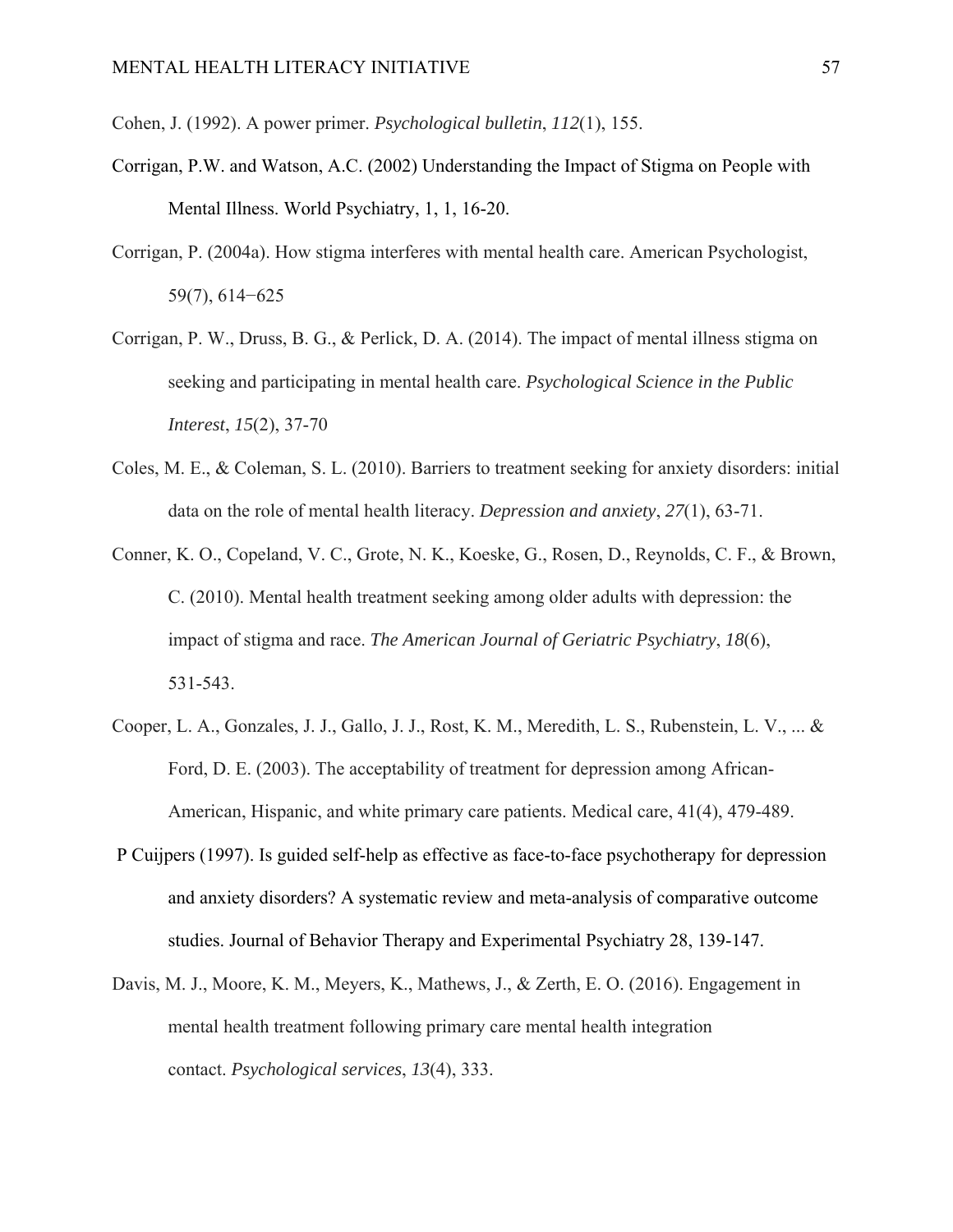Cohen, J. (1992). A power primer. *Psychological bulletin*, *112*(1), 155.

- Corrigan, P.W. and Watson, A.C. (2002) Understanding the Impact of Stigma on People with Mental Illness. World Psychiatry, 1, 1, 16-20.
- Corrigan, P. (2004a). How stigma interferes with mental health care. American Psychologist, 59(7), 614−625
- Corrigan, P. W., Druss, B. G., & Perlick, D. A. (2014). The impact of mental illness stigma on seeking and participating in mental health care. *Psychological Science in the Public Interest*, *15*(2), 37-70
- Coles, M. E., & Coleman, S. L. (2010). Barriers to treatment seeking for anxiety disorders: initial data on the role of mental health literacy. *Depression and anxiety*, *27*(1), 63-71.
- Conner, K. O., Copeland, V. C., Grote, N. K., Koeske, G., Rosen, D., Reynolds, C. F., & Brown, C. (2010). Mental health treatment seeking among older adults with depression: the impact of stigma and race. *The American Journal of Geriatric Psychiatry*, *18*(6), 531-543.
- Cooper, L. A., Gonzales, J. J., Gallo, J. J., Rost, K. M., Meredith, L. S., Rubenstein, L. V., ... & Ford, D. E. (2003). The acceptability of treatment for depression among African-American, Hispanic, and white primary care patients. Medical care, 41(4), 479-489.
- P Cuijpers (1997). Is guided self-help as effective as face-to-face psychotherapy for depression and anxiety disorders? A systematic review and meta-analysis of comparative outcome studies. Journal of Behavior Therapy and Experimental Psychiatry 28, 139-147.
- Davis, M. J., Moore, K. M., Meyers, K., Mathews, J., & Zerth, E. O. (2016). Engagement in mental health treatment following primary care mental health integration contact. *Psychological services*, *13*(4), 333.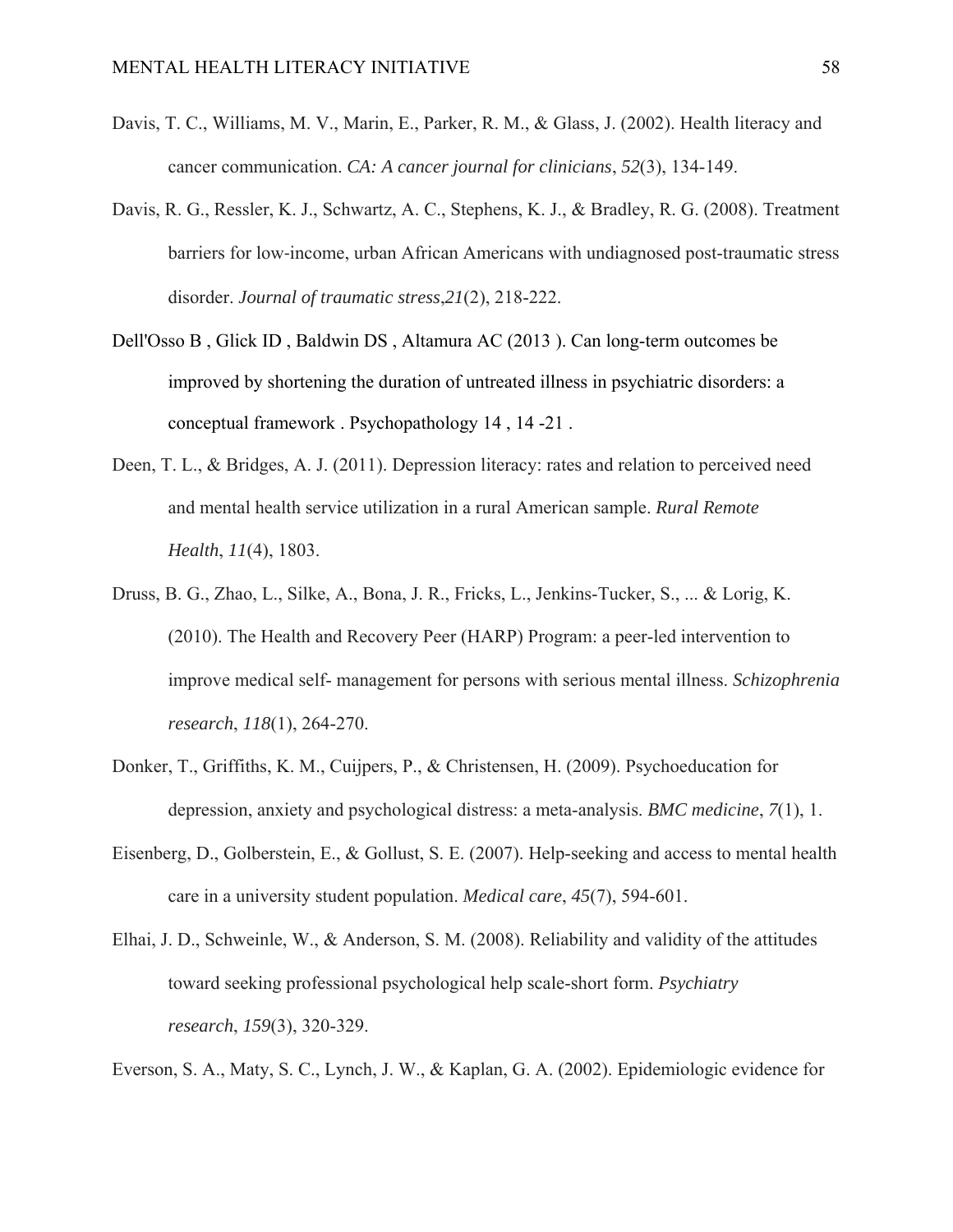- Davis, T. C., Williams, M. V., Marin, E., Parker, R. M., & Glass, J. (2002). Health literacy and cancer communication. *CA: A cancer journal for clinicians*, *52*(3), 134-149.
- Davis, R. G., Ressler, K. J., Schwartz, A. C., Stephens, K. J., & Bradley, R. G. (2008). Treatment barriers for low‐income, urban African Americans with undiagnosed post-traumatic stress disorder. *Journal of traumatic stress*,*21*(2), 218-222.
- Dell'Osso B , Glick ID , Baldwin DS , Altamura AC (2013 ). Can long-term outcomes be improved by shortening the duration of untreated illness in psychiatric disorders: a conceptual framework . Psychopathology 14 , 14 -21 .
- Deen, T. L., & Bridges, A. J. (2011). Depression literacy: rates and relation to perceived need and mental health service utilization in a rural American sample. *Rural Remote Health*, *11*(4), 1803.
- Druss, B. G., Zhao, L., Silke, A., Bona, J. R., Fricks, L., Jenkins-Tucker, S., ... & Lorig, K. (2010). The Health and Recovery Peer (HARP) Program: a peer-led intervention to improve medical self- management for persons with serious mental illness. *Schizophrenia research*, *118*(1), 264-270.
- Donker, T., Griffiths, K. M., Cuijpers, P., & Christensen, H. (2009). Psychoeducation for depression, anxiety and psychological distress: a meta-analysis. *BMC medicine*, *7*(1), 1.
- Eisenberg, D., Golberstein, E., & Gollust, S. E. (2007). Help-seeking and access to mental health care in a university student population. *Medical care*, *45*(7), 594-601.
- Elhai, J. D., Schweinle, W., & Anderson, S. M. (2008). Reliability and validity of the attitudes toward seeking professional psychological help scale-short form. *Psychiatry research*, *159*(3), 320-329.

Everson, S. A., Maty, S. C., Lynch, J. W., & Kaplan, G. A. (2002). Epidemiologic evidence for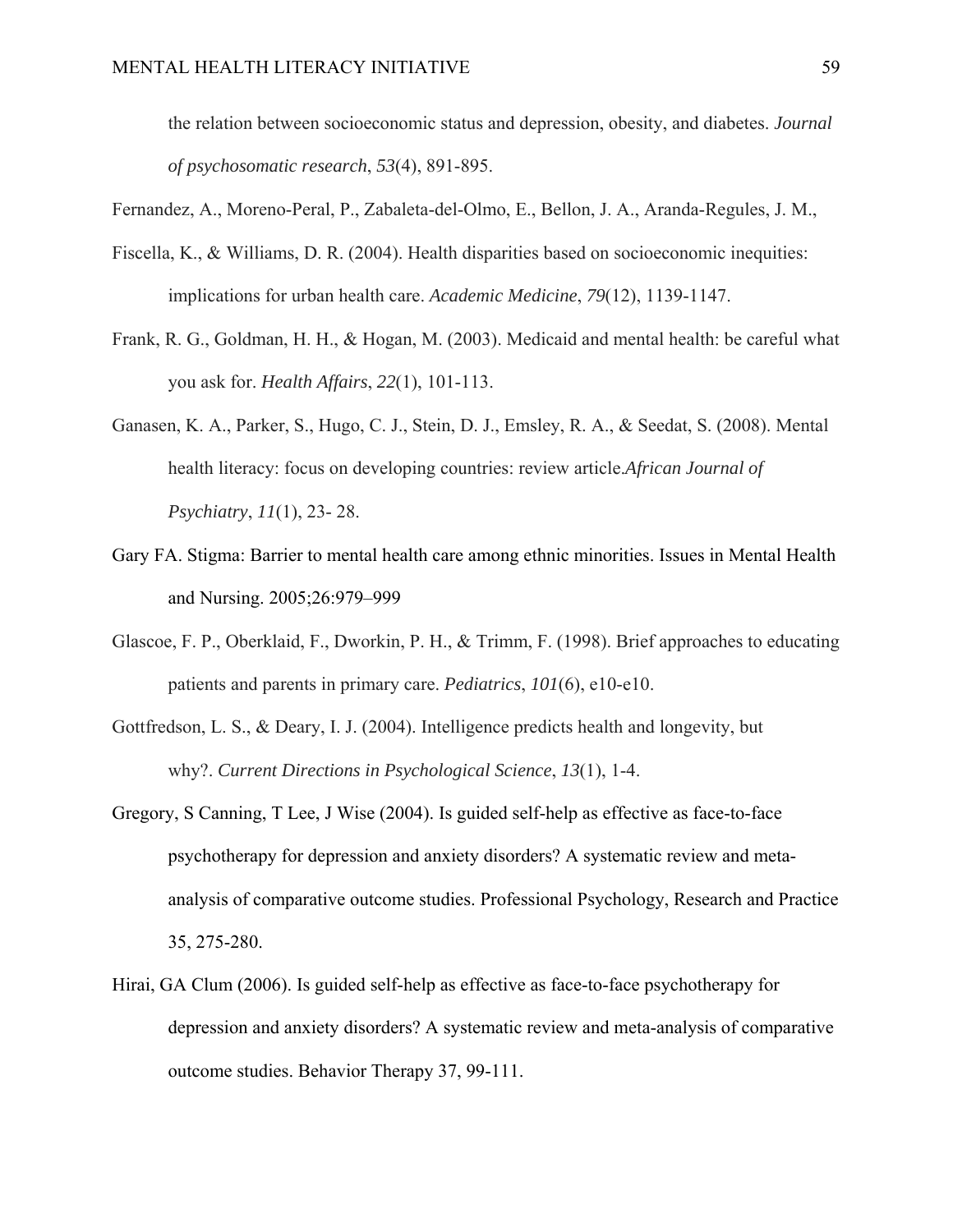the relation between socioeconomic status and depression, obesity, and diabetes. *Journal of psychosomatic research*, *53*(4), 891-895.

Fernandez, A., Moreno-Peral, P., Zabaleta-del-Olmo, E., Bellon, J. A., Aranda-Regules, J. M.,

- Fiscella, K., & Williams, D. R. (2004). Health disparities based on socioeconomic inequities: implications for urban health care. *Academic Medicine*, *79*(12), 1139-1147.
- Frank, R. G., Goldman, H. H., & Hogan, M. (2003). Medicaid and mental health: be careful what you ask for. *Health Affairs*, *22*(1), 101-113.
- Ganasen, K. A., Parker, S., Hugo, C. J., Stein, D. J., Emsley, R. A., & Seedat, S. (2008). Mental health literacy: focus on developing countries: review article.*African Journal of Psychiatry*, *11*(1), 23- 28.
- Gary FA. Stigma: Barrier to mental health care among ethnic minorities. Issues in Mental Health and Nursing. 2005;26:979–999
- Glascoe, F. P., Oberklaid, F., Dworkin, P. H., & Trimm, F. (1998). Brief approaches to educating patients and parents in primary care. *Pediatrics*, *101*(6), e10-e10.
- Gottfredson, L. S., & Deary, I. J. (2004). Intelligence predicts health and longevity, but why?. *Current Directions in Psychological Science*, *13*(1), 1-4.
- Gregory, S Canning, T Lee, J Wise (2004). Is guided self-help as effective as face-to-face psychotherapy for depression and anxiety disorders? A systematic review and metaanalysis of comparative outcome studies. Professional Psychology, Research and Practice 35, 275-280.
- Hirai, GA Clum (2006). Is guided self-help as effective as face-to-face psychotherapy for depression and anxiety disorders? A systematic review and meta-analysis of comparative outcome studies. Behavior Therapy 37, 99-111.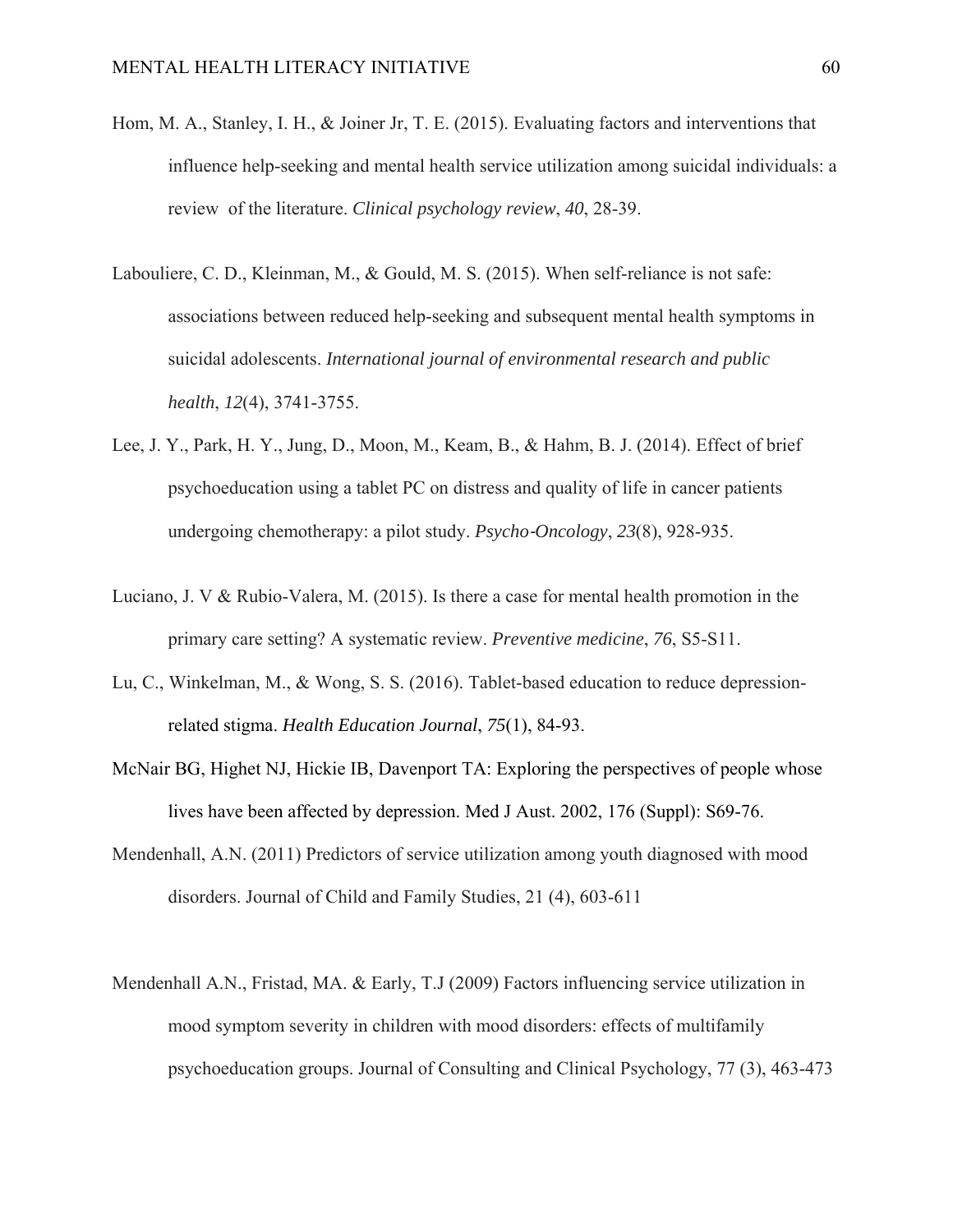- Hom, M. A., Stanley, I. H., & Joiner Jr, T. E. (2015). Evaluating factors and interventions that influence help-seeking and mental health service utilization among suicidal individuals: a review of the literature. *Clinical psychology review*, *40*, 28-39.
- Labouliere, C. D., Kleinman, M., & Gould, M. S. (2015). When self-reliance is not safe: associations between reduced help-seeking and subsequent mental health symptoms in suicidal adolescents. *International journal of environmental research and public health*, *12*(4), 3741-3755.
- Lee, J. Y., Park, H. Y., Jung, D., Moon, M., Keam, B., & Hahm, B. J. (2014). Effect of brief psychoeducation using a tablet PC on distress and quality of life in cancer patients undergoing chemotherapy: a pilot study. *Psycho*‐*Oncology*, *23*(8), 928-935.
- Luciano, J. V & Rubio-Valera, M. (2015). Is there a case for mental health promotion in the primary care setting? A systematic review. *Preventive medicine*, *76*, S5-S11.
- Lu, C., Winkelman, M., & Wong, S. S. (2016). Tablet-based education to reduce depressionrelated stigma. *Health Education Journal*, *75*(1), 84-93.
- McNair BG, Highet NJ, Hickie IB, Davenport TA: Exploring the perspectives of people whose lives have been affected by depression. Med J Aust. 2002, 176 (Suppl): S69-76.
- Mendenhall, A.N. (2011) Predictors of service utilization among youth diagnosed with mood disorders. Journal of Child and Family Studies, 21 (4), 603-611
- Mendenhall A.N., Fristad, MA. & Early, T.J (2009) Factors influencing service utilization in mood symptom severity in children with mood disorders: effects of multifamily psychoeducation groups. Journal of Consulting and Clinical Psychology, 77 (3), 463-473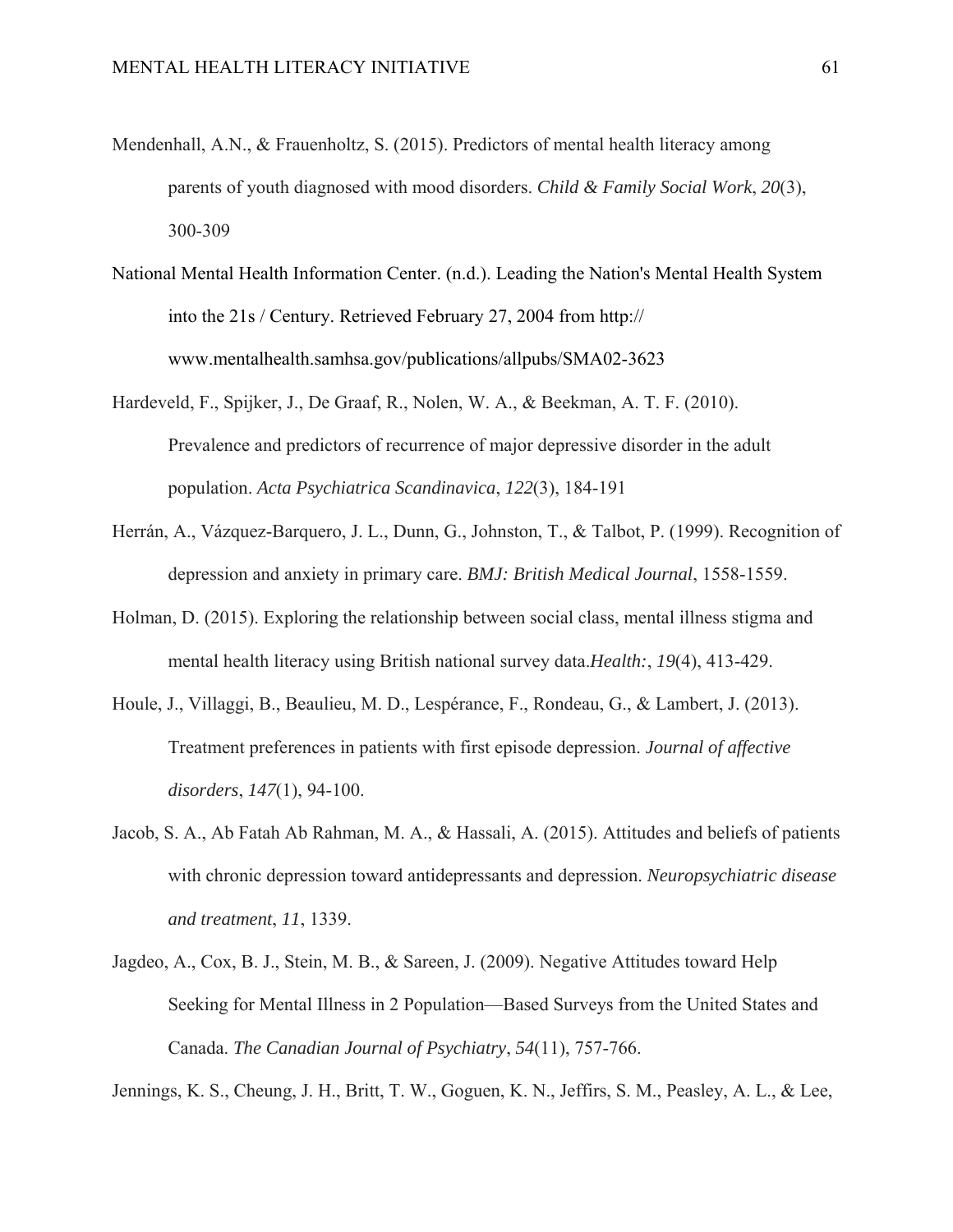- Mendenhall, A.N., & Frauenholtz, S. (2015). Predictors of mental health literacy among parents of youth diagnosed with mood disorders. *Child & Family Social Work*, *20*(3), 300-309
- National Mental Health Information Center. (n.d.). Leading the Nation's Mental Health System into the 21s / Century. Retrieved February 27, 2004 from http:// www.mentalhealth.samhsa.gov/publications/allpubs/SMA02-3623
- Hardeveld, F., Spijker, J., De Graaf, R., Nolen, W. A., & Beekman, A. T. F. (2010). Prevalence and predictors of recurrence of major depressive disorder in the adult population. *Acta Psychiatrica Scandinavica*, *122*(3), 184-191
- Herrán, A., Vázquez-Barquero, J. L., Dunn, G., Johnston, T., & Talbot, P. (1999). Recognition of depression and anxiety in primary care. *BMJ: British Medical Journal*, 1558-1559.
- Holman, D. (2015). Exploring the relationship between social class, mental illness stigma and mental health literacy using British national survey data.*Health:*, *19*(4), 413-429.
- Houle, J., Villaggi, B., Beaulieu, M. D., Lespérance, F., Rondeau, G., & Lambert, J. (2013). Treatment preferences in patients with first episode depression. *Journal of affective disorders*, *147*(1), 94-100.
- Jacob, S. A., Ab Fatah Ab Rahman, M. A., & Hassali, A. (2015). Attitudes and beliefs of patients with chronic depression toward antidepressants and depression. *Neuropsychiatric disease and treatment*, *11*, 1339.
- Jagdeo, A., Cox, B. J., Stein, M. B., & Sareen, J. (2009). Negative Attitudes toward Help Seeking for Mental Illness in 2 Population—Based Surveys from the United States and Canada. *The Canadian Journal of Psychiatry*, *54*(11), 757-766.

Jennings, K. S., Cheung, J. H., Britt, T. W., Goguen, K. N., Jeffirs, S. M., Peasley, A. L., & Lee,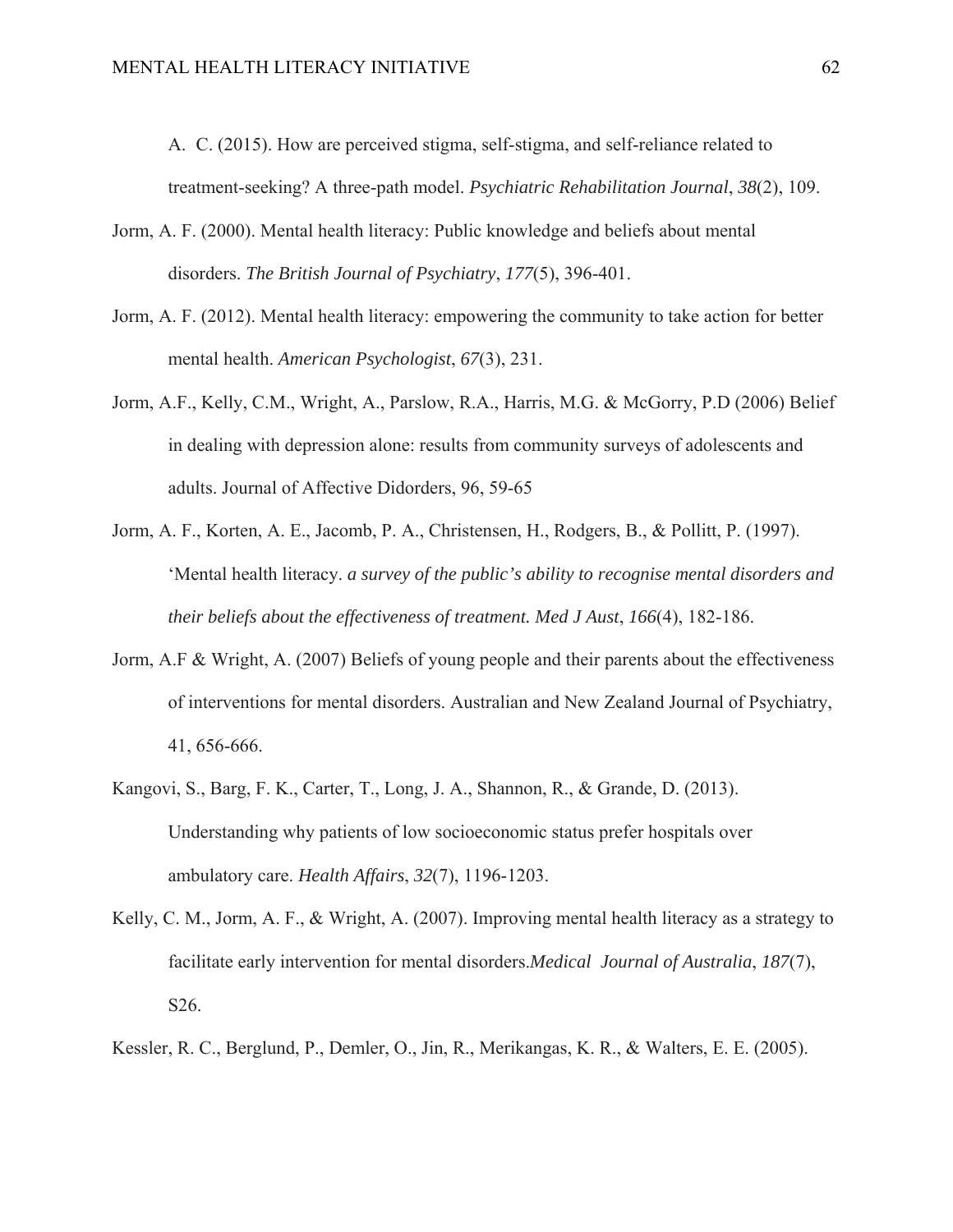A. C. (2015). How are perceived stigma, self-stigma, and self-reliance related to treatment-seeking? A three-path model. *Psychiatric Rehabilitation Journal*, *38*(2), 109.

- Jorm, A. F. (2000). Mental health literacy: Public knowledge and beliefs about mental disorders. *The British Journal of Psychiatry*, *177*(5), 396-401.
- Jorm, A. F. (2012). Mental health literacy: empowering the community to take action for better mental health. *American Psychologist*, *67*(3), 231.
- Jorm, A.F., Kelly, C.M., Wright, A., Parslow, R.A., Harris, M.G. & McGorry, P.D (2006) Belief in dealing with depression alone: results from community surveys of adolescents and adults. Journal of Affective Didorders, 96, 59-65
- Jorm, A. F., Korten, A. E., Jacomb, P. A., Christensen, H., Rodgers, B., & Pollitt, P. (1997). 'Mental health literacy. *a survey of the public's ability to recognise mental disorders and their beliefs about the effectiveness of treatment. Med J Aust*, *166*(4), 182-186.
- Jorm, A.F & Wright, A. (2007) Beliefs of young people and their parents about the effectiveness of interventions for mental disorders. Australian and New Zealand Journal of Psychiatry, 41, 656-666.
- Kangovi, S., Barg, F. K., Carter, T., Long, J. A., Shannon, R., & Grande, D. (2013). Understanding why patients of low socioeconomic status prefer hospitals over ambulatory care. *Health Affairs*, *32*(7), 1196-1203.
- Kelly, C. M., Jorm, A. F., & Wright, A. (2007). Improving mental health literacy as a strategy to facilitate early intervention for mental disorders.*Medical Journal of Australia*, *187*(7), S26.
- Kessler, R. C., Berglund, P., Demler, O., Jin, R., Merikangas, K. R., & Walters, E. E. (2005).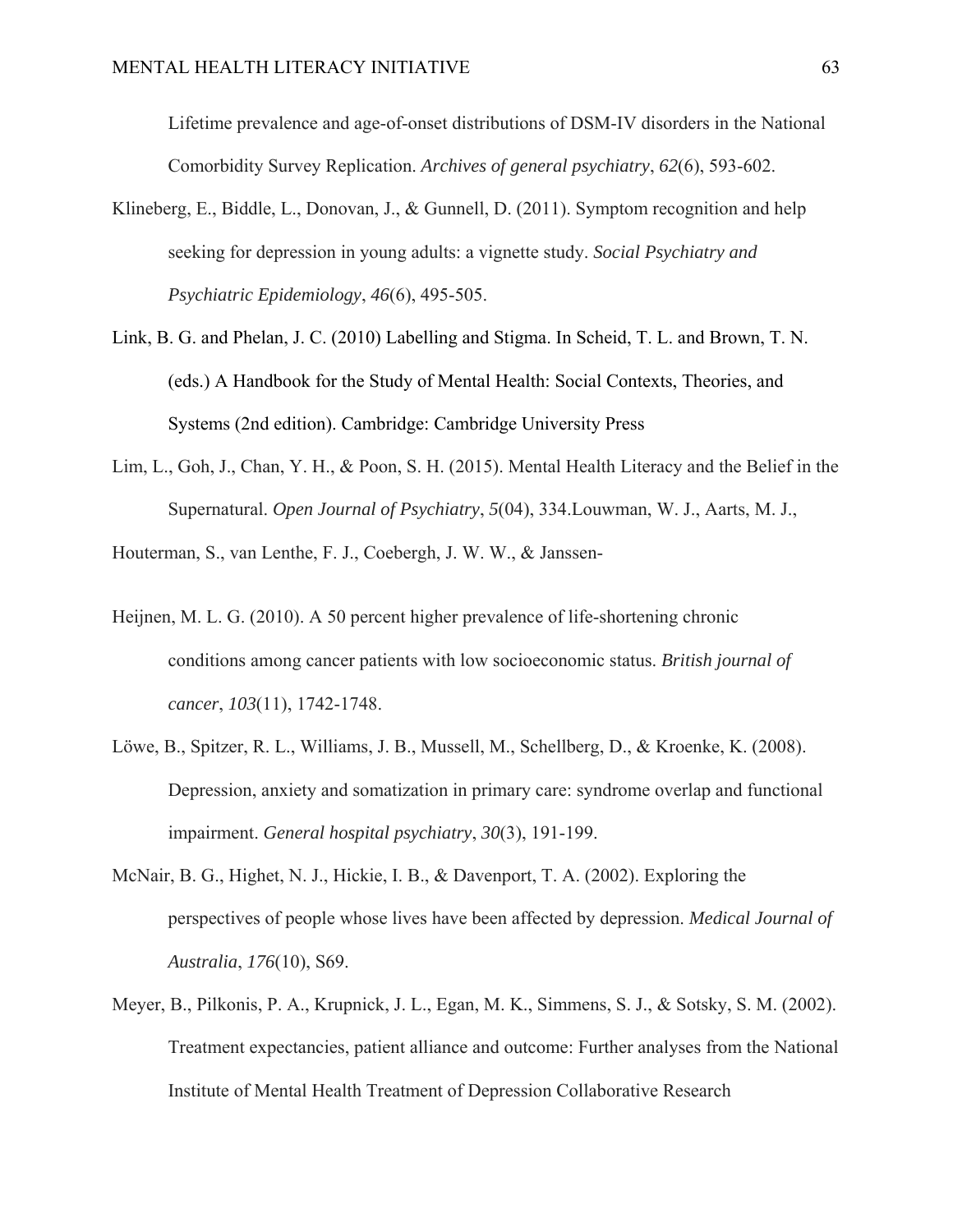Lifetime prevalence and age-of-onset distributions of DSM-IV disorders in the National Comorbidity Survey Replication. *Archives of general psychiatry*, *62*(6), 593-602.

- Klineberg, E., Biddle, L., Donovan, J., & Gunnell, D. (2011). Symptom recognition and help seeking for depression in young adults: a vignette study. *Social Psychiatry and Psychiatric Epidemiology*, *46*(6), 495-505.
- Link, B. G. and Phelan, J. C. (2010) Labelling and Stigma. In Scheid, T. L. and Brown, T. N. (eds.) A Handbook for the Study of Mental Health: Social Contexts, Theories, and Systems (2nd edition). Cambridge: Cambridge University Press
- Lim, L., Goh, J., Chan, Y. H., & Poon, S. H. (2015). Mental Health Literacy and the Belief in the Supernatural. *Open Journal of Psychiatry*, *5*(04), 334.Louwman, W. J., Aarts, M. J.,

Houterman, S., van Lenthe, F. J., Coebergh, J. W. W., & Janssen-

- Heijnen, M. L. G. (2010). A 50 percent higher prevalence of life-shortening chronic conditions among cancer patients with low socioeconomic status. *British journal of cancer*, *103*(11), 1742-1748.
- Löwe, B., Spitzer, R. L., Williams, J. B., Mussell, M., Schellberg, D., & Kroenke, K. (2008). Depression, anxiety and somatization in primary care: syndrome overlap and functional impairment. *General hospital psychiatry*, *30*(3), 191-199.
- McNair, B. G., Highet, N. J., Hickie, I. B., & Davenport, T. A. (2002). Exploring the perspectives of people whose lives have been affected by depression. *Medical Journal of Australia*, *176*(10), S69.
- Meyer, B., Pilkonis, P. A., Krupnick, J. L., Egan, M. K., Simmens, S. J., & Sotsky, S. M. (2002). Treatment expectancies, patient alliance and outcome: Further analyses from the National Institute of Mental Health Treatment of Depression Collaborative Research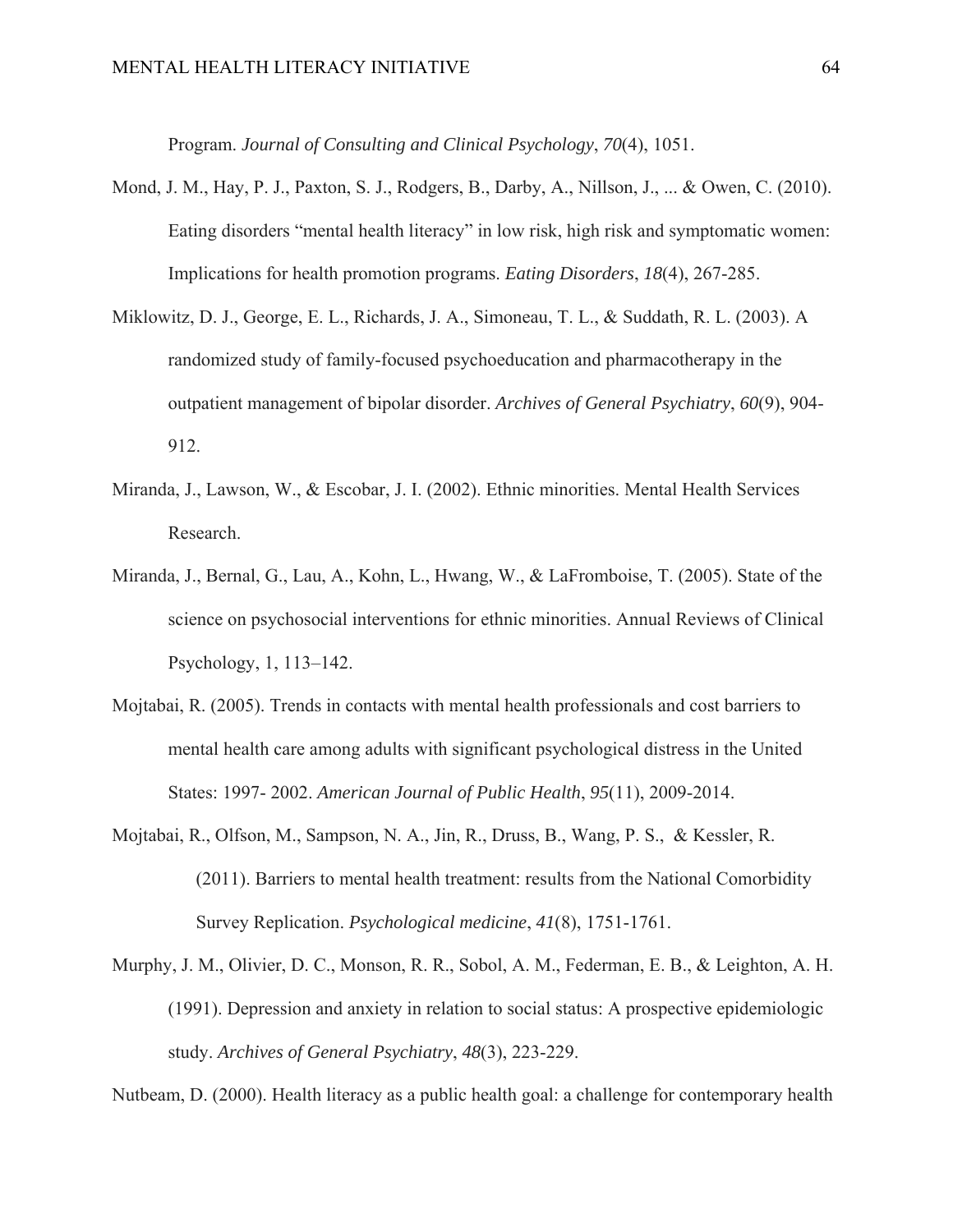Program. *Journal of Consulting and Clinical Psychology*, *70*(4), 1051.

- Mond, J. M., Hay, P. J., Paxton, S. J., Rodgers, B., Darby, A., Nillson, J., ... & Owen, C. (2010). Eating disorders "mental health literacy" in low risk, high risk and symptomatic women: Implications for health promotion programs. *Eating Disorders*, *18*(4), 267-285.
- Miklowitz, D. J., George, E. L., Richards, J. A., Simoneau, T. L., & Suddath, R. L. (2003). A randomized study of family-focused psychoeducation and pharmacotherapy in the outpatient management of bipolar disorder. *Archives of General Psychiatry*, *60*(9), 904- 912.
- Miranda, J., Lawson, W., & Escobar, J. I. (2002). Ethnic minorities. Mental Health Services Research.
- Miranda, J., Bernal, G., Lau, A., Kohn, L., Hwang, W., & LaFromboise, T. (2005). State of the science on psychosocial interventions for ethnic minorities. Annual Reviews of Clinical Psychology, 1, 113–142.
- Mojtabai, R. (2005). Trends in contacts with mental health professionals and cost barriers to mental health care among adults with significant psychological distress in the United States: 1997- 2002. *American Journal of Public Health*, *95*(11), 2009-2014.
- Mojtabai, R., Olfson, M., Sampson, N. A., Jin, R., Druss, B., Wang, P. S., & Kessler, R. (2011). Barriers to mental health treatment: results from the National Comorbidity Survey Replication. *Psychological medicine*, *41*(8), 1751-1761.
- Murphy, J. M., Olivier, D. C., Monson, R. R., Sobol, A. M., Federman, E. B., & Leighton, A. H. (1991). Depression and anxiety in relation to social status: A prospective epidemiologic study. *Archives of General Psychiatry*, *48*(3), 223-229.

Nutbeam, D. (2000). Health literacy as a public health goal: a challenge for contemporary health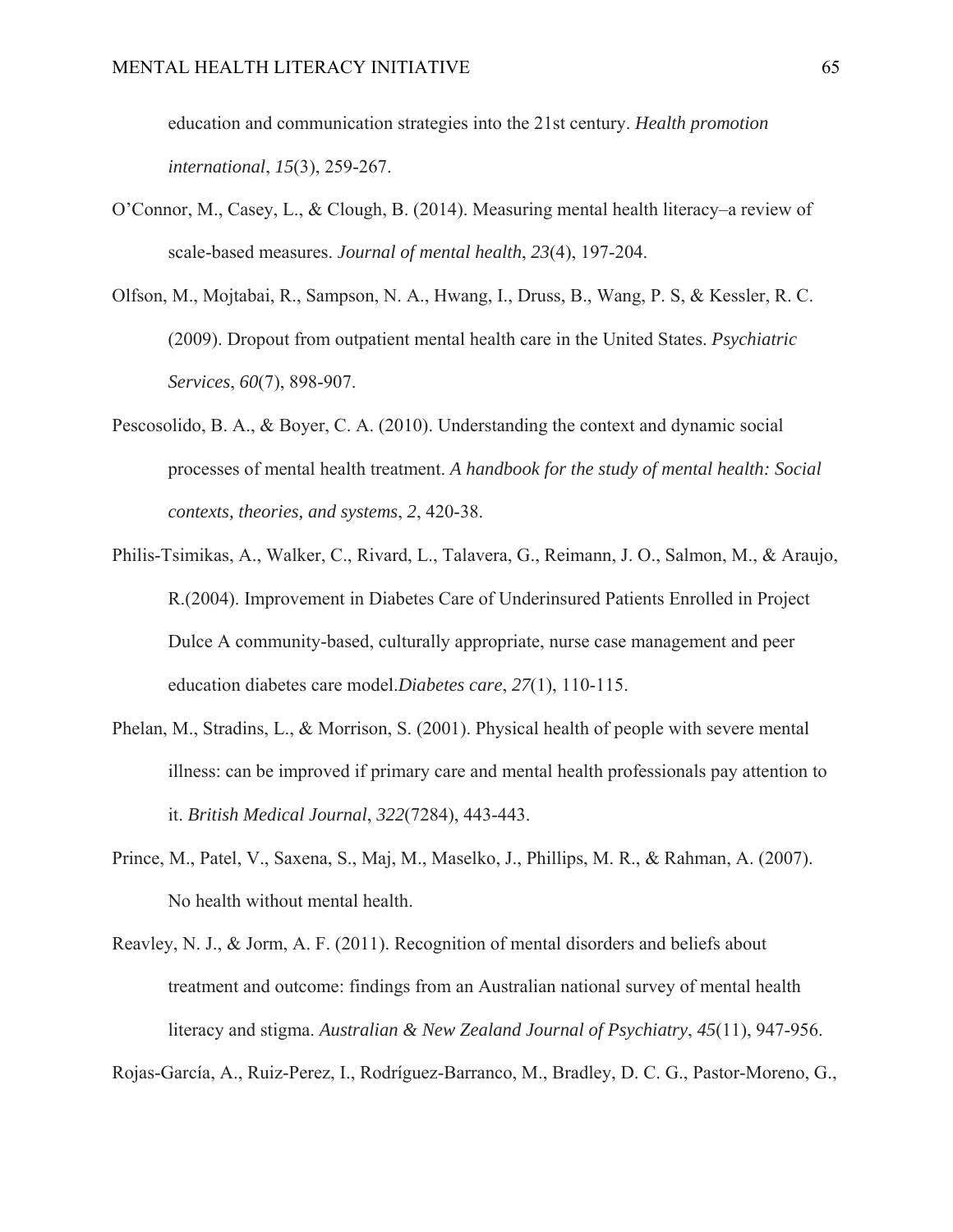education and communication strategies into the 21st century. *Health promotion international*, *15*(3), 259-267.

- O'Connor, M., Casey, L., & Clough, B. (2014). Measuring mental health literacy–a review of scale-based measures. *Journal of mental health*, *23*(4), 197-204.
- Olfson, M., Mojtabai, R., Sampson, N. A., Hwang, I., Druss, B., Wang, P. S, & Kessler, R. C. (2009). Dropout from outpatient mental health care in the United States. *Psychiatric Services*, *60*(7), 898-907.
- Pescosolido, B. A., & Boyer, C. A. (2010). Understanding the context and dynamic social processes of mental health treatment. *A handbook for the study of mental health: Social contexts, theories, and systems*, *2*, 420-38.
- Philis-Tsimikas, A., Walker, C., Rivard, L., Talavera, G., Reimann, J. O., Salmon, M., & Araujo, R.(2004). Improvement in Diabetes Care of Underinsured Patients Enrolled in Project Dulce A community-based, culturally appropriate, nurse case management and peer education diabetes care model.*Diabetes care*, *27*(1), 110-115.
- Phelan, M., Stradins, L., & Morrison, S. (2001). Physical health of people with severe mental illness: can be improved if primary care and mental health professionals pay attention to it. *British Medical Journal*, *322*(7284), 443-443.
- Prince, M., Patel, V., Saxena, S., Maj, M., Maselko, J., Phillips, M. R., & Rahman, A. (2007). No health without mental health.
- Reavley, N. J., & Jorm, A. F. (2011). Recognition of mental disorders and beliefs about treatment and outcome: findings from an Australian national survey of mental health literacy and stigma. *Australian & New Zealand Journal of Psychiatry*, *45*(11), 947-956.

Rojas-García, A., Ruiz-Perez, I., Rodríguez-Barranco, M., Bradley, D. C. G., Pastor-Moreno, G.,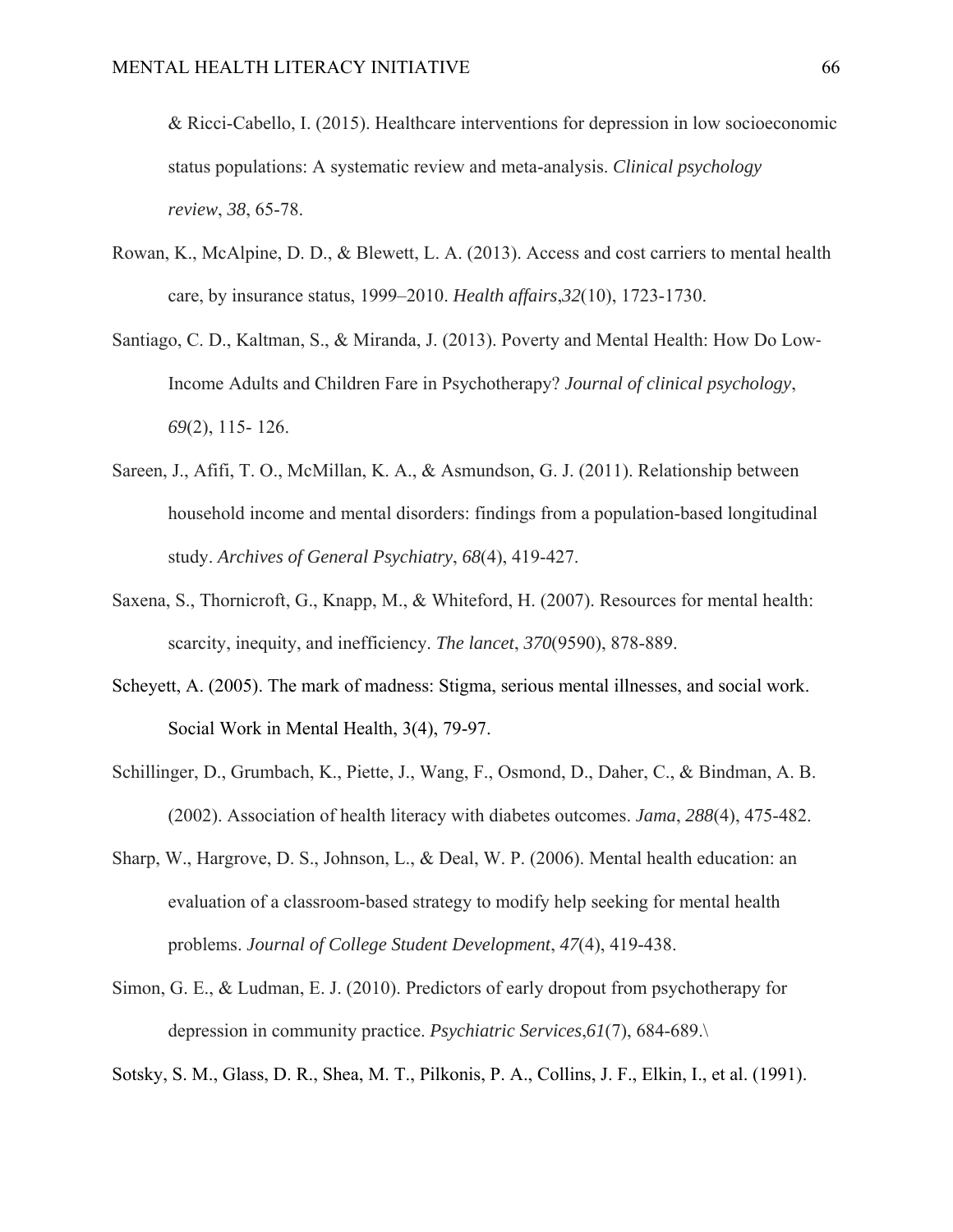& Ricci-Cabello, I. (2015). Healthcare interventions for depression in low socioeconomic status populations: A systematic review and meta-analysis. *Clinical psychology review*, *38*, 65-78.

- Rowan, K., McAlpine, D. D., & Blewett, L. A. (2013). Access and cost carriers to mental health care, by insurance status, 1999–2010. *Health affairs*,*32*(10), 1723-1730.
- Santiago, C. D., Kaltman, S., & Miranda, J. (2013). Poverty and Mental Health: How Do Low‐ Income Adults and Children Fare in Psychotherapy? *Journal of clinical psychology*, *69*(2), 115- 126.
- Sareen, J., Afifi, T. O., McMillan, K. A., & Asmundson, G. J. (2011). Relationship between household income and mental disorders: findings from a population-based longitudinal study. *Archives of General Psychiatry*, *68*(4), 419-427.
- Saxena, S., Thornicroft, G., Knapp, M., & Whiteford, H. (2007). Resources for mental health: scarcity, inequity, and inefficiency. *The lancet*, *370*(9590), 878-889.
- Scheyett, A. (2005). The mark of madness: Stigma, serious mental illnesses, and social work. Social Work in Mental Health, 3(4), 79-97.
- Schillinger, D., Grumbach, K., Piette, J., Wang, F., Osmond, D., Daher, C., & Bindman, A. B. (2002). Association of health literacy with diabetes outcomes. *Jama*, *288*(4), 475-482.
- Sharp, W., Hargrove, D. S., Johnson, L., & Deal, W. P. (2006). Mental health education: an evaluation of a classroom-based strategy to modify help seeking for mental health problems. *Journal of College Student Development*, *47*(4), 419-438.
- Simon, G. E., & Ludman, E. J. (2010). Predictors of early dropout from psychotherapy for depression in community practice. *Psychiatric Services*,*61*(7), 684-689.\

Sotsky, S. M., Glass, D. R., Shea, M. T., Pilkonis, P. A., Collins, J. F., Elkin, I., et al. (1991).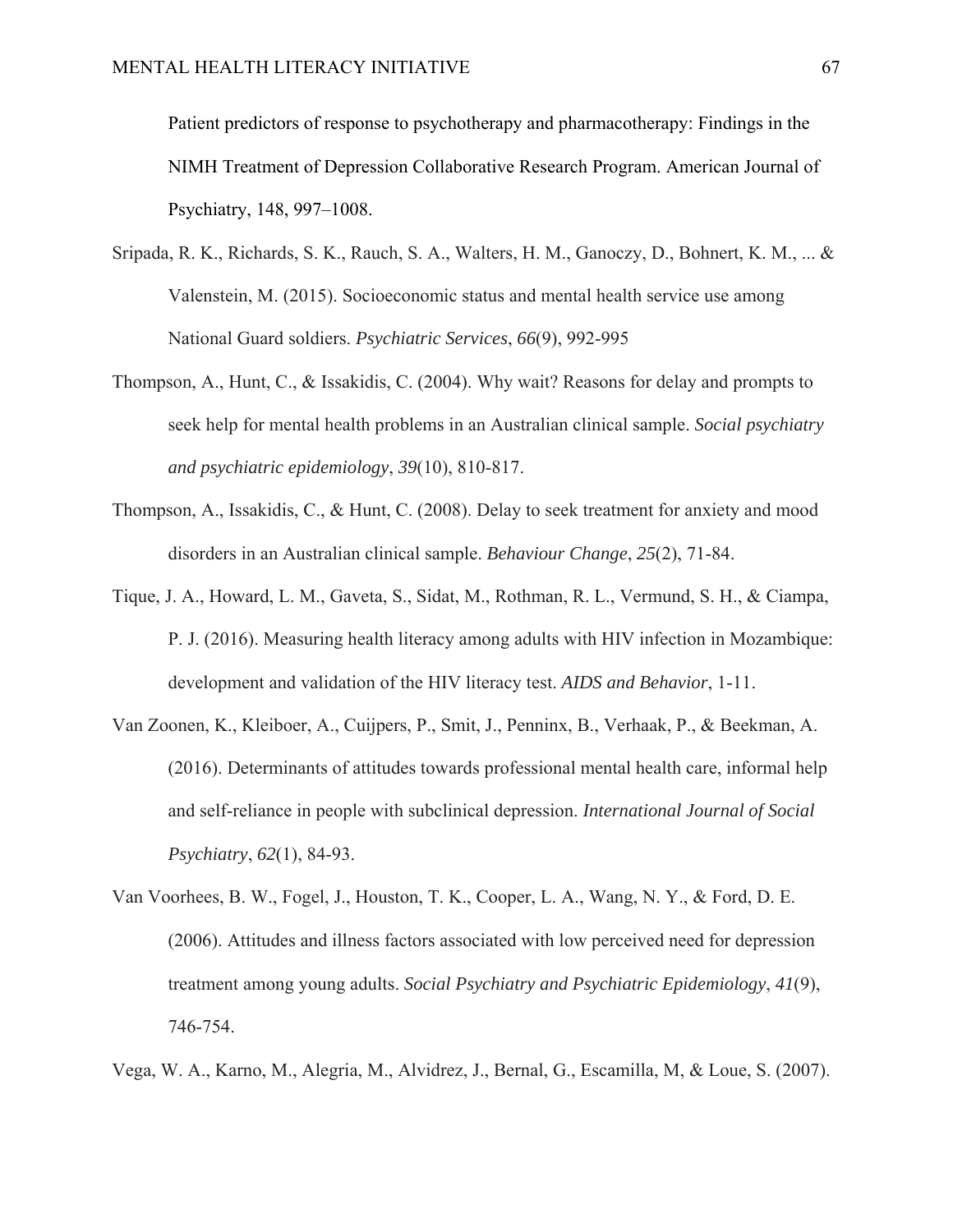Patient predictors of response to psychotherapy and pharmacotherapy: Findings in the NIMH Treatment of Depression Collaborative Research Program. American Journal of Psychiatry, 148, 997–1008.

- Sripada, R. K., Richards, S. K., Rauch, S. A., Walters, H. M., Ganoczy, D., Bohnert, K. M., ... & Valenstein, M. (2015). Socioeconomic status and mental health service use among National Guard soldiers. *Psychiatric Services*, *66*(9), 992-995
- Thompson, A., Hunt, C., & Issakidis, C. (2004). Why wait? Reasons for delay and prompts to seek help for mental health problems in an Australian clinical sample. *Social psychiatry and psychiatric epidemiology*, *39*(10), 810-817.
- Thompson, A., Issakidis, C., & Hunt, C. (2008). Delay to seek treatment for anxiety and mood disorders in an Australian clinical sample. *Behaviour Change*, *25*(2), 71-84.
- Tique, J. A., Howard, L. M., Gaveta, S., Sidat, M., Rothman, R. L., Vermund, S. H., & Ciampa, P. J. (2016). Measuring health literacy among adults with HIV infection in Mozambique: development and validation of the HIV literacy test. *AIDS and Behavior*, 1-11.
- Van Zoonen, K., Kleiboer, A., Cuijpers, P., Smit, J., Penninx, B., Verhaak, P., & Beekman, A. (2016). Determinants of attitudes towards professional mental health care, informal help and self-reliance in people with subclinical depression. *International Journal of Social Psychiatry*, *62*(1), 84-93.
- Van Voorhees, B. W., Fogel, J., Houston, T. K., Cooper, L. A., Wang, N. Y., & Ford, D. E. (2006). Attitudes and illness factors associated with low perceived need for depression treatment among young adults. *Social Psychiatry and Psychiatric Epidemiology*, *41*(9), 746-754.

Vega, W. A., Karno, M., Alegria, M., Alvidrez, J., Bernal, G., Escamilla, M, & Loue, S. (2007).